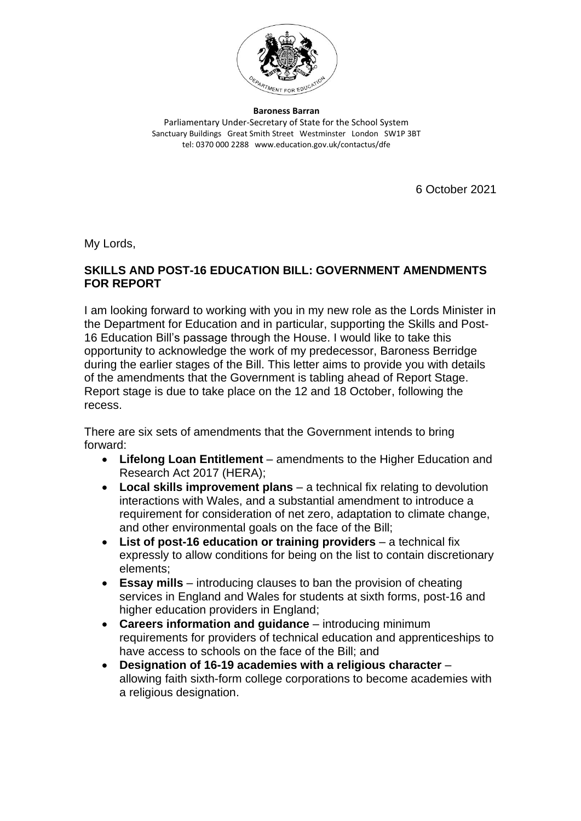

**Baroness Barran** Parliamentary Under-Secretary of State for the School System Sanctuary Buildings Great Smith Street Westminster London SW1P 3BT tel: 0370 000 2288 www.education.gov.uk/contactus/dfe

6 October 2021

My Lords,

#### **SKILLS AND POST-16 EDUCATION BILL: GOVERNMENT AMENDMENTS FOR REPORT**

I am looking forward to working with you in my new role as the Lords Minister in the Department for Education and in particular, supporting the Skills and Post-16 Education Bill's passage through the House. I would like to take this opportunity to acknowledge the work of my predecessor, Baroness Berridge during the earlier stages of the Bill. This letter aims to provide you with details of the amendments that the Government is tabling ahead of Report Stage. Report stage is due to take place on the 12 and 18 October, following the recess.

There are six sets of amendments that the Government intends to bring forward:

- **Lifelong Loan Entitlement** amendments to the Higher Education and Research Act 2017 (HERA);
- **Local skills improvement plans** a technical fix relating to devolution interactions with Wales, and a substantial amendment to introduce a requirement for consideration of net zero, adaptation to climate change, and other environmental goals on the face of the Bill;
- **List of post-16 education or training providers** a technical fix expressly to allow conditions for being on the list to contain discretionary elements;
- **Essay mills** introducing clauses to ban the provision of cheating services in England and Wales for students at sixth forms, post-16 and higher education providers in England;
- **Careers information and guidance** introducing minimum requirements for providers of technical education and apprenticeships to have access to schools on the face of the Bill; and
- **Designation of 16-19 academies with a religious character** allowing faith sixth-form college corporations to become academies with a religious designation.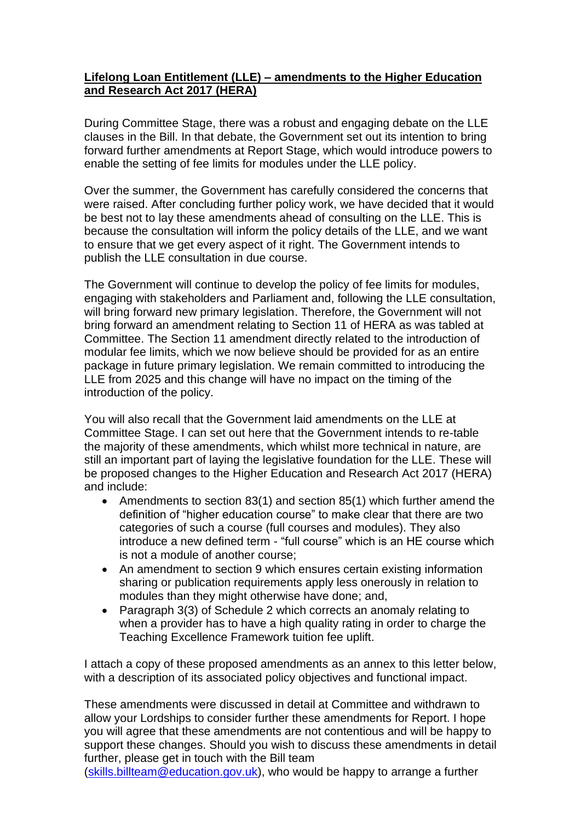## **Lifelong Loan Entitlement (LLE) – amendments to the Higher Education and Research Act 2017 (HERA)**

During Committee Stage, there was a robust and engaging debate on the LLE clauses in the Bill. In that debate, the Government set out its intention to bring forward further amendments at Report Stage, which would introduce powers to enable the setting of fee limits for modules under the LLE policy.

Over the summer, the Government has carefully considered the concerns that were raised. After concluding further policy work, we have decided that it would be best not to lay these amendments ahead of consulting on the LLE. This is because the consultation will inform the policy details of the LLE, and we want to ensure that we get every aspect of it right. The Government intends to publish the LLE consultation in due course.

The Government will continue to develop the policy of fee limits for modules, engaging with stakeholders and Parliament and, following the LLE consultation, will bring forward new primary legislation. Therefore, the Government will not bring forward an amendment relating to Section 11 of HERA as was tabled at Committee. The Section 11 amendment directly related to the introduction of modular fee limits, which we now believe should be provided for as an entire package in future primary legislation. We remain committed to introducing the LLE from 2025 and this change will have no impact on the timing of the introduction of the policy.

You will also recall that the Government laid amendments on the LLE at Committee Stage. I can set out here that the Government intends to re-table the majority of these amendments, which whilst more technical in nature, are still an important part of laying the legislative foundation for the LLE. These will be proposed changes to the Higher Education and Research Act 2017 (HERA) and include:

- Amendments to section 83(1) and section 85(1) which further amend the definition of "higher education course" to make clear that there are two categories of such a course (full courses and modules). They also introduce a new defined term - "full course" which is an HE course which is not a module of another course;
- An amendment to section 9 which ensures certain existing information sharing or publication requirements apply less onerously in relation to modules than they might otherwise have done; and,
- Paragraph 3(3) of Schedule 2 which corrects an anomaly relating to when a provider has to have a high quality rating in order to charge the Teaching Excellence Framework tuition fee uplift.

I attach a copy of these proposed amendments as an annex to this letter below, with a description of its associated policy objectives and functional impact.

These amendments were discussed in detail at Committee and withdrawn to allow your Lordships to consider further these amendments for Report. I hope you will agree that these amendments are not contentious and will be happy to support these changes. Should you wish to discuss these amendments in detail further, please get in touch with the Bill team

[\(skills.billteam@education.gov.uk\)](mailto:skills.billteam@education.gov.uk), who would be happy to arrange a further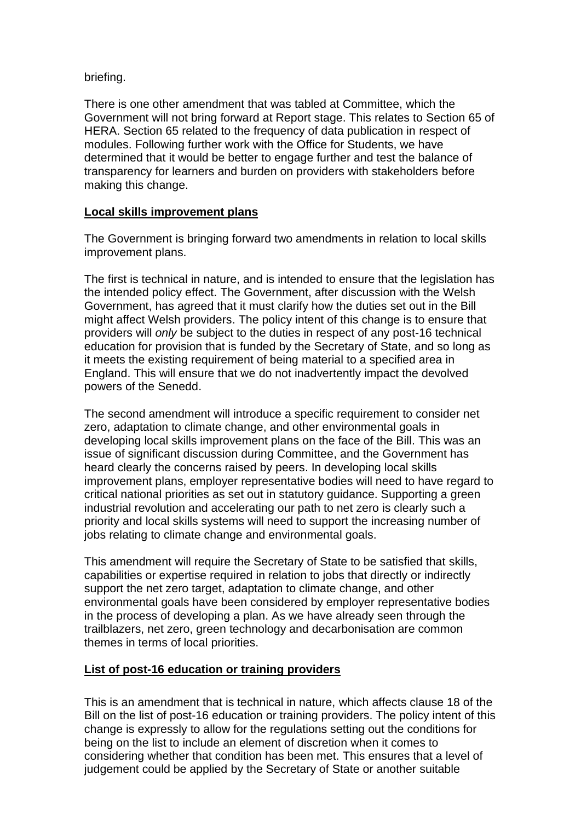#### briefing.

There is one other amendment that was tabled at Committee, which the Government will not bring forward at Report stage. This relates to Section 65 of HERA. Section 65 related to the frequency of data publication in respect of modules. Following further work with the Office for Students, we have determined that it would be better to engage further and test the balance of transparency for learners and burden on providers with stakeholders before making this change.

#### **Local skills improvement plans**

The Government is bringing forward two amendments in relation to local skills improvement plans.

The first is technical in nature, and is intended to ensure that the legislation has the intended policy effect. The Government, after discussion with the Welsh Government, has agreed that it must clarify how the duties set out in the Bill might affect Welsh providers. The policy intent of this change is to ensure that providers will *only* be subject to the duties in respect of any post-16 technical education for provision that is funded by the Secretary of State, and so long as it meets the existing requirement of being material to a specified area in England. This will ensure that we do not inadvertently impact the devolved powers of the Senedd.

The second amendment will introduce a specific requirement to consider net zero, adaptation to climate change, and other environmental goals in developing local skills improvement plans on the face of the Bill. This was an issue of significant discussion during Committee, and the Government has heard clearly the concerns raised by peers. In developing local skills improvement plans, employer representative bodies will need to have regard to critical national priorities as set out in statutory guidance. Supporting a green industrial revolution and accelerating our path to net zero is clearly such a priority and local skills systems will need to support the increasing number of jobs relating to climate change and environmental goals.

This amendment will require the Secretary of State to be satisfied that skills, capabilities or expertise required in relation to jobs that directly or indirectly support the net zero target, adaptation to climate change, and other environmental goals have been considered by employer representative bodies in the process of developing a plan. As we have already seen through the trailblazers, net zero, green technology and decarbonisation are common themes in terms of local priorities.

## **List of post-16 education or training providers**

This is an amendment that is technical in nature, which affects clause 18 of the Bill on the list of post-16 education or training providers. The policy intent of this change is expressly to allow for the regulations setting out the conditions for being on the list to include an element of discretion when it comes to considering whether that condition has been met. This ensures that a level of judgement could be applied by the Secretary of State or another suitable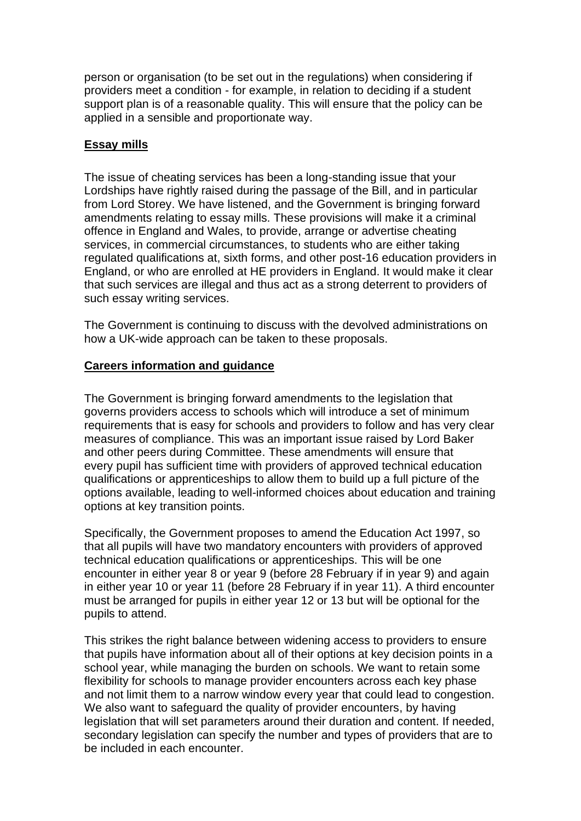person or organisation (to be set out in the regulations) when considering if providers meet a condition - for example, in relation to deciding if a student support plan is of a reasonable quality. This will ensure that the policy can be applied in a sensible and proportionate way.

## **Essay mills**

The issue of cheating services has been a long-standing issue that your Lordships have rightly raised during the passage of the Bill, and in particular from Lord Storey. We have listened, and the Government is bringing forward amendments relating to essay mills. These provisions will make it a criminal offence in England and Wales, to provide, arrange or advertise cheating services, in commercial circumstances, to students who are either taking regulated qualifications at, sixth forms, and other post-16 education providers in England, or who are enrolled at HE providers in England. It would make it clear that such services are illegal and thus act as a strong deterrent to providers of such essay writing services.

The Government is continuing to discuss with the devolved administrations on how a UK-wide approach can be taken to these proposals.

#### **Careers information and guidance**

The Government is bringing forward amendments to the legislation that governs providers access to schools which will introduce a set of minimum requirements that is easy for schools and providers to follow and has very clear measures of compliance. This was an important issue raised by Lord Baker and other peers during Committee. These amendments will ensure that every pupil has sufficient time with providers of approved technical education qualifications or apprenticeships to allow them to build up a full picture of the options available, leading to well-informed choices about education and training options at key transition points.

Specifically, the Government proposes to amend the Education Act 1997, so that all pupils will have two mandatory encounters with providers of approved technical education qualifications or apprenticeships. This will be one encounter in either year 8 or year 9 (before 28 February if in year 9) and again in either year 10 or year 11 (before 28 February if in year 11). A third encounter must be arranged for pupils in either year 12 or 13 but will be optional for the pupils to attend.

This strikes the right balance between widening access to providers to ensure that pupils have information about all of their options at key decision points in a school year, while managing the burden on schools. We want to retain some flexibility for schools to manage provider encounters across each key phase and not limit them to a narrow window every year that could lead to congestion. We also want to safeguard the quality of provider encounters, by having legislation that will set parameters around their duration and content. If needed, secondary legislation can specify the number and types of providers that are to be included in each encounter.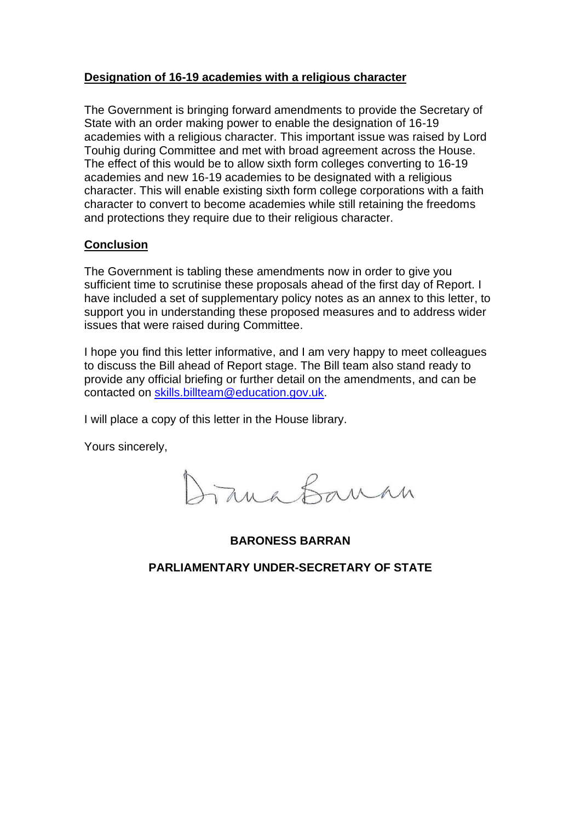#### **Designation of 16-19 academies with a religious character**

The Government is bringing forward amendments to provide the Secretary of State with an order making power to enable the designation of 16-19 academies with a religious character. This important issue was raised by Lord Touhig during Committee and met with broad agreement across the House. The effect of this would be to allow sixth form colleges converting to 16-19 academies and new 16-19 academies to be designated with a religious character. This will enable existing sixth form college corporations with a faith character to convert to become academies while still retaining the freedoms and protections they require due to their religious character.

#### **Conclusion**

The Government is tabling these amendments now in order to give you sufficient time to scrutinise these proposals ahead of the first day of Report. I have included a set of supplementary policy notes as an annex to this letter, to support you in understanding these proposed measures and to address wider issues that were raised during Committee.

I hope you find this letter informative, and I am very happy to meet colleagues to discuss the Bill ahead of Report stage. The Bill team also stand ready to provide any official briefing or further detail on the amendments, and can be contacted on [skills.billteam@education.gov.uk.](mailto:skills.billteam@education.gov.uk)

I will place a copy of this letter in the House library.

Yours sincerely,

Frank Banke

**BARONESS BARRAN**

**PARLIAMENTARY UNDER-SECRETARY OF STATE**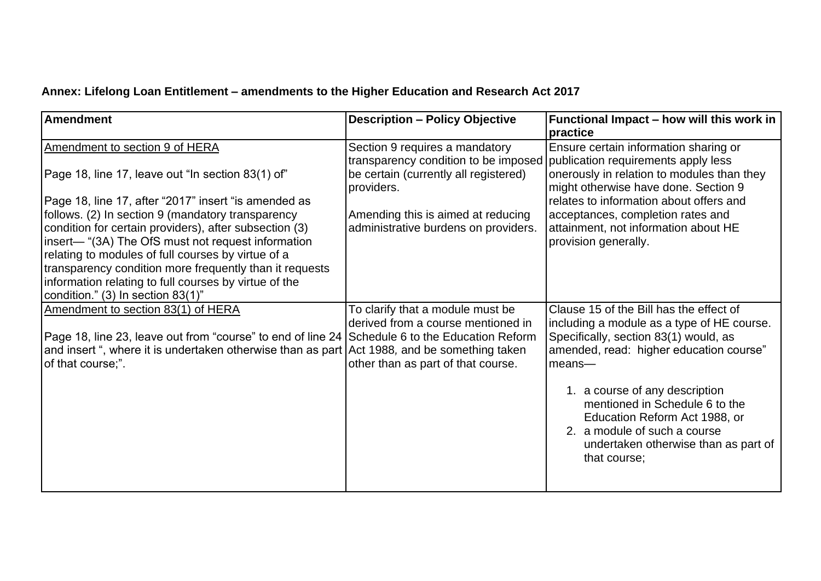# **Annex: Lifelong Loan Entitlement – amendments to the Higher Education and Research Act 2017**

| <b>Amendment</b>                                                                                                                                                                                                                                                                                                                                                                                                                  | <b>Description - Policy Objective</b>                                                                                                                                                                       | Functional Impact - how will this work in<br>practice                                                                                                                                                                                                                                                                                                                               |
|-----------------------------------------------------------------------------------------------------------------------------------------------------------------------------------------------------------------------------------------------------------------------------------------------------------------------------------------------------------------------------------------------------------------------------------|-------------------------------------------------------------------------------------------------------------------------------------------------------------------------------------------------------------|-------------------------------------------------------------------------------------------------------------------------------------------------------------------------------------------------------------------------------------------------------------------------------------------------------------------------------------------------------------------------------------|
| Amendment to section 9 of HERA<br>Page 18, line 17, leave out "In section 83(1) of"<br>Page 18, line 17, after "2017" insert "is amended as<br>follows. (2) In section 9 (mandatory transparency<br>condition for certain providers), after subsection (3)<br>insert— "(3A) The OfS must not request information<br>relating to modules of full courses by virtue of a<br>transparency condition more frequently than it requests | Section 9 requires a mandatory<br>transparency condition to be imposed<br>be certain (currently all registered)<br>providers.<br>Amending this is aimed at reducing<br>administrative burdens on providers. | Ensure certain information sharing or<br>publication requirements apply less<br>onerously in relation to modules than they<br>might otherwise have done. Section 9<br>relates to information about offers and<br>acceptances, completion rates and<br>attainment, not information about HE<br>provision generally.                                                                  |
| information relating to full courses by virtue of the<br>condition." (3) In section 83(1)"                                                                                                                                                                                                                                                                                                                                        |                                                                                                                                                                                                             |                                                                                                                                                                                                                                                                                                                                                                                     |
| Amendment to section 83(1) of HERA<br>Page 18, line 23, leave out from "course" to end of line 24 Schedule 6 to the Education Reform<br>and insert ", where it is undertaken otherwise than as part Act 1988, and be something taken<br>of that course;".                                                                                                                                                                         | To clarify that a module must be<br>derived from a course mentioned in<br>other than as part of that course.                                                                                                | Clause 15 of the Bill has the effect of<br>including a module as a type of HE course.<br>Specifically, section 83(1) would, as<br>amended, read: higher education course"<br>$mean$ s—<br>1. a course of any description<br>mentioned in Schedule 6 to the<br>Education Reform Act 1988, or<br>2. a module of such a course<br>undertaken otherwise than as part of<br>that course; |
|                                                                                                                                                                                                                                                                                                                                                                                                                                   |                                                                                                                                                                                                             |                                                                                                                                                                                                                                                                                                                                                                                     |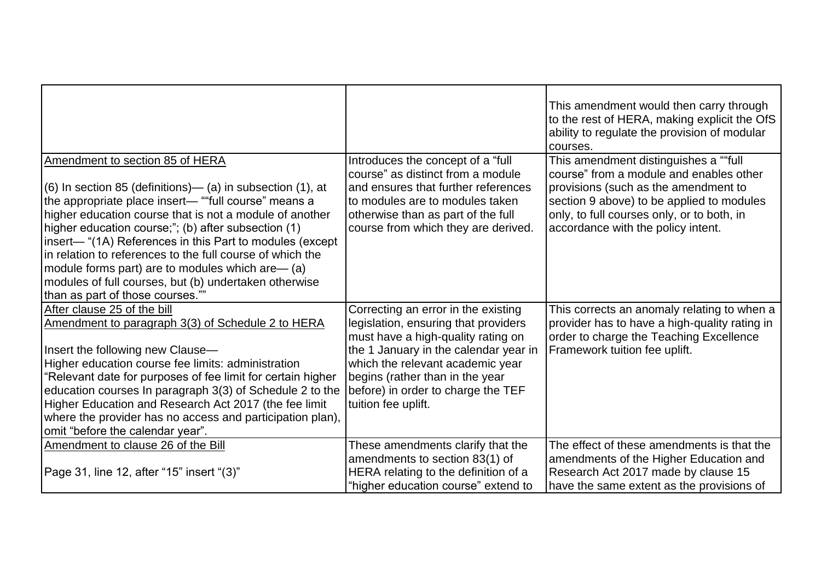|                                                                                                                                                                                                                                                                                                                                                                                                                                                                                                                                                        |                                                                                                                                                                                                                                                                                                | This amendment would then carry through<br>to the rest of HERA, making explicit the OfS<br>ability to regulate the provision of modular<br>courses.                                                                                                       |
|--------------------------------------------------------------------------------------------------------------------------------------------------------------------------------------------------------------------------------------------------------------------------------------------------------------------------------------------------------------------------------------------------------------------------------------------------------------------------------------------------------------------------------------------------------|------------------------------------------------------------------------------------------------------------------------------------------------------------------------------------------------------------------------------------------------------------------------------------------------|-----------------------------------------------------------------------------------------------------------------------------------------------------------------------------------------------------------------------------------------------------------|
| Amendment to section 85 of HERA<br>$(6)$ In section 85 (definitions)— (a) in subsection $(1)$ , at<br>the appropriate place insert— ""full course" means a<br>higher education course that is not a module of another<br>higher education course;"; (b) after subsection (1)<br>insert— "(1A) References in this Part to modules (except<br>in relation to references to the full course of which the<br>module forms part) are to modules which are— (a)<br>modules of full courses, but (b) undertaken otherwise<br>than as part of those courses."" | Introduces the concept of a "full"<br>course" as distinct from a module<br>and ensures that further references<br>to modules are to modules taken<br>otherwise than as part of the full<br>course from which they are derived.                                                                 | This amendment distinguishes a ""full<br>course" from a module and enables other<br>provisions (such as the amendment to<br>section 9 above) to be applied to modules<br>only, to full courses only, or to both, in<br>accordance with the policy intent. |
| After clause 25 of the bill<br>Amendment to paragraph 3(3) of Schedule 2 to HERA<br>Insert the following new Clause-<br>Higher education course fee limits: administration<br>"Relevant date for purposes of fee limit for certain higher<br>education courses In paragraph 3(3) of Schedule 2 to the<br>Higher Education and Research Act 2017 (the fee limit<br>where the provider has no access and participation plan),<br>omit "before the calendar year".                                                                                        | Correcting an error in the existing<br>legislation, ensuring that providers<br>must have a high-quality rating on<br>the 1 January in the calendar year in<br>which the relevant academic year<br>begins (rather than in the year<br>before) in order to charge the TEF<br>tuition fee uplift. | This corrects an anomaly relating to when a<br>provider has to have a high-quality rating in<br>order to charge the Teaching Excellence<br><b>Framework tuition fee uplift.</b>                                                                           |
| Amendment to clause 26 of the Bill<br>Page 31, line 12, after "15" insert "(3)"                                                                                                                                                                                                                                                                                                                                                                                                                                                                        | These amendments clarify that the<br>amendments to section 83(1) of<br>HERA relating to the definition of a<br>"higher education course" extend to                                                                                                                                             | The effect of these amendments is that the<br>amendments of the Higher Education and<br>Research Act 2017 made by clause 15<br>have the same extent as the provisions of                                                                                  |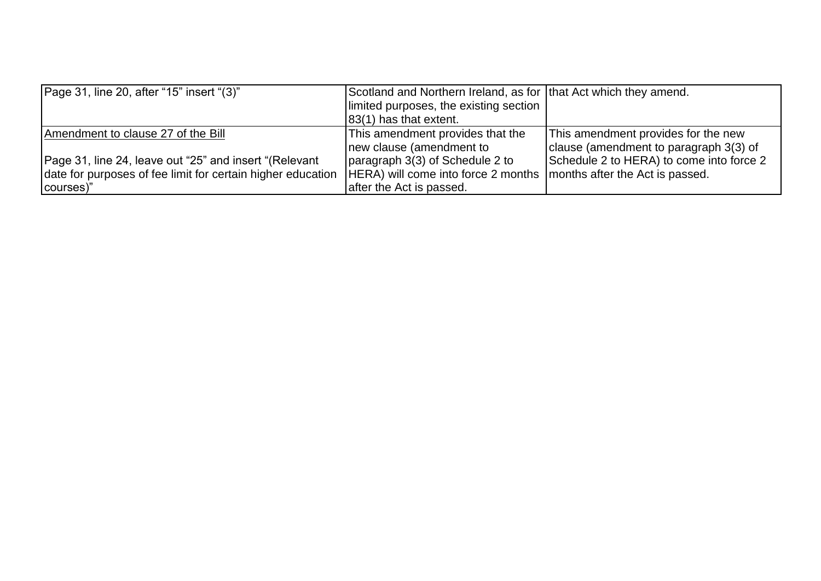| Page 31, line 20, after "15" insert "(3)"                   | Scotland and Northern Ireland, as for that Act which they amend. |                                          |
|-------------------------------------------------------------|------------------------------------------------------------------|------------------------------------------|
|                                                             | limited purposes, the existing section                           |                                          |
|                                                             | 83(1) has that extent.                                           |                                          |
| Amendment to clause 27 of the Bill                          | This amendment provides that the                                 | This amendment provides for the new      |
|                                                             | new clause (amendment to                                         | clause (amendment to paragraph 3(3) of   |
| Page 31, line 24, leave out "25" and insert "(Relevant      | paragraph 3(3) of Schedule 2 to                                  | Schedule 2 to HERA) to come into force 2 |
| date for purposes of fee limit for certain higher education | HERA) will come into force 2 months                              | months after the Act is passed.          |
| courses)"                                                   | after the Act is passed.                                         |                                          |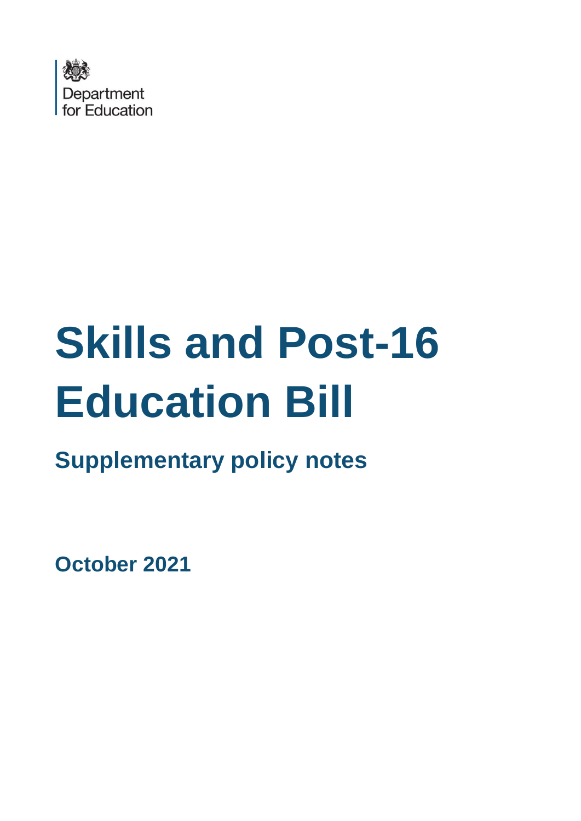

# **Skills and Post-16 Education Bill**

**Supplementary policy notes** 

**October 2021**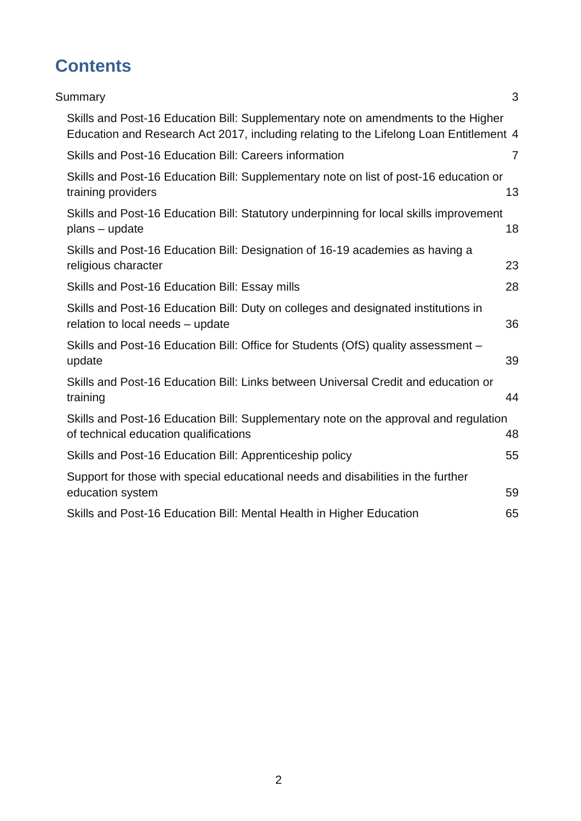# **Contents**

| Summary                                                                                                                                                                     | 3              |
|-----------------------------------------------------------------------------------------------------------------------------------------------------------------------------|----------------|
| Skills and Post-16 Education Bill: Supplementary note on amendments to the Higher<br>Education and Research Act 2017, including relating to the Lifelong Loan Entitlement 4 |                |
| Skills and Post-16 Education Bill: Careers information                                                                                                                      | $\overline{7}$ |
| Skills and Post-16 Education Bill: Supplementary note on list of post-16 education or<br>training providers                                                                 | 13             |
| Skills and Post-16 Education Bill: Statutory underpinning for local skills improvement<br>plans – update                                                                    | 18             |
| Skills and Post-16 Education Bill: Designation of 16-19 academies as having a<br>religious character                                                                        | 23             |
| Skills and Post-16 Education Bill: Essay mills                                                                                                                              | 28             |
| Skills and Post-16 Education Bill: Duty on colleges and designated institutions in<br>relation to local needs - update                                                      | 36             |
| Skills and Post-16 Education Bill: Office for Students (OfS) quality assessment -<br>update                                                                                 | 39             |
| Skills and Post-16 Education Bill: Links between Universal Credit and education or<br>training                                                                              | 44             |
| Skills and Post-16 Education Bill: Supplementary note on the approval and regulation<br>of technical education qualifications                                               | 48             |
| Skills and Post-16 Education Bill: Apprenticeship policy                                                                                                                    | 55             |
| Support for those with special educational needs and disabilities in the further<br>education system                                                                        | 59             |
| Skills and Post-16 Education Bill: Mental Health in Higher Education                                                                                                        | 65             |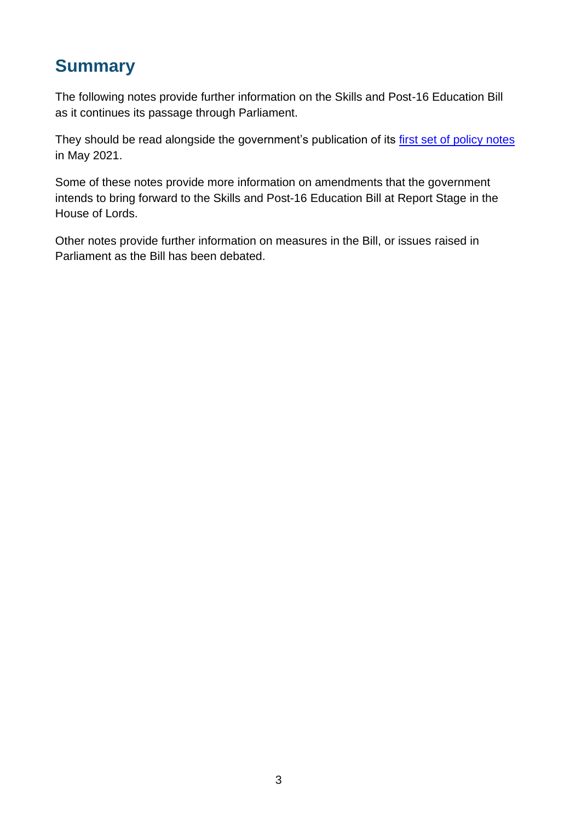# <span id="page-10-0"></span>**Summary**

The following notes provide further information on the Skills and Post-16 Education Bill as it continues its passage through Parliament.

They should be read alongside the government's publication of its first set [of policy notes](https://assets.publishing.service.gov.uk/government/uploads/system/uploads/attachment_data/file/988605/Skills_and_Post-16_Education_Bill_-_Summary_Policy_Notes.pdf) in May 2021.

Some of these notes provide more information on amendments that the government intends to bring forward to the Skills and Post-16 Education Bill at Report Stage in the House of Lords.

Other notes provide further information on measures in the Bill, or issues raised in Parliament as the Bill has been debated.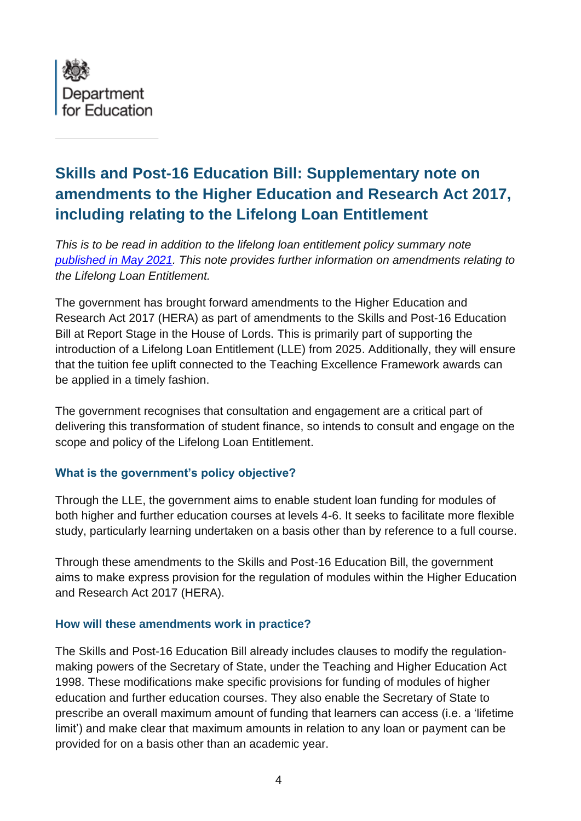

# <span id="page-11-0"></span>**Skills and Post-16 Education Bill: Supplementary note on amendments to the Higher Education and Research Act 2017, including relating to the Lifelong Loan Entitlement**

*This is to be read in addition to the lifelong loan entitlement policy summary note published [in May 2021.](https://assets.publishing.service.gov.uk/government/uploads/system/uploads/attachment_data/file/988605/Skills_and_Post-16_Education_Bill_-_Summary_Policy_Notes.pdf) This note provides further information on amendments relating to the Lifelong Loan Entitlement.* 

The government has brought forward amendments to the Higher Education and Research Act 2017 (HERA) as part of amendments to the Skills and Post-16 Education Bill at Report Stage in the House of Lords. This is primarily part of supporting the introduction of a Lifelong Loan Entitlement (LLE) from 2025. Additionally, they will ensure that the tuition fee uplift connected to the Teaching Excellence Framework awards can be applied in a timely fashion.

The government recognises that consultation and engagement are a critical part of delivering this transformation of student finance, so intends to consult and engage on the scope and policy of the Lifelong Loan Entitlement.

## **What is the government's policy objective?**

Through the LLE, the government aims to enable student loan funding for modules of both higher and further education courses at levels 4-6. It seeks to facilitate more flexible study, particularly learning undertaken on a basis other than by reference to a full course.

Through these amendments to the Skills and Post-16 Education Bill, the government aims to make express provision for the regulation of modules within the Higher Education and Research Act 2017 (HERA).

#### **How will these amendments work in practice?**

The Skills and Post-16 Education Bill already includes clauses to modify the regulationmaking powers of the Secretary of State, under the Teaching and Higher Education Act 1998. These modifications make specific provisions for funding of modules of higher education and further education courses. They also enable the Secretary of State to prescribe an overall maximum amount of funding that learners can access (i.e. a 'lifetime limit') and make clear that maximum amounts in relation to any loan or payment can be provided for on a basis other than an academic year.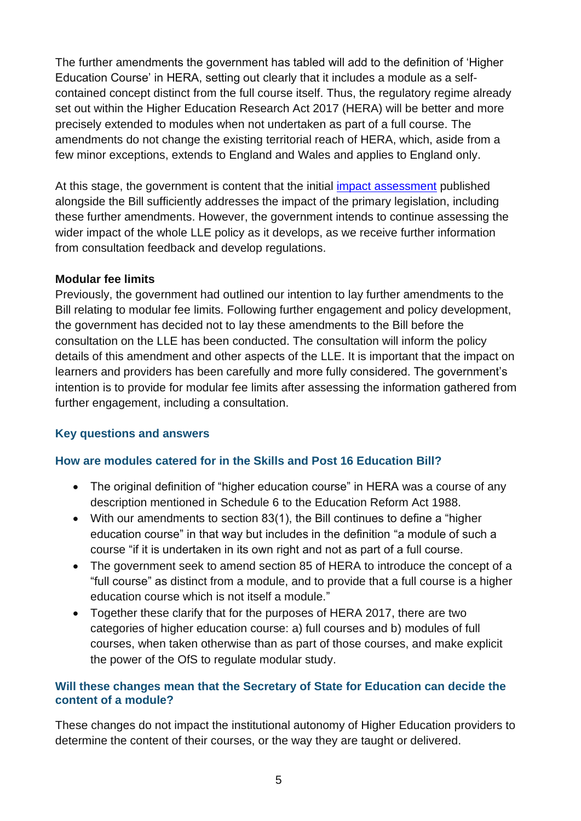The further amendments the government has tabled will add to the definition of 'Higher Education Course' in HERA, setting out clearly that it includes a module as a selfcontained concept distinct from the full course itself. Thus, the regulatory regime already set out within the Higher Education Research Act 2017 (HERA) will be better and more precisely extended to modules when not undertaken as part of a full course. The amendments do not change the existing territorial reach of HERA, which, aside from a few minor exceptions, extends to England and Wales and applies to England only.

At this stage, the government is content that the initial *impact assessment* published alongside the Bill sufficiently addresses the impact of the primary legislation, including these further amendments. However, the government intends to continue assessing the wider impact of the whole LLE policy as it develops, as we receive further information from consultation feedback and develop regulations.

#### **Modular fee limits**

Previously, the government had outlined our intention to lay further amendments to the Bill relating to modular fee limits. Following further engagement and policy development, the government has decided not to lay these amendments to the Bill before the consultation on the LLE has been conducted. The consultation will inform the policy details of this amendment and other aspects of the LLE. It is important that the impact on learners and providers has been carefully and more fully considered. The government's intention is to provide for modular fee limits after assessing the information gathered from further engagement, including a consultation.

## **Key questions and answers**

## **How are modules catered for in the Skills and Post 16 Education Bill?**

- The original definition of "higher education course" in HERA was a course of any description mentioned in Schedule 6 to the Education Reform Act 1988.
- With our amendments to section 83(1), the Bill continues to define a "higher education course" in that way but includes in the definition "a module of such a course "if it is undertaken in its own right and not as part of a full course.
- The government seek to amend section 85 of HERA to introduce the concept of a "full course" as distinct from a module, and to provide that a full course is a higher education course which is not itself a module."
- Together these clarify that for the purposes of HERA 2017, there are two categories of higher education course: a) full courses and b) modules of full courses, when taken otherwise than as part of those courses, and make explicit the power of the OfS to regulate modular study.

#### **Will these changes mean that the Secretary of State for Education can decide the content of a module?**

These changes do not impact the institutional autonomy of Higher Education providers to determine the content of their courses, or the way they are taught or delivered.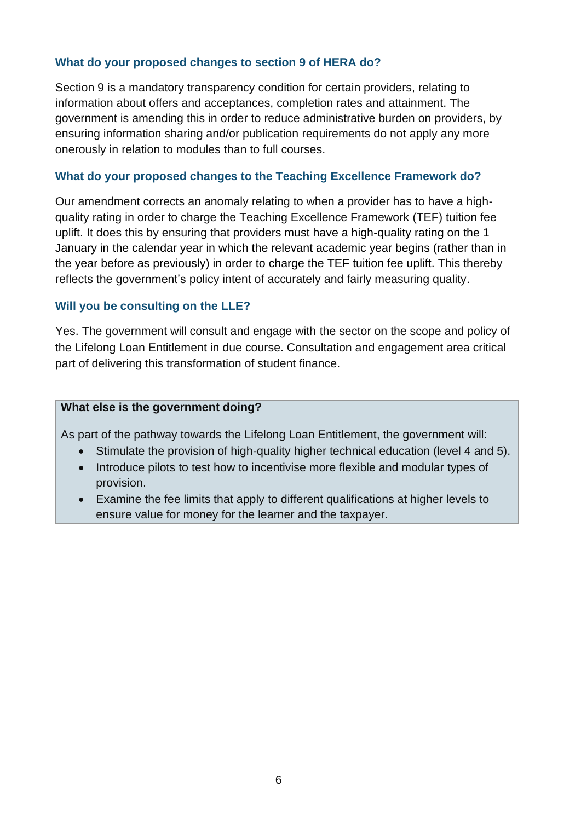#### **What do your proposed changes to section 9 of HERA do?**

Section 9 is a mandatory transparency condition for certain providers, relating to information about offers and acceptances, completion rates and attainment. The government is amending this in order to reduce administrative burden on providers, by ensuring information sharing and/or publication requirements do not apply any more onerously in relation to modules than to full courses.

#### **What do your proposed changes to the Teaching Excellence Framework do?**

Our amendment corrects an anomaly relating to when a provider has to have a highquality rating in order to charge the Teaching Excellence Framework (TEF) tuition fee uplift. It does this by ensuring that providers must have a high-quality rating on the 1 January in the calendar year in which the relevant academic year begins (rather than in the year before as previously) in order to charge the TEF tuition fee uplift. This thereby reflects the government's policy intent of accurately and fairly measuring quality.

#### **Will you be consulting on the LLE?**

Yes. The government will consult and engage with the sector on the scope and policy of the Lifelong Loan Entitlement in due course. Consultation and engagement area critical part of delivering this transformation of student finance.

#### **What else is the government doing?**

As part of the pathway towards the Lifelong Loan Entitlement, the government will:

- Stimulate the provision of high-quality higher technical education (level 4 and 5).
- Introduce pilots to test how to incentivise more flexible and modular types of provision.
- Examine the fee limits that apply to different qualifications at higher levels to ensure value for money for the learner and the taxpayer.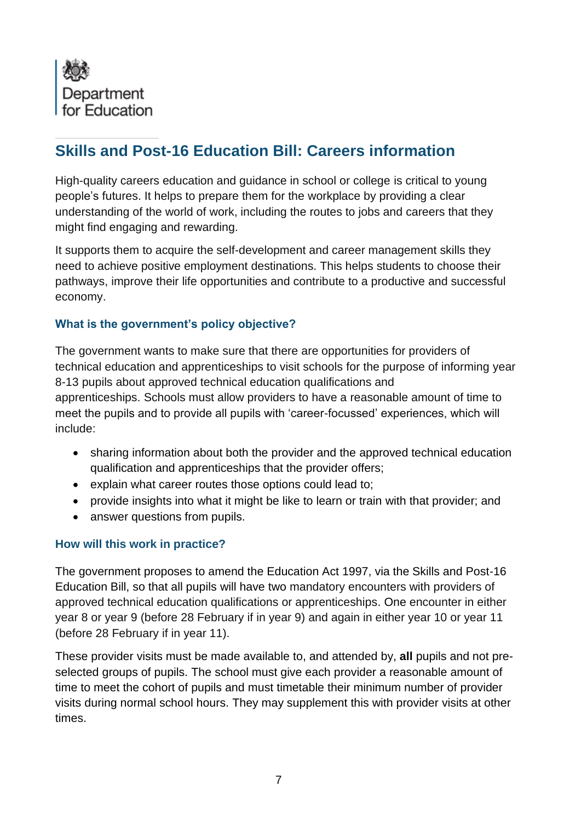<span id="page-14-0"></span>

# **Skills and Post-16 Education Bill: Careers information**

High-quality careers education and guidance in school or college is critical to young people's futures. It helps to prepare them for the workplace by providing a clear understanding of the world of work, including the routes to jobs and careers that they might find engaging and rewarding.

It supports them to acquire the self-development and career management skills they need to achieve positive employment destinations. This helps students to choose their pathways, improve their life opportunities and contribute to a productive and successful economy.

## **What is the government's policy objective?**

The government wants to make sure that there are opportunities for providers of technical education and apprenticeships to visit schools for the purpose of informing year 8-13 pupils about approved technical education qualifications and apprenticeships. Schools must allow providers to have a reasonable amount of time to meet the pupils and to provide all pupils with 'career-focussed' experiences, which will include:

- sharing information about both the provider and the approved technical education qualification and apprenticeships that the provider offers;
- explain what career routes those options could lead to;
- provide insights into what it might be like to learn or train with that provider: and
- answer questions from pupils.

## **How will this work in practice?**

The government proposes to amend the Education Act 1997, via the Skills and Post-16 Education Bill, so that all pupils will have two mandatory encounters with providers of approved technical education qualifications or apprenticeships. One encounter in either year 8 or year 9 (before 28 February if in year 9) and again in either year 10 or year 11 (before 28 February if in year 11).

These provider visits must be made available to, and attended by, **all** pupils and not preselected groups of pupils. The school must give each provider a reasonable amount of time to meet the cohort of pupils and must timetable their minimum number of provider visits during normal school hours. They may supplement this with provider visits at other times.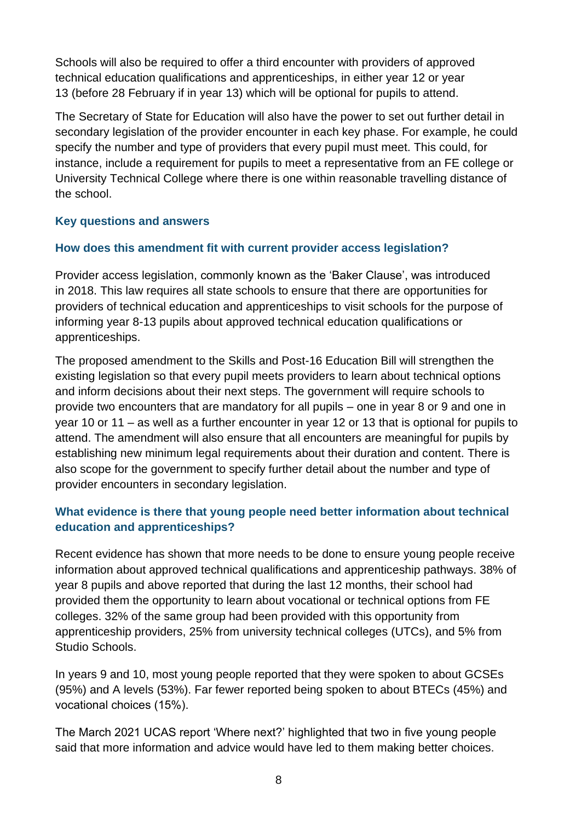Schools will also be required to offer a third encounter with providers of approved technical education qualifications and apprenticeships, in either year 12 or year 13 (before 28 February if in year 13) which will be optional for pupils to attend.

The Secretary of State for Education will also have the power to set out further detail in secondary legislation of the provider encounter in each key phase. For example, he could specify the number and type of providers that every pupil must meet. This could, for instance, include a requirement for pupils to meet a representative from an FE college or University Technical College where there is one within reasonable travelling distance of the school.

# **Key questions and answers**

# **How does this amendment fit with current provider access legislation?**

Provider access legislation, commonly known as the 'Baker Clause', was introduced in 2018. This law requires all state schools to ensure that there are opportunities for providers of technical education and apprenticeships to visit schools for the purpose of informing year 8-13 pupils about approved technical education qualifications or apprenticeships.

The proposed amendment to the Skills and Post-16 Education Bill will strengthen the existing legislation so that every pupil meets providers to learn about technical options and inform decisions about their next steps. The government will require schools to provide two encounters that are mandatory for all pupils – one in year 8 or 9 and one in year 10 or 11 – as well as a further encounter in year 12 or 13 that is optional for pupils to attend. The amendment will also ensure that all encounters are meaningful for pupils by establishing new minimum legal requirements about their duration and content. There is also scope for the government to specify further detail about the number and type of provider encounters in secondary legislation.

# **What evidence is there that young people need better information about technical education and apprenticeships?**

Recent evidence has shown that more needs to be done to ensure young people receive information about approved technical qualifications and apprenticeship pathways. 38% of year 8 pupils and above reported that during the last 12 months, their school had provided them the opportunity to learn about vocational or technical options from FE colleges. 32% of the same group had been provided with this opportunity from apprenticeship providers, 25% from university technical colleges (UTCs), and 5% from Studio Schools.

In years 9 and 10, most young people reported that they were spoken to about GCSEs (95%) and A levels (53%). Far fewer reported being spoken to about BTECs (45%) and vocational choices (15%). 

The March 2021 UCAS report 'Where next?' highlighted that two in five young people said that more information and advice would have led to them making better choices.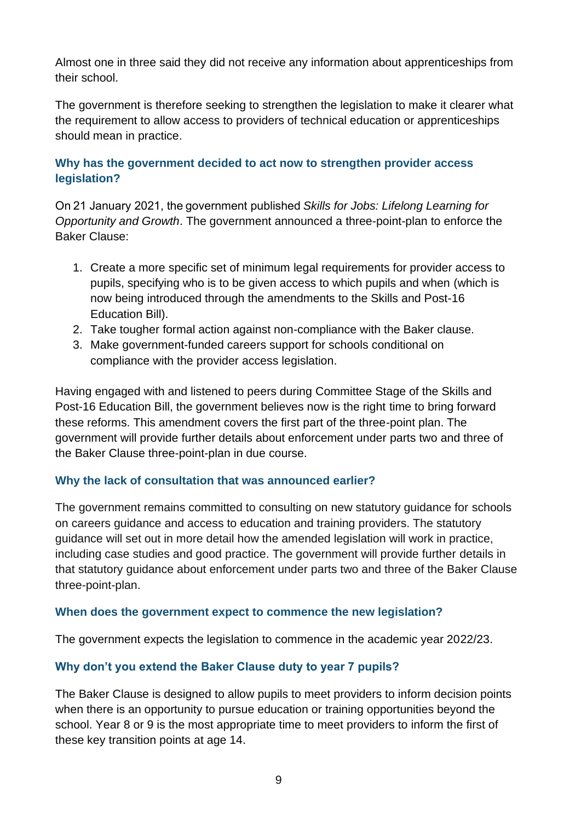Almost one in three said they did not receive any information about apprenticeships from their school.

The government is therefore seeking to strengthen the legislation to make it clearer what the requirement to allow access to providers of technical education or apprenticeships should mean in practice.

# **Why has the government decided to act now to strengthen provider access legislation?**

On 21 January 2021, the government published *Skills for Jobs: Lifelong Learning for Opportunity and Growth*. The government announced a three-point-plan to enforce the Baker Clause:

- 1. Create a more specific set of minimum legal requirements for provider access to pupils, specifying who is to be given access to which pupils and when (which is now being introduced through the amendments to the Skills and Post-16 Education Bill).
- 2. Take tougher formal action against non-compliance with the Baker clause.
- 3. Make government-funded careers support for schools conditional on compliance with the provider access legislation.

Having engaged with and listened to peers during Committee Stage of the Skills and Post-16 Education Bill, the government believes now is the right time to bring forward these reforms. This amendment covers the first part of the three-point plan. The government will provide further details about enforcement under parts two and three of the Baker Clause three-point-plan in due course.

## **Why the lack of consultation that was announced earlier?**

The government remains committed to consulting on new statutory guidance for schools on careers guidance and access to education and training providers. The statutory guidance will set out in more detail how the amended legislation will work in practice, including case studies and good practice. The government will provide further details in that statutory guidance about enforcement under parts two and three of the Baker Clause three-point-plan.

## **When does the government expect to commence the new legislation?**

The government expects the legislation to commence in the academic year 2022/23.

## **Why don't you extend the Baker Clause duty to year 7 pupils?**

The Baker Clause is designed to allow pupils to meet providers to inform decision points when there is an opportunity to pursue education or training opportunities beyond the school. Year 8 or 9 is the most appropriate time to meet providers to inform the first of these key transition points at age 14.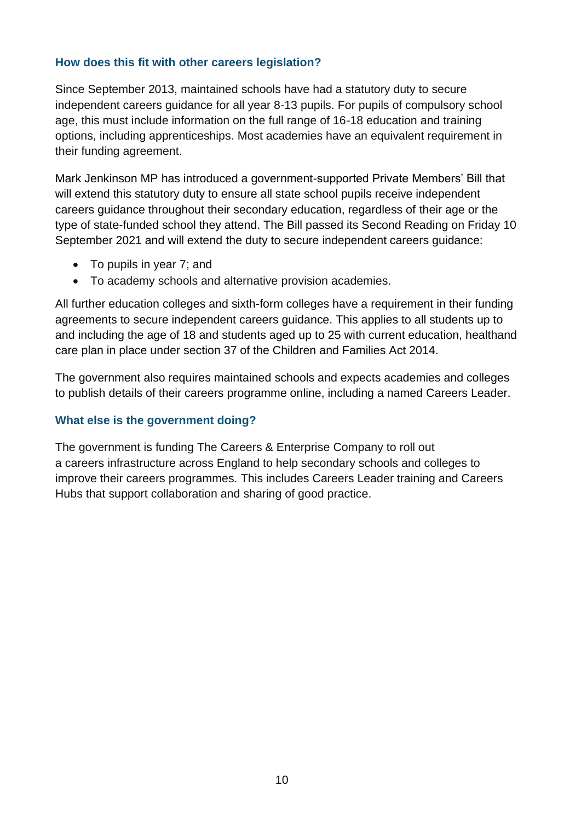## **How does this fit with other careers legislation?**

Since September 2013, maintained schools have had a statutory duty to secure independent careers guidance for all year 8-13 pupils. For pupils of compulsory school age, this must include information on the full range of 16-18 education and training options, including apprenticeships. Most academies have an equivalent requirement in their funding agreement.

Mark Jenkinson MP has introduced a government-supported Private Members' Bill that will extend this statutory duty to ensure all state school pupils receive independent careers guidance throughout their secondary education, regardless of their age or the type of state-funded school they attend. The Bill passed its Second Reading on Friday 10 September 2021 and will extend the duty to secure independent careers guidance:

- To pupils in year 7; and
- To academy schools and alternative provision academies.

All further education colleges and sixth-form colleges have a requirement in their funding agreements to secure independent careers guidance. This applies to all students up to and including the age of 18 and students aged up to 25 with current education, healthand care plan in place under section 37 of the Children and Families Act 2014.

The government also requires maintained schools and expects academies and colleges to publish details of their careers programme online, including a named Careers Leader.

## **What else is the government doing?**

The government is funding The Careers & Enterprise Company to roll out a careers infrastructure across England to help secondary schools and colleges to improve their careers programmes. This includes Careers Leader training and Careers Hubs that support collaboration and sharing of good practice.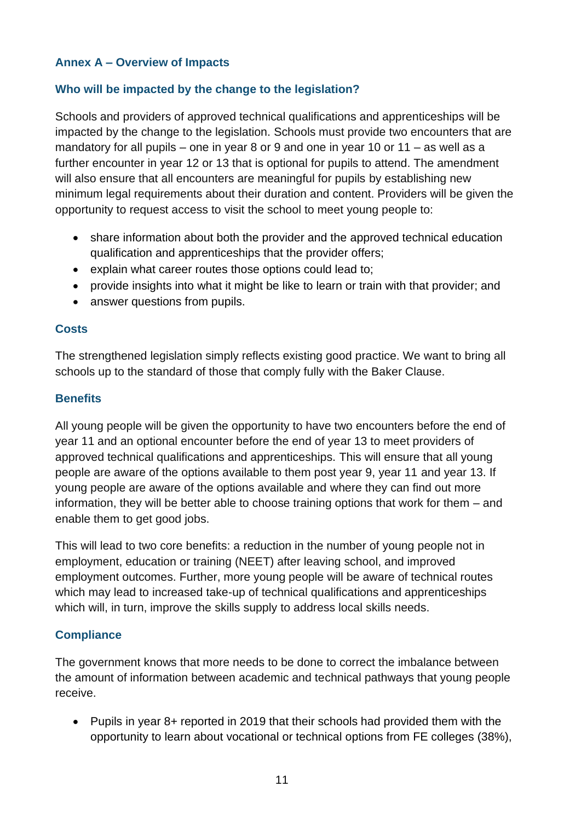# **Annex A – Overview of Impacts**

# **Who will be impacted by the change to the legislation?**

Schools and providers of approved technical qualifications and apprenticeships will be impacted by the change to the legislation. Schools must provide two encounters that are mandatory for all pupils – one in year 8 or 9 and one in year 10 or 11 – as well as a further encounter in year 12 or 13 that is optional for pupils to attend. The amendment will also ensure that all encounters are meaningful for pupils by establishing new minimum legal requirements about their duration and content. Providers will be given the opportunity to request access to visit the school to meet young people to:

- share information about both the provider and the approved technical education qualification and apprenticeships that the provider offers;
- explain what career routes those options could lead to;
- provide insights into what it might be like to learn or train with that provider; and
- answer questions from pupils.

## **Costs**

The strengthened legislation simply reflects existing good practice. We want to bring all schools up to the standard of those that comply fully with the Baker Clause.

## **Benefits**

All young people will be given the opportunity to have two encounters before the end of year 11 and an optional encounter before the end of year 13 to meet providers of approved technical qualifications and apprenticeships. This will ensure that all young people are aware of the options available to them post year 9, year 11 and year 13. If young people are aware of the options available and where they can find out more information, they will be better able to choose training options that work for them – and enable them to get good jobs.

This will lead to two core benefits: a reduction in the number of young people not in employment, education or training (NEET) after leaving school, and improved employment outcomes. Further, more young people will be aware of technical routes which may lead to increased take-up of technical qualifications and apprenticeships which will, in turn, improve the skills supply to address local skills needs.

## **Compliance**

The government knows that more needs to be done to correct the imbalance between the amount of information between academic and technical pathways that young people receive.

• Pupils in year 8+ reported in 2019 that their schools had provided them with the opportunity to learn about vocational or technical options from FE colleges (38%),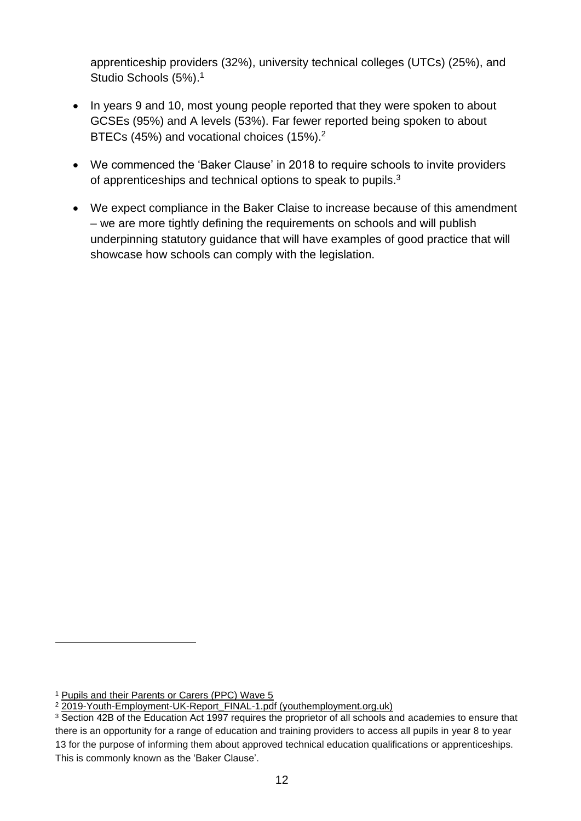apprenticeship providers (32%), university technical colleges (UTCs) (25%), and Studio Schools (5%). 1

- In years 9 and 10, most young people reported that they were spoken to about GCSEs (95%) and A levels (53%). Far fewer reported being spoken to about BTECs (45%) and vocational choices (15%).<sup>2</sup>
- We commenced the 'Baker Clause' in 2018 to require schools to invite providers of apprenticeships and technical options to speak to pupils.<sup>3</sup>
- We expect compliance in the Baker Claise to increase because of this amendment – we are more tightly defining the requirements on schools and will publish underpinning statutory guidance that will have examples of good practice that will showcase how schools can comply with the legislation.

<sup>&</sup>lt;sup>1</sup> [Pupils and their Parents or Carers \(PPC\) Wave 5](https://assets.publishing.service.gov.uk/government/uploads/system/uploads/attachment_data/file/786040/survey_of_pupils_and_their_parents_or_carers-wave_5.pdf)

<sup>2</sup> [2019-Youth-Employment-UK-Report\\_FINAL-1.pdf \(youthemployment.org.uk\)](https://www.youthemployment.org.uk/dev/wp-content/uploads/2019/05/2019-Youth-Employment-UK-Report_FINAL-1.pdf)

<sup>3</sup> Section 42B of the Education Act 1997 requires the proprietor of all schools and academies to ensure that there is an opportunity for a range of education and training providers to access all pupils in year 8 to year 13 for the purpose of informing them about approved technical education qualifications or apprenticeships. This is commonly known as the 'Baker Clause'.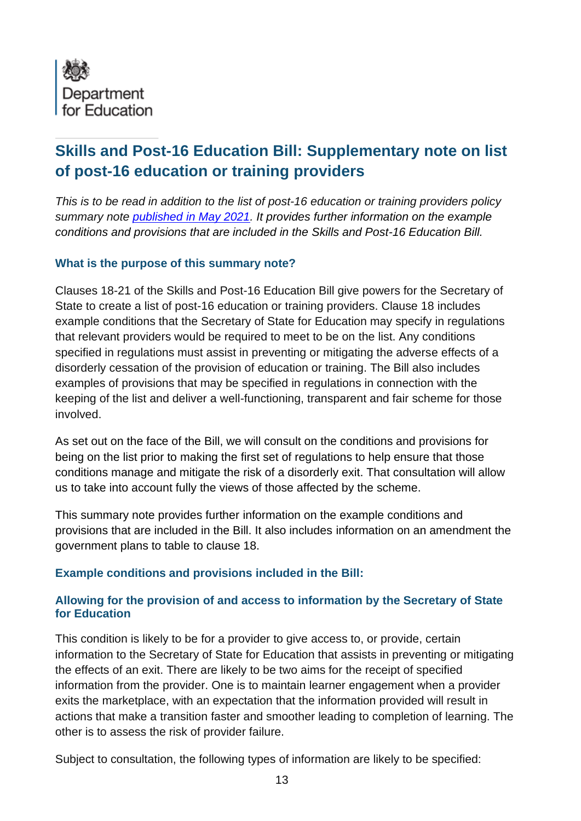<span id="page-20-0"></span>

# **Skills and Post-16 Education Bill: Supplementary note on list of post-16 education or training providers**

*This is to be read in addition to the list of post-16 education or training providers policy summary note published [in May 2021.](https://assets.publishing.service.gov.uk/government/uploads/system/uploads/attachment_data/file/988605/Skills_and_Post-16_Education_Bill_-_Summary_Policy_Notes.pdf) It provides further information on the example conditions and provisions that are included in the Skills and Post-16 Education Bill.*

#### **What is the purpose of this summary note?**

Clauses 18-21 of the Skills and Post-16 Education Bill give powers for the Secretary of State to create a list of post-16 education or training providers. Clause 18 includes example conditions that the Secretary of State for Education may specify in regulations that relevant providers would be required to meet to be on the list. Any conditions specified in regulations must assist in preventing or mitigating the adverse effects of a disorderly cessation of the provision of education or training. The Bill also includes examples of provisions that may be specified in regulations in connection with the keeping of the list and deliver a well-functioning, transparent and fair scheme for those involved.

As set out on the face of the Bill, we will consult on the conditions and provisions for being on the list prior to making the first set of regulations to help ensure that those conditions manage and mitigate the risk of a disorderly exit. That consultation will allow us to take into account fully the views of those affected by the scheme.

This summary note provides further information on the example conditions and provisions that are included in the Bill. It also includes information on an amendment the government plans to table to clause 18.

## **Example conditions and provisions included in the Bill:**

## **Allowing for the provision of and access to information by the Secretary of State for Education**

This condition is likely to be for a provider to give access to, or provide, certain information to the Secretary of State for Education that assists in preventing or mitigating the effects of an exit. There are likely to be two aims for the receipt of specified information from the provider. One is to maintain learner engagement when a provider exits the marketplace, with an expectation that the information provided will result in actions that make a transition faster and smoother leading to completion of learning. The other is to assess the risk of provider failure.

Subject to consultation, the following types of information are likely to be specified: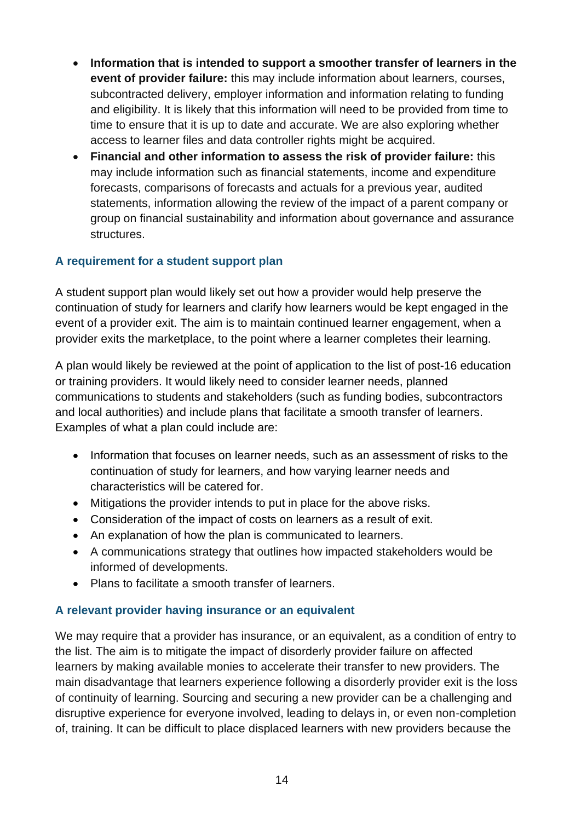- **Information that is intended to support a smoother transfer of learners in the event of provider failure:** this may include information about learners, courses, subcontracted delivery, employer information and information relating to funding and eligibility. It is likely that this information will need to be provided from time to time to ensure that it is up to date and accurate. We are also exploring whether access to learner files and data controller rights might be acquired.
- **Financial and other information to assess the risk of provider failure:** this may include information such as financial statements, income and expenditure forecasts, comparisons of forecasts and actuals for a previous year, audited statements, information allowing the review of the impact of a parent company or group on financial sustainability and information about governance and assurance structures.

## **A requirement for a student support plan**

A student support plan would likely set out how a provider would help preserve the continuation of study for learners and clarify how learners would be kept engaged in the event of a provider exit. The aim is to maintain continued learner engagement, when a provider exits the marketplace, to the point where a learner completes their learning.

A plan would likely be reviewed at the point of application to the list of post-16 education or training providers. It would likely need to consider learner needs, planned communications to students and stakeholders (such as funding bodies, subcontractors and local authorities) and include plans that facilitate a smooth transfer of learners. Examples of what a plan could include are:

- Information that focuses on learner needs, such as an assessment of risks to the continuation of study for learners, and how varying learner needs and characteristics will be catered for.
- Mitigations the provider intends to put in place for the above risks.
- Consideration of the impact of costs on learners as a result of exit.
- An explanation of how the plan is communicated to learners.
- A communications strategy that outlines how impacted stakeholders would be informed of developments.
- Plans to facilitate a smooth transfer of learners.

## **A relevant provider having insurance or an equivalent**

We may require that a provider has insurance, or an equivalent, as a condition of entry to the list. The aim is to mitigate the impact of disorderly provider failure on affected learners by making available monies to accelerate their transfer to new providers. The main disadvantage that learners experience following a disorderly provider exit is the loss of continuity of learning. Sourcing and securing a new provider can be a challenging and disruptive experience for everyone involved, leading to delays in, or even non-completion of, training. It can be difficult to place displaced learners with new providers because the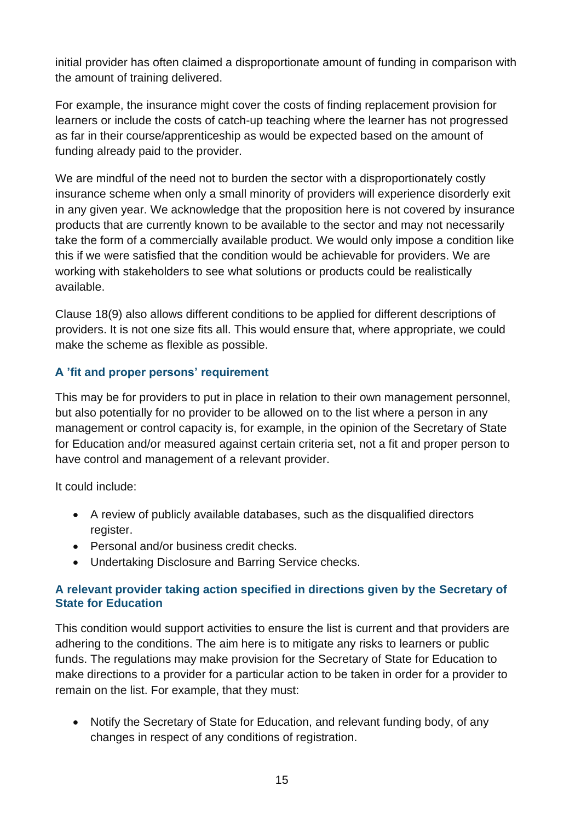initial provider has often claimed a disproportionate amount of funding in comparison with the amount of training delivered.

For example, the insurance might cover the costs of finding replacement provision for learners or include the costs of catch-up teaching where the learner has not progressed as far in their course/apprenticeship as would be expected based on the amount of funding already paid to the provider.

We are mindful of the need not to burden the sector with a disproportionately costly insurance scheme when only a small minority of providers will experience disorderly exit in any given year. We acknowledge that the proposition here is not covered by insurance products that are currently known to be available to the sector and may not necessarily take the form of a commercially available product. We would only impose a condition like this if we were satisfied that the condition would be achievable for providers. We are working with stakeholders to see what solutions or products could be realistically available.

Clause 18(9) also allows different conditions to be applied for different descriptions of providers. It is not one size fits all. This would ensure that, where appropriate, we could make the scheme as flexible as possible.

# **A 'fit and proper persons' requirement**

This may be for providers to put in place in relation to their own management personnel, but also potentially for no provider to be allowed on to the list where a person in any management or control capacity is, for example, in the opinion of the Secretary of State for Education and/or measured against certain criteria set, not a fit and proper person to have control and management of a relevant provider.

It could include:

- A review of publicly available databases, such as the disqualified directors register.
- Personal and/or business credit checks.
- Undertaking Disclosure and Barring Service checks.

## **A relevant provider taking action specified in directions given by the Secretary of State for Education**

This condition would support activities to ensure the list is current and that providers are adhering to the conditions. The aim here is to mitigate any risks to learners or public funds. The regulations may make provision for the Secretary of State for Education to make directions to a provider for a particular action to be taken in order for a provider to remain on the list. For example, that they must:

• Notify the Secretary of State for Education, and relevant funding body, of any changes in respect of any conditions of registration.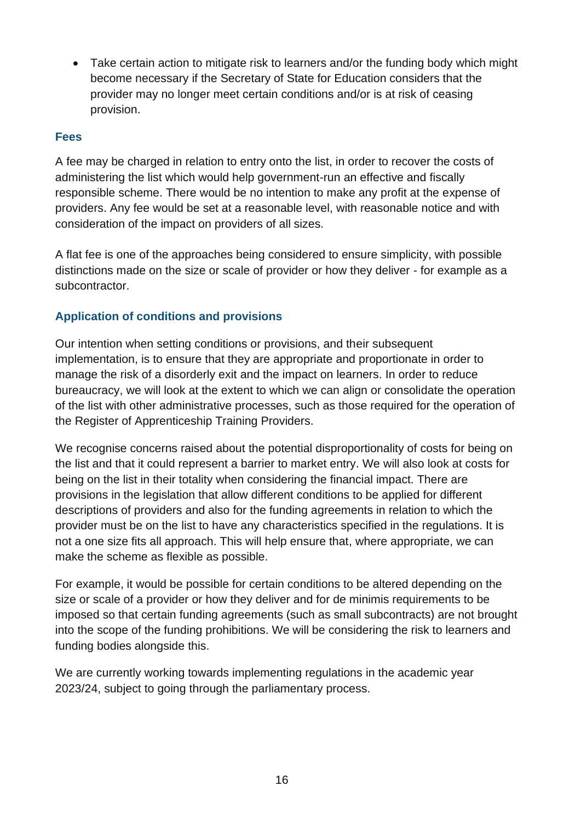• Take certain action to mitigate risk to learners and/or the funding body which might become necessary if the Secretary of State for Education considers that the provider may no longer meet certain conditions and/or is at risk of ceasing provision.

# **Fees**

A fee may be charged in relation to entry onto the list, in order to recover the costs of administering the list which would help government-run an effective and fiscally responsible scheme. There would be no intention to make any profit at the expense of providers. Any fee would be set at a reasonable level, with reasonable notice and with consideration of the impact on providers of all sizes.

A flat fee is one of the approaches being considered to ensure simplicity, with possible distinctions made on the size or scale of provider or how they deliver - for example as a subcontractor.

# **Application of conditions and provisions**

Our intention when setting conditions or provisions, and their subsequent implementation, is to ensure that they are appropriate and proportionate in order to manage the risk of a disorderly exit and the impact on learners. In order to reduce bureaucracy, we will look at the extent to which we can align or consolidate the operation of the list with other administrative processes, such as those required for the operation of the Register of Apprenticeship Training Providers.

We recognise concerns raised about the potential disproportionality of costs for being on the list and that it could represent a barrier to market entry. We will also look at costs for being on the list in their totality when considering the financial impact. There are provisions in the legislation that allow different conditions to be applied for different descriptions of providers and also for the funding agreements in relation to which the provider must be on the list to have any characteristics specified in the regulations. It is not a one size fits all approach. This will help ensure that, where appropriate, we can make the scheme as flexible as possible.

For example, it would be possible for certain conditions to be altered depending on the size or scale of a provider or how they deliver and for de minimis requirements to be imposed so that certain funding agreements (such as small subcontracts) are not brought into the scope of the funding prohibitions. We will be considering the risk to learners and funding bodies alongside this.

We are currently working towards implementing regulations in the academic year 2023/24, subject to going through the parliamentary process.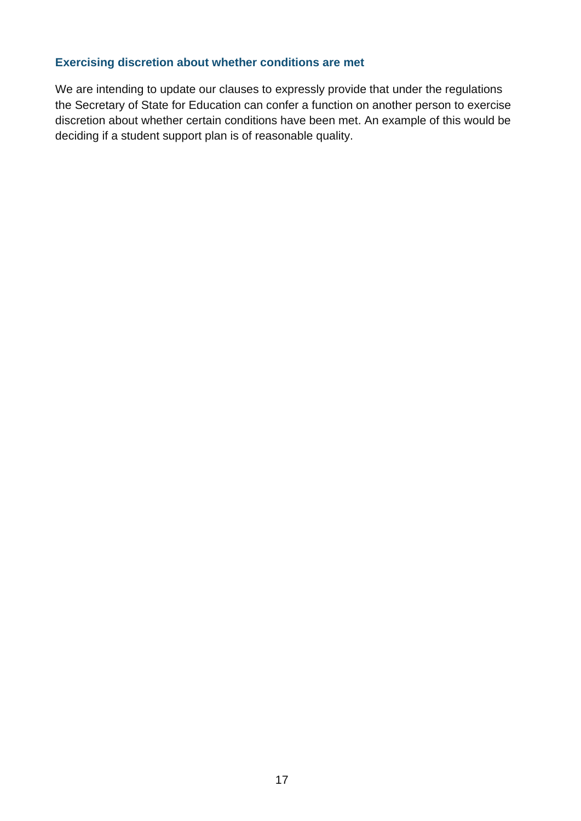#### **Exercising discretion about whether conditions are met**

We are intending to update our clauses to expressly provide that under the regulations the Secretary of State for Education can confer a function on another person to exercise discretion about whether certain conditions have been met. An example of this would be deciding if a student support plan is of reasonable quality.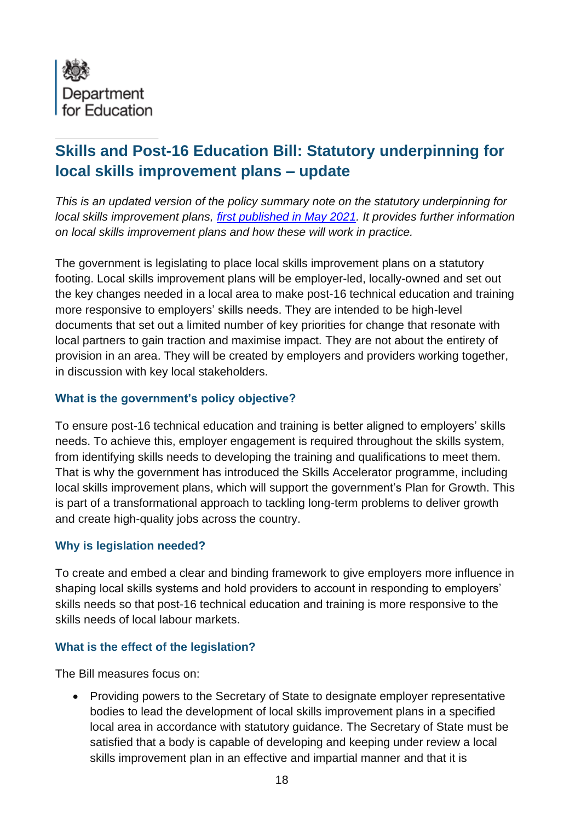<span id="page-25-0"></span>

# **Skills and Post-16 Education Bill: Statutory underpinning for local skills improvement plans – update**

*This is an updated version of the policy summary note on the statutory underpinning for local skills improvement plans, [first published in May 2021.](https://assets.publishing.service.gov.uk/government/uploads/system/uploads/attachment_data/file/988605/Skills_and_Post-16_Education_Bill_-_Summary_Policy_Notes.pdf) It provides further information on local skills improvement plans and how these will work in practice.*

The government is legislating to place local skills improvement plans on a statutory footing. Local skills improvement plans will be employer-led, locally-owned and set out the key changes needed in a local area to make post-16 technical education and training more responsive to employers' skills needs. They are intended to be high-level documents that set out a limited number of key priorities for change that resonate with local partners to gain traction and maximise impact. They are not about the entirety of provision in an area. They will be created by employers and providers working together, in discussion with key local stakeholders.

## **What is the government's policy objective?**

To ensure post-16 technical education and training is better aligned to employers' skills needs. To achieve this, employer engagement is required throughout the skills system, from identifying skills needs to developing the training and qualifications to meet them. That is why the government has introduced the Skills Accelerator programme, including local skills improvement plans, which will support the government's Plan for Growth. This is part of a transformational approach to tackling long-term problems to deliver growth and create high-quality jobs across the country.

## **Why is legislation needed?**

To create and embed a clear and binding framework to give employers more influence in shaping local skills systems and hold providers to account in responding to employers' skills needs so that post-16 technical education and training is more responsive to the skills needs of local labour markets.

## **What is the effect of the legislation?**

The Bill measures focus on:

• Providing powers to the Secretary of State to designate employer representative bodies to lead the development of local skills improvement plans in a specified local area in accordance with statutory guidance. The Secretary of State must be satisfied that a body is capable of developing and keeping under review a local skills improvement plan in an effective and impartial manner and that it is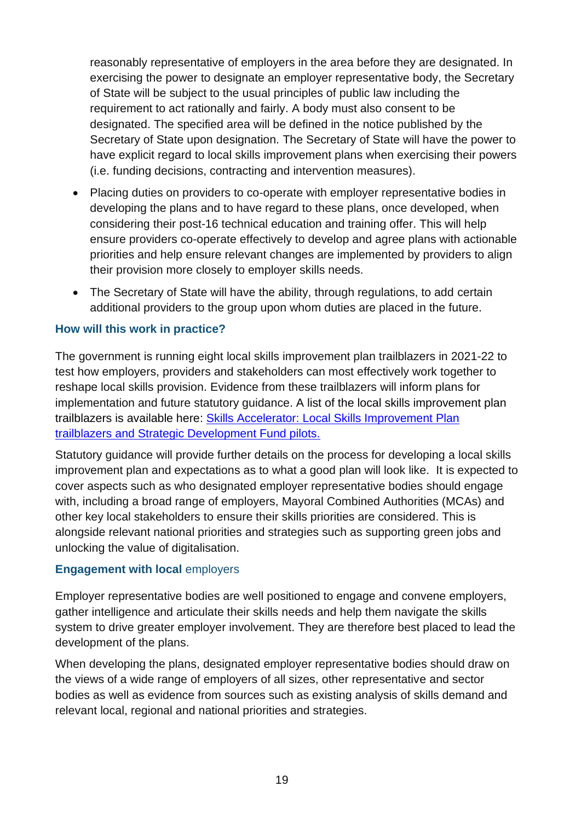reasonably representative of employers in the area before they are designated. In exercising the power to designate an employer representative body, the Secretary of State will be subject to the usual principles of public law including the requirement to act rationally and fairly. A body must also consent to be designated. The specified area will be defined in the notice published by the Secretary of State upon designation. The Secretary of State will have the power to have explicit regard to local skills improvement plans when exercising their powers (i.e. funding decisions, contracting and intervention measures).

- Placing duties on providers to co-operate with employer representative bodies in developing the plans and to have regard to these plans, once developed, when considering their post-16 technical education and training offer. This will help ensure providers co-operate effectively to develop and agree plans with actionable priorities and help ensure relevant changes are implemented by providers to align their provision more closely to employer skills needs.
- The Secretary of State will have the ability, through regulations, to add certain additional providers to the group upon whom duties are placed in the future.

#### **How will this work in practice?**

The government is running eight local skills improvement plan trailblazers in 2021-22 to test how employers, providers and stakeholders can most effectively work together to reshape local skills provision. Evidence from these trailblazers will inform plans for implementation and future statutory guidance. A list of the local skills improvement plan trailblazers is available here: Skills Accelerator: [Local Skills Improvement Plan](https://www.gov.uk/government/publications/skills-accelerator-trailblazers-and-pilots/skills-accelerator-local-skills-improvement-plan-trailblazers-and-strategic-development-fund-pilots)  [trailblazers and Strategic Development Fund pilots.](https://www.gov.uk/government/publications/skills-accelerator-trailblazers-and-pilots/skills-accelerator-local-skills-improvement-plan-trailblazers-and-strategic-development-fund-pilots)

Statutory guidance will provide further details on the process for developing a local skills improvement plan and expectations as to what a good plan will look like. It is expected to cover aspects such as who designated employer representative bodies should engage with, including a broad range of employers, Mayoral Combined Authorities (MCAs) and other key local stakeholders to ensure their skills priorities are considered. This is alongside relevant national priorities and strategies such as supporting green jobs and unlocking the value of digitalisation.

#### **Engagement with local** employers

Employer representative bodies are well positioned to engage and convene employers, gather intelligence and articulate their skills needs and help them navigate the skills system to drive greater employer involvement. They are therefore best placed to lead the development of the plans.

When developing the plans, designated employer representative bodies should draw on the views of a wide range of employers of all sizes, other representative and sector bodies as well as evidence from sources such as existing analysis of skills demand and relevant local, regional and national priorities and strategies.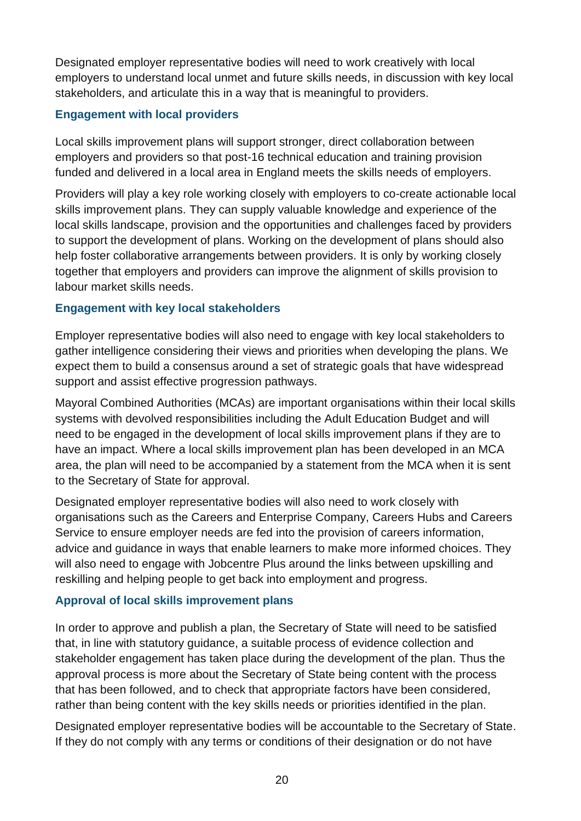Designated employer representative bodies will need to work creatively with local employers to understand local unmet and future skills needs, in discussion with key local stakeholders, and articulate this in a way that is meaningful to providers.

# **Engagement with local providers**

Local skills improvement plans will support stronger, direct collaboration between employers and providers so that post-16 technical education and training provision funded and delivered in a local area in England meets the skills needs of employers.

Providers will play a key role working closely with employers to co-create actionable local skills improvement plans. They can supply valuable knowledge and experience of the local skills landscape, provision and the opportunities and challenges faced by providers to support the development of plans. Working on the development of plans should also help foster collaborative arrangements between providers. It is only by working closely together that employers and providers can improve the alignment of skills provision to labour market skills needs.

## **Engagement with key local stakeholders**

Employer representative bodies will also need to engage with key local stakeholders to gather intelligence considering their views and priorities when developing the plans. We expect them to build a consensus around a set of strategic goals that have widespread support and assist effective progression pathways.

Mayoral Combined Authorities (MCAs) are important organisations within their local skills systems with devolved responsibilities including the Adult Education Budget and will need to be engaged in the development of local skills improvement plans if they are to have an impact. Where a local skills improvement plan has been developed in an MCA area, the plan will need to be accompanied by a statement from the MCA when it is sent to the Secretary of State for approval.

Designated employer representative bodies will also need to work closely with organisations such as the Careers and Enterprise Company, Careers Hubs and Careers Service to ensure employer needs are fed into the provision of careers information, advice and guidance in ways that enable learners to make more informed choices. They will also need to engage with Jobcentre Plus around the links between upskilling and reskilling and helping people to get back into employment and progress.

## **Approval of local skills improvement plans**

In order to approve and publish a plan, the Secretary of State will need to be satisfied that, in line with statutory guidance, a suitable process of evidence collection and stakeholder engagement has taken place during the development of the plan. Thus the approval process is more about the Secretary of State being content with the process that has been followed, and to check that appropriate factors have been considered, rather than being content with the key skills needs or priorities identified in the plan.

Designated employer representative bodies will be accountable to the Secretary of State. If they do not comply with any terms or conditions of their designation or do not have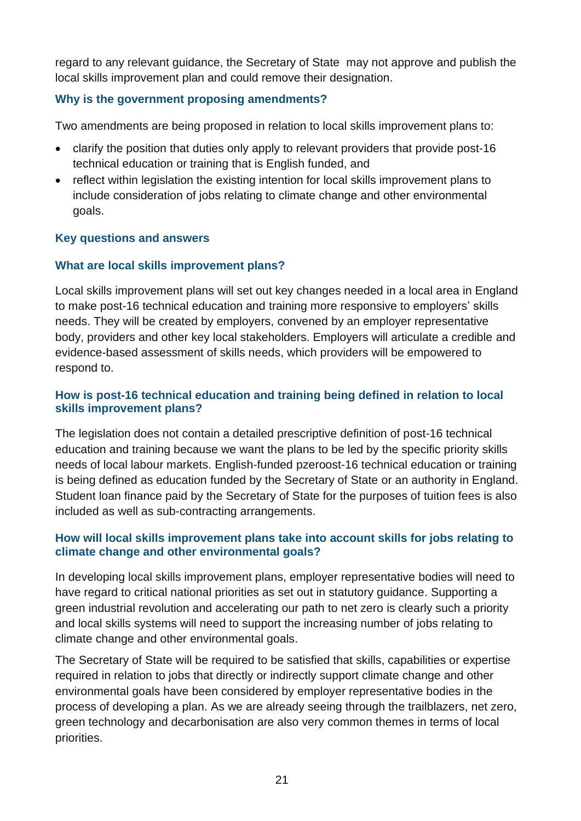regard to any relevant guidance, the Secretary of State may not approve and publish the local skills improvement plan and could remove their designation.

# **Why is the government proposing amendments?**

Two amendments are being proposed in relation to local skills improvement plans to:

- clarify the position that duties only apply to relevant providers that provide post-16 technical education or training that is English funded, and
- reflect within legislation the existing intention for local skills improvement plans to include consideration of jobs relating to climate change and other environmental goals.

# **Key questions and answers**

# **What are local skills improvement plans?**

Local skills improvement plans will set out key changes needed in a local area in England to make post-16 technical education and training more responsive to employers' skills needs. They will be created by employers, convened by an employer representative body, providers and other key local stakeholders. Employers will articulate a credible and evidence-based assessment of skills needs, which providers will be empowered to respond to.

## **How is post-16 technical education and training being defined in relation to local skills improvement plans?**

The legislation does not contain a detailed prescriptive definition of post-16 technical education and training because we want the plans to be led by the specific priority skills needs of local labour markets. English-funded pzeroost-16 technical education or training is being defined as education funded by the Secretary of State or an authority in England. Student loan finance paid by the Secretary of State for the purposes of tuition fees is also included as well as sub-contracting arrangements.

## **How will local skills improvement plans take into account skills for jobs relating to climate change and other environmental goals?**

In developing local skills improvement plans, employer representative bodies will need to have regard to critical national priorities as set out in statutory guidance. Supporting a green industrial revolution and accelerating our path to net zero is clearly such a priority and local skills systems will need to support the increasing number of jobs relating to climate change and other environmental goals.

The Secretary of State will be required to be satisfied that skills, capabilities or expertise required in relation to jobs that directly or indirectly support climate change and other environmental goals have been considered by employer representative bodies in the process of developing a plan. As we are already seeing through the trailblazers, net zero, green technology and decarbonisation are also very common themes in terms of local priorities.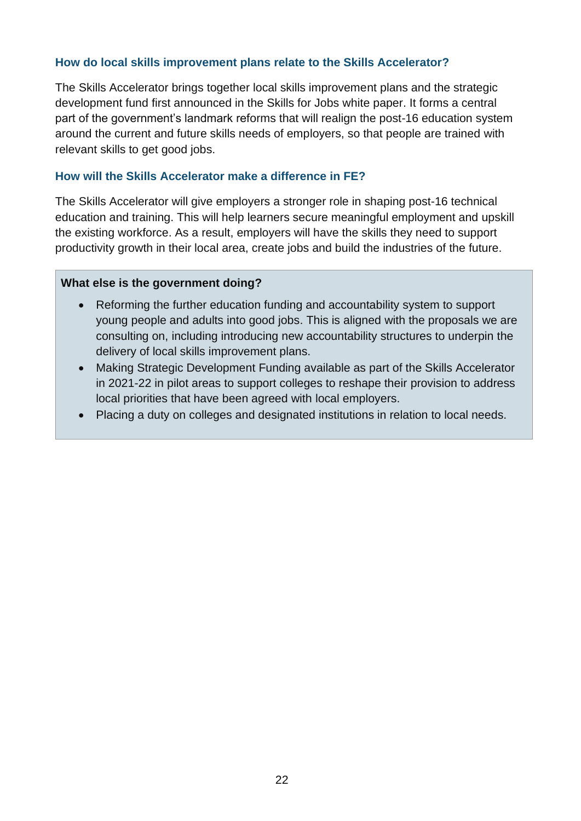#### **How do local skills improvement plans relate to the Skills Accelerator?**

The Skills Accelerator brings together local skills improvement plans and the strategic development fund first announced in the Skills for Jobs white paper. It forms a central part of the government's landmark reforms that will realign the post-16 education system around the current and future skills needs of employers, so that people are trained with relevant skills to get good jobs.

#### **How will the Skills Accelerator make a difference in FE?**

The Skills Accelerator will give employers a stronger role in shaping post-16 technical education and training. This will help learners secure meaningful employment and upskill the existing workforce. As a result, employers will have the skills they need to support productivity growth in their local area, create jobs and build the industries of the future.

#### **What else is the government doing?**

- Reforming the further education funding and accountability system to support young people and adults into good jobs. This is aligned with the proposals we are consulting on, including introducing new accountability structures to underpin the delivery of local skills improvement plans.
- Making Strategic Development Funding available as part of the Skills Accelerator in 2021-22 in pilot areas to support colleges to reshape their provision to address local priorities that have been agreed with local employers.
- Placing a duty on colleges and designated institutions in relation to local needs.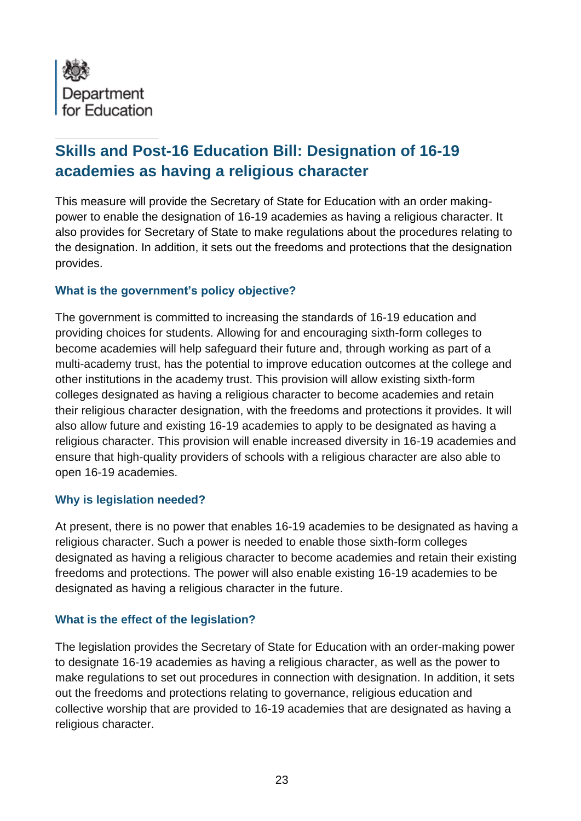<span id="page-30-0"></span>

# **Skills and Post-16 Education Bill: Designation of 16-19 academies as having a religious character**

This measure will provide the Secretary of State for Education with an order makingpower to enable the designation of 16-19 academies as having a religious character. It also provides for Secretary of State to make regulations about the procedures relating to the designation. In addition, it sets out the freedoms and protections that the designation provides.

## **What is the government's policy objective?**

The government is committed to increasing the standards of 16-19 education and providing choices for students. Allowing for and encouraging sixth-form colleges to become academies will help safeguard their future and, through working as part of a multi-academy trust, has the potential to improve education outcomes at the college and other institutions in the academy trust. This provision will allow existing sixth-form colleges designated as having a religious character to become academies and retain their religious character designation, with the freedoms and protections it provides. It will also allow future and existing 16-19 academies to apply to be designated as having a religious character. This provision will enable increased diversity in 16-19 academies and ensure that high-quality providers of schools with a religious character are also able to open 16-19 academies.

## **Why is legislation needed?**

At present, there is no power that enables 16-19 academies to be designated as having a religious character. Such a power is needed to enable those sixth-form colleges designated as having a religious character to become academies and retain their existing freedoms and protections. The power will also enable existing 16-19 academies to be designated as having a religious character in the future.

## **What is the effect of the legislation?**

The legislation provides the Secretary of State for Education with an order-making power to designate 16-19 academies as having a religious character, as well as the power to make regulations to set out procedures in connection with designation. In addition, it sets out the freedoms and protections relating to governance, religious education and collective worship that are provided to 16-19 academies that are designated as having a religious character.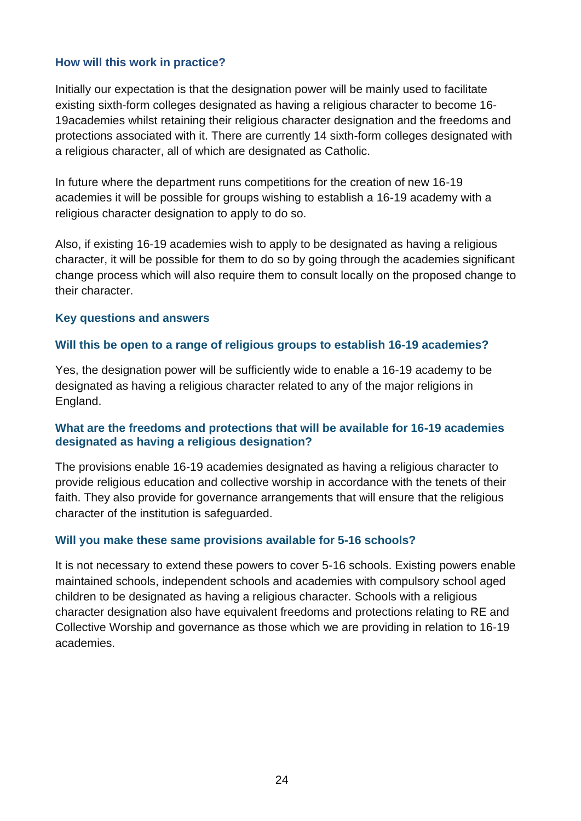#### **How will this work in practice?**

Initially our expectation is that the designation power will be mainly used to facilitate existing sixth-form colleges designated as having a religious character to become 16- 19academies whilst retaining their religious character designation and the freedoms and protections associated with it. There are currently 14 sixth-form colleges designated with a religious character, all of which are designated as Catholic.

In future where the department runs competitions for the creation of new 16-19 academies it will be possible for groups wishing to establish a 16-19 academy with a religious character designation to apply to do so.

Also, if existing 16-19 academies wish to apply to be designated as having a religious character, it will be possible for them to do so by going through the academies significant change process which will also require them to consult locally on the proposed change to their character.

#### **Key questions and answers**

#### **Will this be open to a range of religious groups to establish 16-19 academies?**

Yes, the designation power will be sufficiently wide to enable a 16-19 academy to be designated as having a religious character related to any of the major religions in England.

#### **What are the freedoms and protections that will be available for 16-19 academies designated as having a religious designation?**

The provisions enable 16-19 academies designated as having a religious character to provide religious education and collective worship in accordance with the tenets of their faith. They also provide for governance arrangements that will ensure that the religious character of the institution is safeguarded.

#### **Will you make these same provisions available for 5-16 schools?**

It is not necessary to extend these powers to cover 5-16 schools. Existing powers enable maintained schools, independent schools and academies with compulsory school aged children to be designated as having a religious character. Schools with a religious character designation also have equivalent freedoms and protections relating to RE and Collective Worship and governance as those which we are providing in relation to 16-19 academies.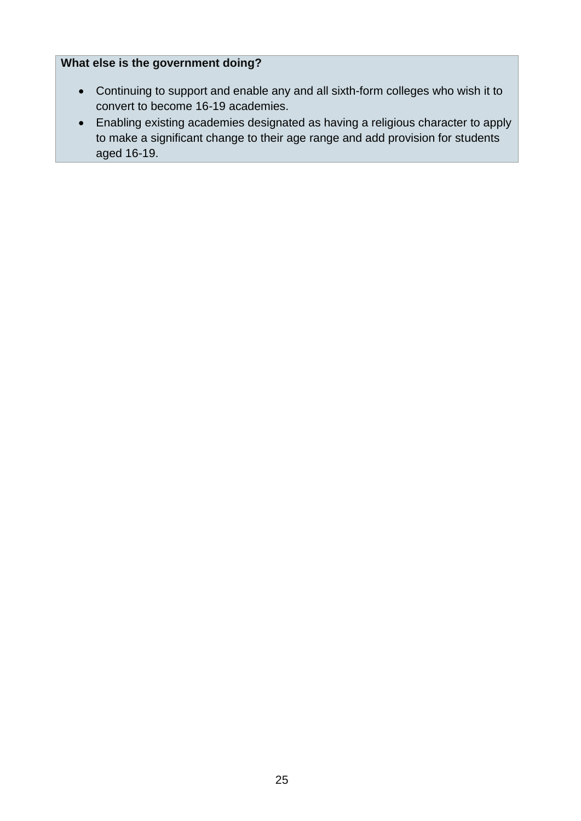# **What else is the government doing?**

- Continuing to support and enable any and all sixth-form colleges who wish it to convert to become 16-19 academies.
- Enabling existing academies designated as having a religious character to apply to make a significant change to their age range and add provision for students aged 16-19.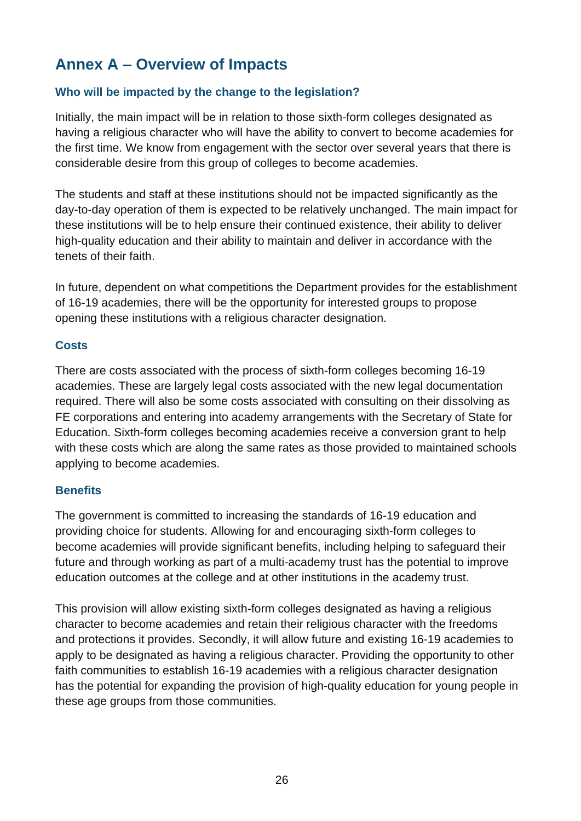# **Annex A – Overview of Impacts**

# **Who will be impacted by the change to the legislation?**

Initially, the main impact will be in relation to those sixth-form colleges designated as having a religious character who will have the ability to convert to become academies for the first time. We know from engagement with the sector over several years that there is considerable desire from this group of colleges to become academies.

The students and staff at these institutions should not be impacted significantly as the day-to-day operation of them is expected to be relatively unchanged. The main impact for these institutions will be to help ensure their continued existence, their ability to deliver high-quality education and their ability to maintain and deliver in accordance with the tenets of their faith.

In future, dependent on what competitions the Department provides for the establishment of 16-19 academies, there will be the opportunity for interested groups to propose opening these institutions with a religious character designation.

#### **Costs**

There are costs associated with the process of sixth-form colleges becoming 16-19 academies. These are largely legal costs associated with the new legal documentation required. There will also be some costs associated with consulting on their dissolving as FE corporations and entering into academy arrangements with the Secretary of State for Education. Sixth-form colleges becoming academies receive a conversion grant to help with these costs which are along the same rates as those provided to maintained schools applying to become academies.

## **Benefits**

The government is committed to increasing the standards of 16-19 education and providing choice for students. Allowing for and encouraging sixth-form colleges to become academies will provide significant benefits, including helping to safeguard their future and through working as part of a multi-academy trust has the potential to improve education outcomes at the college and at other institutions in the academy trust.

This provision will allow existing sixth-form colleges designated as having a religious character to become academies and retain their religious character with the freedoms and protections it provides. Secondly, it will allow future and existing 16-19 academies to apply to be designated as having a religious character. Providing the opportunity to other faith communities to establish 16-19 academies with a religious character designation has the potential for expanding the provision of high-quality education for young people in these age groups from those communities.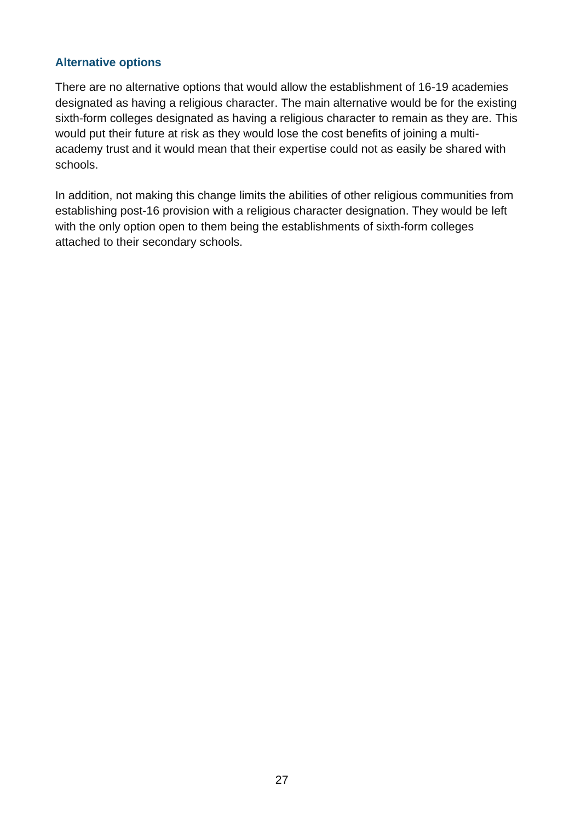## **Alternative options**

There are no alternative options that would allow the establishment of 16-19 academies designated as having a religious character. The main alternative would be for the existing sixth-form colleges designated as having a religious character to remain as they are. This would put their future at risk as they would lose the cost benefits of joining a multiacademy trust and it would mean that their expertise could not as easily be shared with schools.

In addition, not making this change limits the abilities of other religious communities from establishing post-16 provision with a religious character designation. They would be left with the only option open to them being the establishments of sixth-form colleges attached to their secondary schools.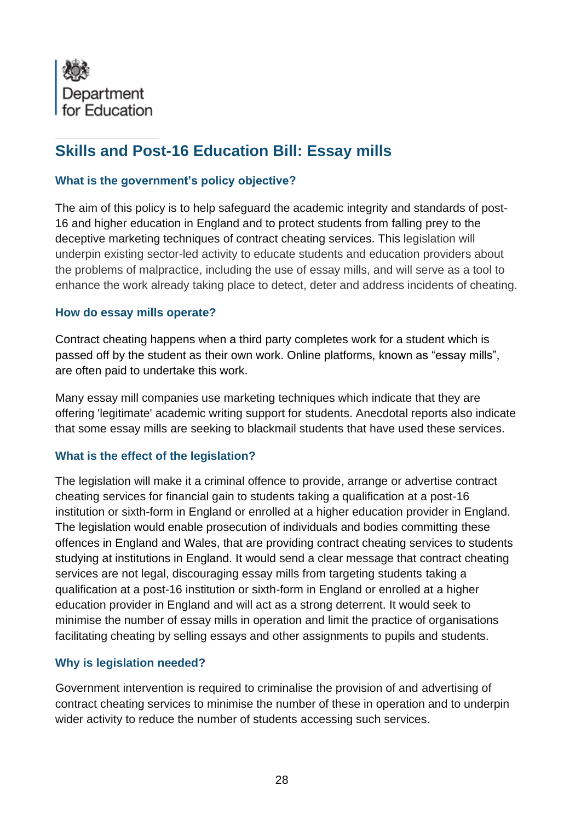<span id="page-35-0"></span>

# **Skills and Post-16 Education Bill: Essay mills**

## **What is the government's policy objective?**

The aim of this policy is to help safeguard the academic integrity and standards of post-16 and higher education in England and to protect students from falling prey to the deceptive marketing techniques of contract cheating services. This legislation will underpin existing sector-led activity to educate students and education providers about the problems of malpractice, including the use of essay mills, and will serve as a tool to enhance the work already taking place to detect, deter and address incidents of cheating.

## **How do essay mills operate?**

Contract cheating happens when a third party completes work for a student which is passed off by the student as their own work. Online platforms, known as "essay mills", are often paid to undertake this work.

Many essay mill companies use marketing techniques which indicate that they are offering 'legitimate' academic writing support for students. Anecdotal reports also indicate that some essay mills are seeking to blackmail students that have used these services.

## **What is the effect of the legislation?**

The legislation will make it a criminal offence to provide, arrange or advertise contract cheating services for financial gain to students taking a qualification at a post-16 institution or sixth-form in England or enrolled at a higher education provider in England. The legislation would enable prosecution of individuals and bodies committing these offences in England and Wales, that are providing contract cheating services to students studying at institutions in England. It would send a clear message that contract cheating services are not legal, discouraging essay mills from targeting students taking a qualification at a post-16 institution or sixth-form in England or enrolled at a higher education provider in England and will act as a strong deterrent. It would seek to minimise the number of essay mills in operation and limit the practice of organisations facilitating cheating by selling essays and other assignments to pupils and students.

## **Why is legislation needed?**

Government intervention is required to criminalise the provision of and advertising of contract cheating services to minimise the number of these in operation and to underpin wider activity to reduce the number of students accessing such services.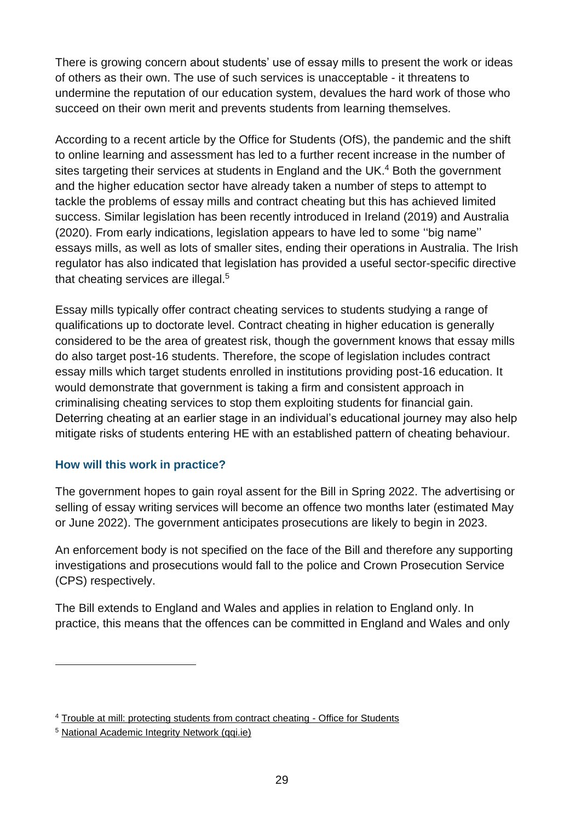There is growing concern about students' use of essay mills to present the work or ideas of others as their own. The use of such services is unacceptable - it threatens to undermine the reputation of our education system, devalues the hard work of those who succeed on their own merit and prevents students from learning themselves.

According to a recent article by the Office for Students (OfS), the pandemic and the shift to online learning and assessment has led to a further recent increase in the number of sites targeting their services at students in England and the UK.<sup>4</sup> Both the government and the higher education sector have already taken a number of steps to attempt to tackle the problems of essay mills and contract cheating but this has achieved limited success. Similar legislation has been recently introduced in Ireland (2019) and Australia (2020). From early indications, legislation appears to have led to some ''big name'' essays mills, as well as lots of smaller sites, ending their operations in Australia. The Irish regulator has also indicated that legislation has provided a useful sector-specific directive that cheating services are illegal.<sup>5</sup>

Essay mills typically offer contract cheating services to students studying a range of qualifications up to doctorate level. Contract cheating in higher education is generally considered to be the area of greatest risk, though the government knows that essay mills do also target post-16 students. Therefore, the scope of legislation includes contract essay mills which target students enrolled in institutions providing post-16 education. It would demonstrate that government is taking a firm and consistent approach in criminalising cheating services to stop them exploiting students for financial gain. Deterring cheating at an earlier stage in an individual's educational journey may also help mitigate risks of students entering HE with an established pattern of cheating behaviour.

## **How will this work in practice?**

The government hopes to gain royal assent for the Bill in Spring 2022. The advertising or selling of essay writing services will become an offence two months later (estimated May or June 2022). The government anticipates prosecutions are likely to begin in 2023.

An enforcement body is not specified on the face of the Bill and therefore any supporting investigations and prosecutions would fall to the police and Crown Prosecution Service (CPS) respectively.

The Bill extends to England and Wales and applies in relation to England only. In practice, this means that the offences can be committed in England and Wales and only

<sup>4</sup> [Trouble at mill: protecting students from contract cheating -](https://www.officeforstudents.org.uk/news-blog-and-events/blog/trouble-at-mill-protecting-students-from-contract-cheating/) Office for Students

<sup>5</sup> [National Academic Integrity Network \(qqi.ie\)](https://www.qqi.ie/Articles/Pages/National-Academic-Integrity-Network.aspx)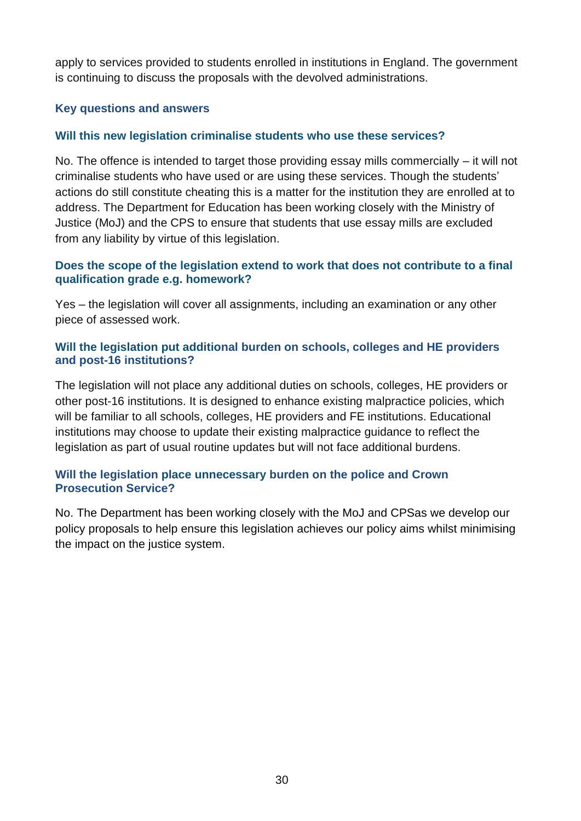apply to services provided to students enrolled in institutions in England. The government is continuing to discuss the proposals with the devolved administrations.

#### **Key questions and answers**

#### **Will this new legislation criminalise students who use these services?**

No. The offence is intended to target those providing essay mills commercially – it will not criminalise students who have used or are using these services. Though the students' actions do still constitute cheating this is a matter for the institution they are enrolled at to address. The Department for Education has been working closely with the Ministry of Justice (MoJ) and the CPS to ensure that students that use essay mills are excluded from any liability by virtue of this legislation.

#### **Does the scope of the legislation extend to work that does not contribute to a final qualification grade e.g. homework?**

Yes – the legislation will cover all assignments, including an examination or any other piece of assessed work.

#### **Will the legislation put additional burden on schools, colleges and HE providers and post-16 institutions?**

The legislation will not place any additional duties on schools, colleges, HE providers or other post-16 institutions. It is designed to enhance existing malpractice policies, which will be familiar to all schools, colleges, HE providers and FE institutions. Educational institutions may choose to update their existing malpractice guidance to reflect the legislation as part of usual routine updates but will not face additional burdens.

#### **Will the legislation place unnecessary burden on the police and Crown Prosecution Service?**

No. The Department has been working closely with the MoJ and CPSas we develop our policy proposals to help ensure this legislation achieves our policy aims whilst minimising the impact on the justice system.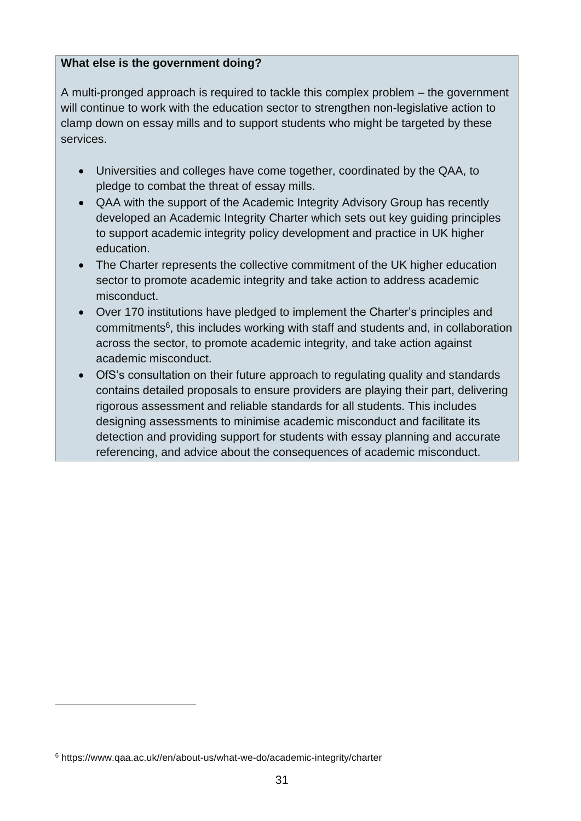## **What else is the government doing?**

A multi-pronged approach is required to tackle this complex problem – the government will continue to work with the education sector to strengthen non-legislative action to clamp down on essay mills and to support students who might be targeted by these services.

- Universities and colleges have come together, coordinated by the QAA, to pledge to combat the threat of essay mills.
- QAA with the support of the Academic Integrity Advisory Group has recently developed an Academic Integrity Charter which sets out key guiding principles to support academic integrity policy development and practice in UK higher education.
- The Charter represents the collective commitment of the UK higher education sector to promote academic integrity and take action to address academic misconduct.
- Over 170 institutions have pledged to implement the Charter's principles and commitments<sup>6</sup>, this includes working with staff and students and, in collaboration across the sector, to promote academic integrity, and take action against academic misconduct.
- OfS's consultation on their future approach to regulating quality and standards contains detailed proposals to ensure providers are playing their part, delivering rigorous assessment and reliable standards for all students. This includes designing assessments to minimise academic misconduct and facilitate its detection and providing support for students with essay planning and accurate referencing, and advice about the consequences of academic misconduct.

<sup>6</sup> https://www.qaa.ac.uk//en/about-us/what-we-do/academic-integrity/charter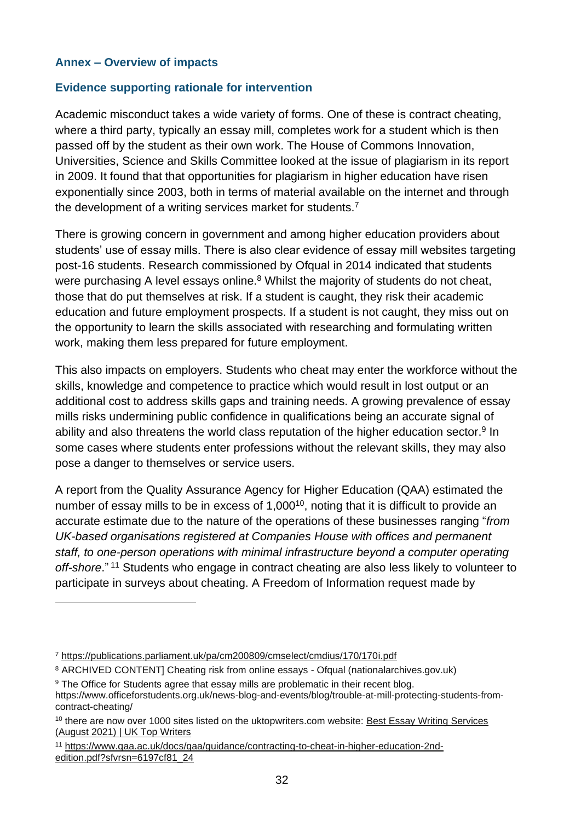#### **Annex – Overview of impacts**

#### **Evidence supporting rationale for intervention**

Academic misconduct takes a wide variety of forms. One of these is contract cheating, where a third party, typically an essay mill, completes work for a student which is then passed off by the student as their own work. The House of Commons Innovation, Universities, Science and Skills Committee looked at the issue of plagiarism in its report in 2009. It found that that opportunities for plagiarism in higher education have risen exponentially since 2003, both in terms of material available on the internet and through the development of a writing services market for students.<sup>7</sup>

There is growing concern in government and among higher education providers about students' use of essay mills. There is also clear evidence of essay mill websites targeting post-16 students. Research commissioned by Ofqual in 2014 indicated that students were purchasing A level essays online.<sup>8</sup> Whilst the majority of students do not cheat, those that do put themselves at risk. If a student is caught, they risk their academic education and future employment prospects. If a student is not caught, they miss out on the opportunity to learn the skills associated with researching and formulating written work, making them less prepared for future employment.

This also impacts on employers. Students who cheat may enter the workforce without the skills, knowledge and competence to practice which would result in lost output or an additional cost to address skills gaps and training needs. A growing prevalence of essay mills risks undermining public confidence in qualifications being an accurate signal of ability and also threatens the world class reputation of the higher education sector.<sup>9</sup> In some cases where students enter professions without the relevant skills, they may also pose a danger to themselves or service users.

A report from the Quality Assurance Agency for Higher Education (QAA) estimated the number of essay mills to be in excess of 1,000<sup>10</sup>, noting that it is difficult to provide an accurate estimate due to the nature of the operations of these businesses ranging "*from UK-based organisations registered at Companies House with offices and permanent staff, to one-person operations with minimal infrastructure beyond a computer operating off-shore*." <sup>11</sup> Students who engage in contract cheating are also less likely to volunteer to participate in surveys about cheating. A Freedom of Information request made by

- 8 ARCHIVED CONTENT] Cheating risk from online essays Ofqual (nationalarchives.gov.uk)
- <sup>9</sup> The Office for Students agree that essay mills are problematic in their recent blog. https://www.officeforstudents.org.uk/news-blog-and-events/blog/trouble-at-mill-protecting-students-fromcontract-cheating/

<sup>7</sup> <https://publications.parliament.uk/pa/cm200809/cmselect/cmdius/170/170i.pdf>

<sup>&</sup>lt;sup>10</sup> there are now over 1000 sites listed on the uktopwriters.com website: Best Essay Writing Services [\(August 2021\) | UK Top Writers](https://uktopwriters.com/best-essay-writing-services/)

<sup>11</sup> [https://www.qaa.ac.uk/docs/qaa/guidance/contracting-to-cheat-in-higher-education-2nd](https://www.qaa.ac.uk/docs/qaa/guidance/contracting-to-cheat-in-higher-education-2nd-edition.pdf?sfvrsn=6197cf81_24)[edition.pdf?sfvrsn=6197cf81\\_24](https://www.qaa.ac.uk/docs/qaa/guidance/contracting-to-cheat-in-higher-education-2nd-edition.pdf?sfvrsn=6197cf81_24)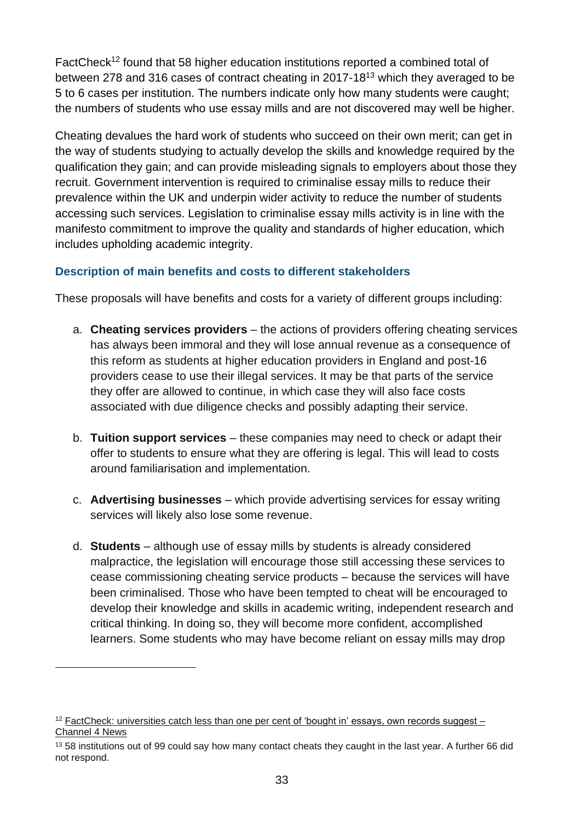FactCheck<sup>12</sup> found that 58 higher education institutions reported a combined total of between 278 and 316 cases of contract cheating in 2017-18<sup>13</sup> which they averaged to be 5 to 6 cases per institution. The numbers indicate only how many students were caught; the numbers of students who use essay mills and are not discovered may well be higher.

Cheating devalues the hard work of students who succeed on their own merit; can get in the way of students studying to actually develop the skills and knowledge required by the qualification they gain; and can provide misleading signals to employers about those they recruit. Government intervention is required to criminalise essay mills to reduce their prevalence within the UK and underpin wider activity to reduce the number of students accessing such services. Legislation to criminalise essay mills activity is in line with the manifesto commitment to improve the quality and standards of higher education, which includes upholding academic integrity.

## **Description of main benefits and costs to different stakeholders**

These proposals will have benefits and costs for a variety of different groups including:

- a. **Cheating services providers** the actions of providers offering cheating services has always been immoral and they will lose annual revenue as a consequence of this reform as students at higher education providers in England and post-16 providers cease to use their illegal services. It may be that parts of the service they offer are allowed to continue, in which case they will also face costs associated with due diligence checks and possibly adapting their service.
- b. **Tuition support services** these companies may need to check or adapt their offer to students to ensure what they are offering is legal. This will lead to costs around familiarisation and implementation.
- c. **Advertising businesses** which provide advertising services for essay writing services will likely also lose some revenue.
- d. **Students** although use of essay mills by students is already considered malpractice, the legislation will encourage those still accessing these services to cease commissioning cheating service products – because the services will have been criminalised. Those who have been tempted to cheat will be encouraged to develop their knowledge and skills in academic writing, independent research and critical thinking. In doing so, they will become more confident, accomplished learners. Some students who may have become reliant on essay mills may drop

 $12$  FactCheck: universities catch less than one per [cent of 'bought in' essays, own records suggest –](https://www.channel4.com/news/factcheck/factcheck-universities-catch-less-than-one-per-cent-of-bought-in-essays-own-records-suggest) [Channel 4 News](https://www.channel4.com/news/factcheck/factcheck-universities-catch-less-than-one-per-cent-of-bought-in-essays-own-records-suggest)

<sup>13</sup> 58 institutions out of 99 could say how many contact cheats they caught in the last year. A further 66 did not respond.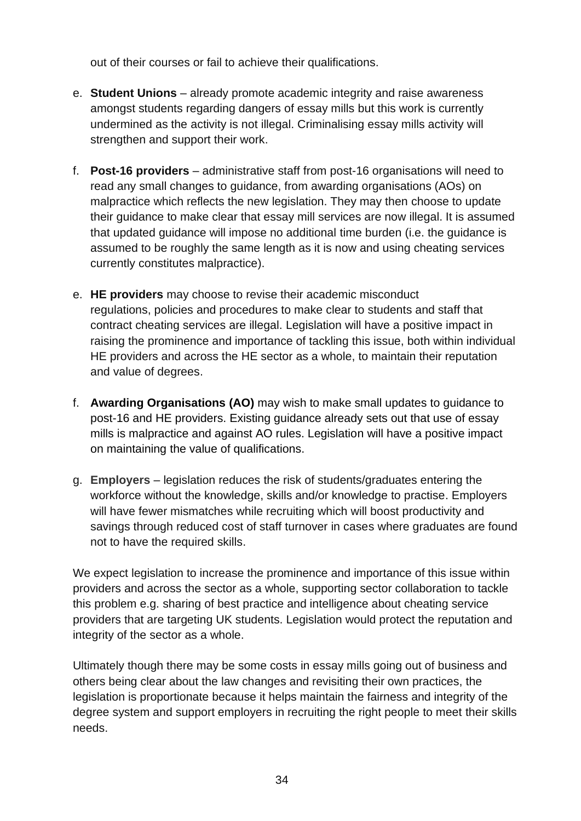out of their courses or fail to achieve their qualifications.

- e. **Student Unions** already promote academic integrity and raise awareness amongst students regarding dangers of essay mills but this work is currently undermined as the activity is not illegal. Criminalising essay mills activity will strengthen and support their work.
- f. **Post-16 providers** administrative staff from post-16 organisations will need to read any small changes to guidance, from awarding organisations (AOs) on malpractice which reflects the new legislation. They may then choose to update their guidance to make clear that essay mill services are now illegal. It is assumed that updated guidance will impose no additional time burden (i.e. the guidance is assumed to be roughly the same length as it is now and using cheating services currently constitutes malpractice).
- e. **HE providers** may choose to revise their academic misconduct regulations, policies and procedures to make clear to students and staff that contract cheating services are illegal. Legislation will have a positive impact in raising the prominence and importance of tackling this issue, both within individual HE providers and across the HE sector as a whole, to maintain their reputation and value of degrees.
- f. **Awarding Organisations (AO)** may wish to make small updates to guidance to post-16 and HE providers. Existing guidance already sets out that use of essay mills is malpractice and against AO rules. Legislation will have a positive impact on maintaining the value of qualifications.
- g. **Employers** legislation reduces the risk of students/graduates entering the workforce without the knowledge, skills and/or knowledge to practise. Employers will have fewer mismatches while recruiting which will boost productivity and savings through reduced cost of staff turnover in cases where graduates are found not to have the required skills.

We expect legislation to increase the prominence and importance of this issue within providers and across the sector as a whole, supporting sector collaboration to tackle this problem e.g. sharing of best practice and intelligence about cheating service providers that are targeting UK students. Legislation would protect the reputation and integrity of the sector as a whole.

Ultimately though there may be some costs in essay mills going out of business and others being clear about the law changes and revisiting their own practices, the legislation is proportionate because it helps maintain the fairness and integrity of the degree system and support employers in recruiting the right people to meet their skills needs.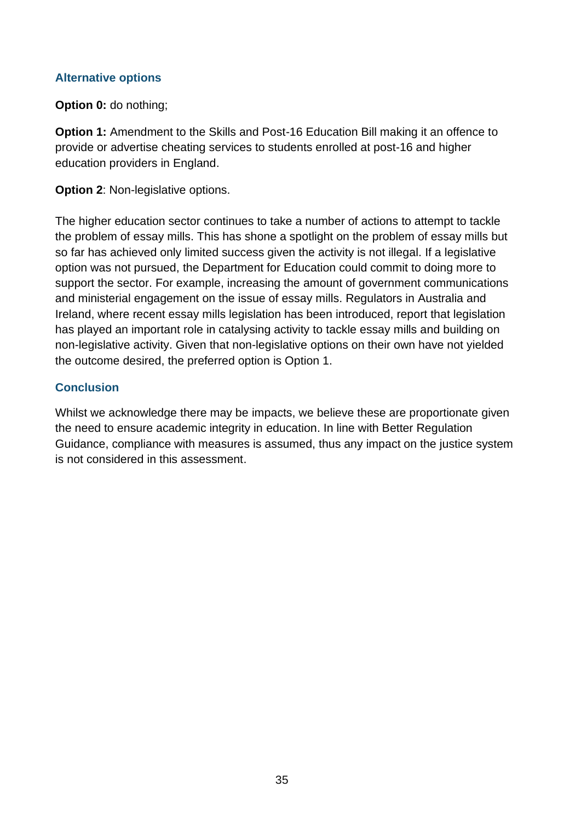## **Alternative options**

**Option 0: do nothing;** 

**Option 1:** Amendment to the Skills and Post-16 Education Bill making it an offence to provide or advertise cheating services to students enrolled at post-16 and higher education providers in England.

**Option 2: Non-legislative options.** 

The higher education sector continues to take a number of actions to attempt to tackle the problem of essay mills. This has shone a spotlight on the problem of essay mills but so far has achieved only limited success given the activity is not illegal. If a legislative option was not pursued, the Department for Education could commit to doing more to support the sector. For example, increasing the amount of government communications and ministerial engagement on the issue of essay mills. Regulators in Australia and Ireland, where recent essay mills legislation has been introduced, report that legislation has played an important role in catalysing activity to tackle essay mills and building on non-legislative activity. Given that non-legislative options on their own have not yielded the outcome desired, the preferred option is Option 1.

## **Conclusion**

Whilst we acknowledge there may be impacts, we believe these are proportionate given the need to ensure academic integrity in education. In line with Better Regulation Guidance, compliance with measures is assumed, thus any impact on the justice system is not considered in this assessment.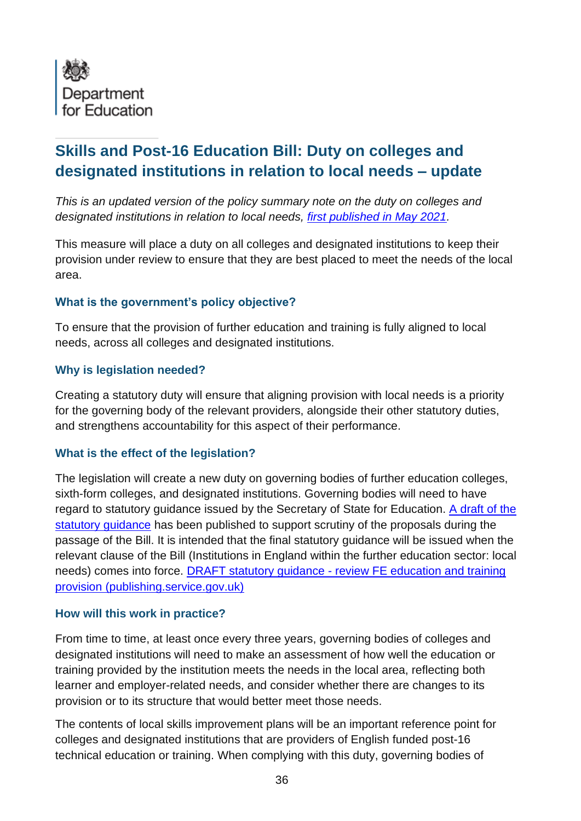

# **Skills and Post-16 Education Bill: Duty on colleges and designated institutions in relation to local needs – update**

*This is an updated version of the policy summary note on the duty on colleges and designated institutions in relation to local needs, [first published in May 2021.](https://assets.publishing.service.gov.uk/government/uploads/system/uploads/attachment_data/file/988605/Skills_and_Post-16_Education_Bill_-_Summary_Policy_Notes.pdf)* 

This measure will place a duty on all colleges and designated institutions to keep their provision under review to ensure that they are best placed to meet the needs of the local area.

## **What is the government's policy objective?**

To ensure that the provision of further education and training is fully aligned to local needs, across all colleges and designated institutions.

#### **Why is legislation needed?**

Creating a statutory duty will ensure that aligning provision with local needs is a priority for the governing body of the relevant providers, alongside their other statutory duties, and strengthens accountability for this aspect of their performance.

## **What is the effect of the legislation?**

The legislation will create a new duty on governing bodies of further education colleges, sixth-form colleges, and designated institutions. Governing bodies will need to have regard to statutory guidance issued by the Secretary of State for Education. [A draft of the](https://assets.publishing.service.gov.uk/government/uploads/system/uploads/attachment_data/file/998268/DRAFT_statutory_guidance_-_review_FE_education_and_training_provision.pdf#:~:text=This%20statutory%20guidance%20sets%20out%20key%20principles%20to,training%20provided%20by%20the%20institution%20meets%20local%20needs.)  [statutory guidance](https://assets.publishing.service.gov.uk/government/uploads/system/uploads/attachment_data/file/998268/DRAFT_statutory_guidance_-_review_FE_education_and_training_provision.pdf#:~:text=This%20statutory%20guidance%20sets%20out%20key%20principles%20to,training%20provided%20by%20the%20institution%20meets%20local%20needs.) has been published to support scrutiny of the proposals during the passage of the Bill. It is intended that the final statutory guidance will be issued when the relevant clause of the Bill (Institutions in England within the further education sector: local needs) comes into force. DRAFT statutory guidance - [review FE education and training](https://assets.publishing.service.gov.uk/government/uploads/system/uploads/attachment_data/file/998268/DRAFT_statutory_guidance_-_review_FE_education_and_training_provision.pdf#:~:text=This%20statutory%20guidance%20sets%20out%20key%20principles%20to,training%20provided%20by%20the%20institution%20meets%20local%20needs.)  [provision \(publishing.service.gov.uk\)](https://assets.publishing.service.gov.uk/government/uploads/system/uploads/attachment_data/file/998268/DRAFT_statutory_guidance_-_review_FE_education_and_training_provision.pdf#:~:text=This%20statutory%20guidance%20sets%20out%20key%20principles%20to,training%20provided%20by%20the%20institution%20meets%20local%20needs.)

#### **How will this work in practice?**

From time to time, at least once every three years, governing bodies of colleges and designated institutions will need to make an assessment of how well the education or training provided by the institution meets the needs in the local area, reflecting both learner and employer-related needs, and consider whether there are changes to its provision or to its structure that would better meet those needs.

The contents of local skills improvement plans will be an important reference point for colleges and designated institutions that are providers of English funded post-16 technical education or training. When complying with this duty, governing bodies of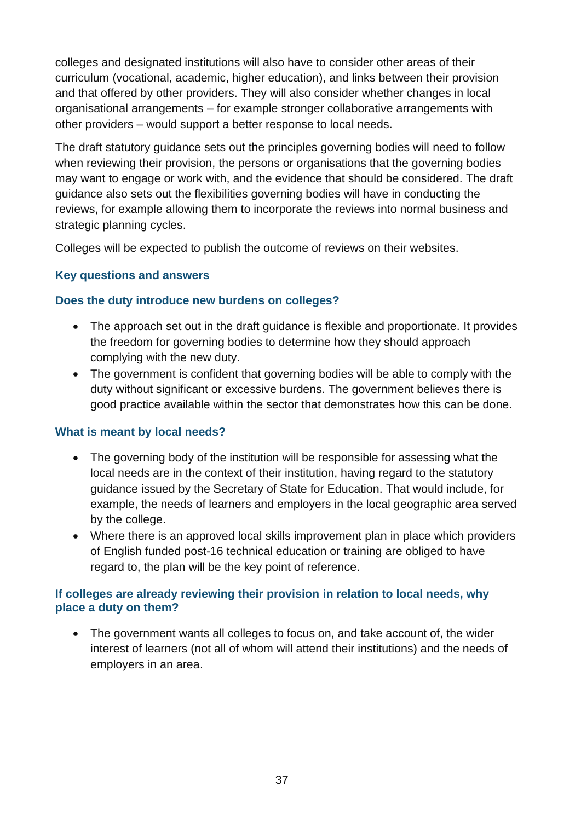colleges and designated institutions will also have to consider other areas of their curriculum (vocational, academic, higher education), and links between their provision and that offered by other providers. They will also consider whether changes in local organisational arrangements – for example stronger collaborative arrangements with other providers – would support a better response to local needs.

The draft statutory guidance sets out the principles governing bodies will need to follow when reviewing their provision, the persons or organisations that the governing bodies may want to engage or work with, and the evidence that should be considered. The draft guidance also sets out the flexibilities governing bodies will have in conducting the reviews, for example allowing them to incorporate the reviews into normal business and strategic planning cycles.

Colleges will be expected to publish the outcome of reviews on their websites.

# **Key questions and answers**

## **Does the duty introduce new burdens on colleges?**

- The approach set out in the draft guidance is flexible and proportionate. It provides the freedom for governing bodies to determine how they should approach complying with the new duty.
- The government is confident that governing bodies will be able to comply with the duty without significant or excessive burdens. The government believes there is good practice available within the sector that demonstrates how this can be done.

# **What is meant by local needs?**

- The governing body of the institution will be responsible for assessing what the local needs are in the context of their institution, having regard to the statutory guidance issued by the Secretary of State for Education. That would include, for example, the needs of learners and employers in the local geographic area served by the college.
- Where there is an approved local skills improvement plan in place which providers of English funded post-16 technical education or training are obliged to have regard to, the plan will be the key point of reference.

## **If colleges are already reviewing their provision in relation to local needs, why place a duty on them?**

• The government wants all colleges to focus on, and take account of, the wider interest of learners (not all of whom will attend their institutions) and the needs of employers in an area.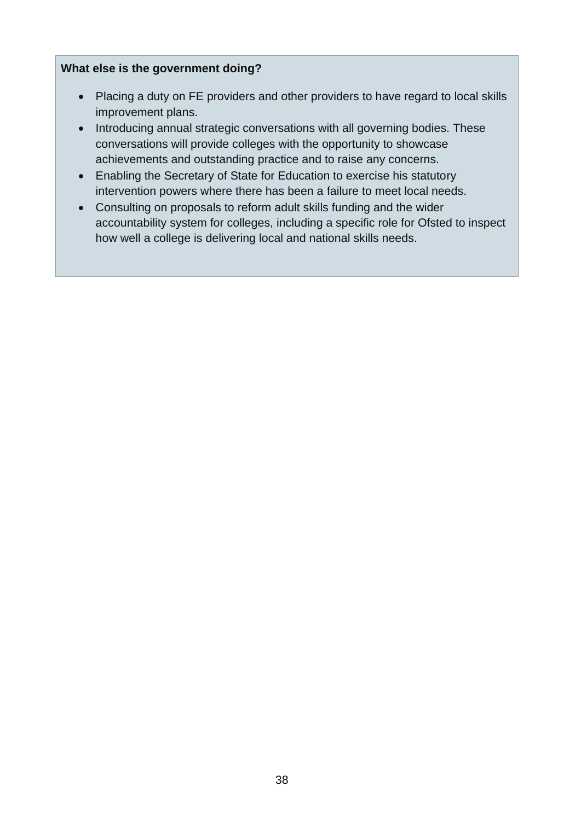## **What else is the government doing?**

- Placing a duty on FE providers and other providers to have regard to local skills improvement plans.
- Introducing annual strategic conversations with all governing bodies. These conversations will provide colleges with the opportunity to showcase achievements and outstanding practice and to raise any concerns.
- Enabling the Secretary of State for Education to exercise his statutory intervention powers where there has been a failure to meet local needs.
- Consulting on proposals to reform adult skills funding and the wider accountability system for colleges, including a specific role for Ofsted to inspect how well a college is delivering local and national skills needs.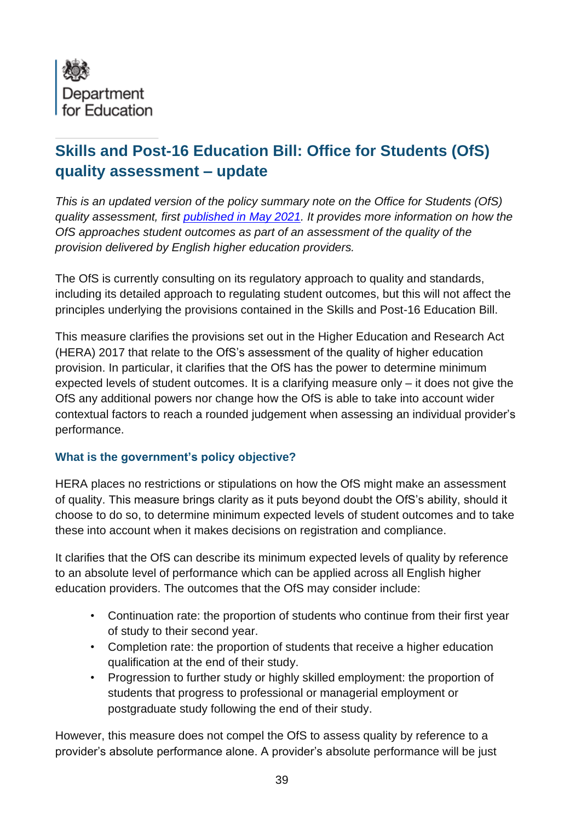

# **Skills and Post-16 Education Bill: Office for Students (OfS) quality assessment – update**

*This is an updated version of the policy summary note on the Office for Students (OfS) quality assessment, first [published in May](https://assets.publishing.service.gov.uk/government/uploads/system/uploads/attachment_data/file/988605/Skills_and_Post-16_Education_Bill_-_Summary_Policy_Notes.pdf) 2021. It provides more information on how the OfS approaches student outcomes as part of an assessment of the quality of the provision delivered by English higher education providers.*

The OfS is currently consulting on its regulatory approach to quality and standards, including its detailed approach to regulating student outcomes, but this will not affect the principles underlying the provisions contained in the Skills and Post-16 Education Bill.

This measure clarifies the provisions set out in the Higher Education and Research Act (HERA) 2017 that relate to the OfS's assessment of the quality of higher education provision. In particular, it clarifies that the OfS has the power to determine minimum expected levels of student outcomes. It is a clarifying measure only – it does not give the OfS any additional powers nor change how the OfS is able to take into account wider contextual factors to reach a rounded judgement when assessing an individual provider's performance.

## **What is the government's policy objective?**

HERA places no restrictions or stipulations on how the OfS might make an assessment of quality. This measure brings clarity as it puts beyond doubt the OfS's ability, should it choose to do so, to determine minimum expected levels of student outcomes and to take these into account when it makes decisions on registration and compliance.

It clarifies that the OfS can describe its minimum expected levels of quality by reference to an absolute level of performance which can be applied across all English higher education providers. The outcomes that the OfS may consider include:

- Continuation rate: the proportion of students who continue from their first year of study to their second year.
- Completion rate: the proportion of students that receive a higher education qualification at the end of their study.
- Progression to further study or highly skilled employment: the proportion of students that progress to professional or managerial employment or postgraduate study following the end of their study.

However, this measure does not compel the OfS to assess quality by reference to a provider's absolute performance alone. A provider's absolute performance will be just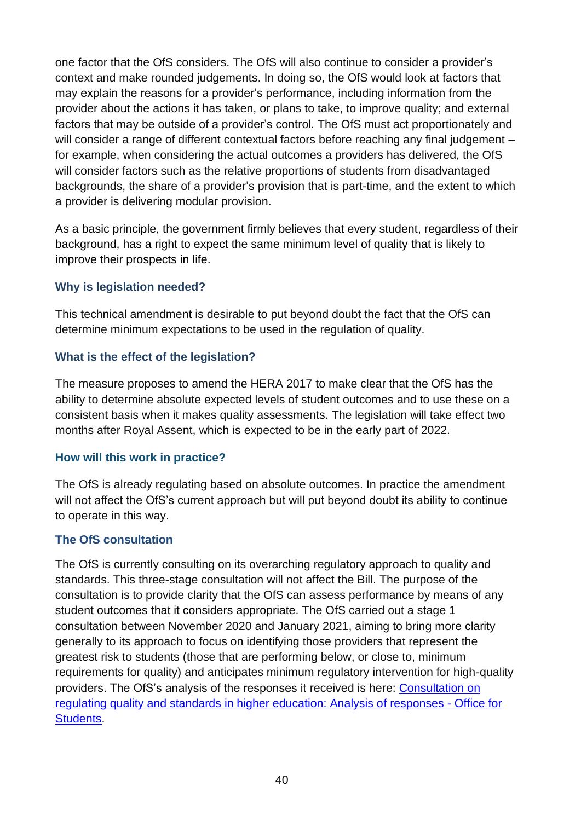one factor that the OfS considers. The OfS will also continue to consider a provider's context and make rounded judgements. In doing so, the OfS would look at factors that may explain the reasons for a provider's performance, including information from the provider about the actions it has taken, or plans to take, to improve quality; and external factors that may be outside of a provider's control. The OfS must act proportionately and will consider a range of different contextual factors before reaching any final judgement – for example, when considering the actual outcomes a providers has delivered, the OfS will consider factors such as the relative proportions of students from disadvantaged backgrounds, the share of a provider's provision that is part-time, and the extent to which a provider is delivering modular provision.

As a basic principle, the government firmly believes that every student, regardless of their background, has a right to expect the same minimum level of quality that is likely to improve their prospects in life.

## **Why is legislation needed?**

This technical amendment is desirable to put beyond doubt the fact that the OfS can determine minimum expectations to be used in the regulation of quality.

## **What is the effect of the legislation?**

The measure proposes to amend the HERA 2017 to make clear that the OfS has the ability to determine absolute expected levels of student outcomes and to use these on a consistent basis when it makes quality assessments. The legislation will take effect two months after Royal Assent, which is expected to be in the early part of 2022.

# **How will this work in practice?**

The OfS is already regulating based on absolute outcomes. In practice the amendment will not affect the OfS's current approach but will put beyond doubt its ability to continue to operate in this way.

# **The OfS consultation**

The OfS is currently consulting on its overarching regulatory approach to quality and standards. This three-stage consultation will not affect the Bill. The purpose of the consultation is to provide clarity that the OfS can assess performance by means of any student outcomes that it considers appropriate. The OfS carried out a stage 1 consultation between November 2020 and January 2021, aiming to bring more clarity generally to its approach to focus on identifying those providers that represent the greatest risk to students (those that are performing below, or close to, minimum requirements for quality) and anticipates minimum regulatory intervention for high-quality providers. The OfS's analysis of the responses it received is here: [Consultation on](https://www.officeforstudents.org.uk/publications/consultation-on-regulating-quality-and-standards-in-higher-education-analysis-of-responses/)  [regulating quality and standards in higher education: Analysis of responses -](https://www.officeforstudents.org.uk/publications/consultation-on-regulating-quality-and-standards-in-higher-education-analysis-of-responses/) Office for [Students.](https://www.officeforstudents.org.uk/publications/consultation-on-regulating-quality-and-standards-in-higher-education-analysis-of-responses/)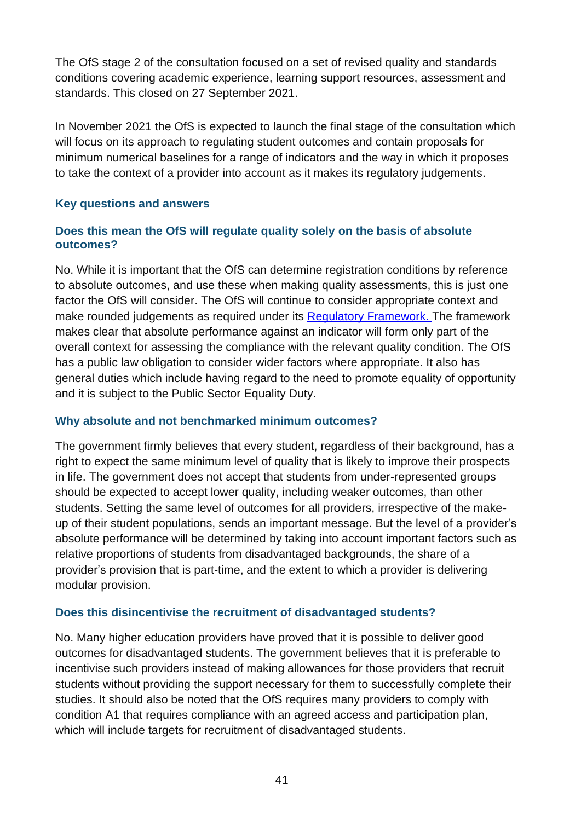The OfS stage 2 of the consultation focused on a set of revised quality and standards conditions covering academic experience, learning support resources, assessment and standards. This closed on 27 September 2021.

In November 2021 the OfS is expected to launch the final stage of the consultation which will focus on its approach to regulating student outcomes and contain proposals for minimum numerical baselines for a range of indicators and the way in which it proposes to take the context of a provider into account as it makes its regulatory judgements.

## **Key questions and answers**

## **Does this mean the OfS will regulate quality solely on the basis of absolute outcomes?**

No. While it is important that the OfS can determine registration conditions by reference to absolute outcomes, and use these when making quality assessments, this is just one factor the OfS will consider. The OfS will continue to consider appropriate context and make rounded judgements as required under its [Regulatory Framework.](https://www.officeforstudents.org.uk/media/1406/ofs2018_01.pdf) The framework makes clear that absolute performance against an indicator will form only part of the overall context for assessing the compliance with the relevant quality condition. The OfS has a public law obligation to consider wider factors where appropriate. It also has general duties which include having regard to the need to promote equality of opportunity and it is subject to the Public Sector Equality Duty.

## **Why absolute and not benchmarked minimum outcomes?**

The government firmly believes that every student, regardless of their background, has a right to expect the same minimum level of quality that is likely to improve their prospects in life. The government does not accept that students from under-represented groups should be expected to accept lower quality, including weaker outcomes, than other students. Setting the same level of outcomes for all providers, irrespective of the makeup of their student populations, sends an important message. But the level of a provider's absolute performance will be determined by taking into account important factors such as relative proportions of students from disadvantaged backgrounds, the share of a provider's provision that is part-time, and the extent to which a provider is delivering modular provision.

## **Does this disincentivise the recruitment of disadvantaged students?**

No. Many higher education providers have proved that it is possible to deliver good outcomes for disadvantaged students. The government believes that it is preferable to incentivise such providers instead of making allowances for those providers that recruit students without providing the support necessary for them to successfully complete their studies. It should also be noted that the OfS requires many providers to comply with condition A1 that requires compliance with an agreed access and participation plan, which will include targets for recruitment of disadvantaged students.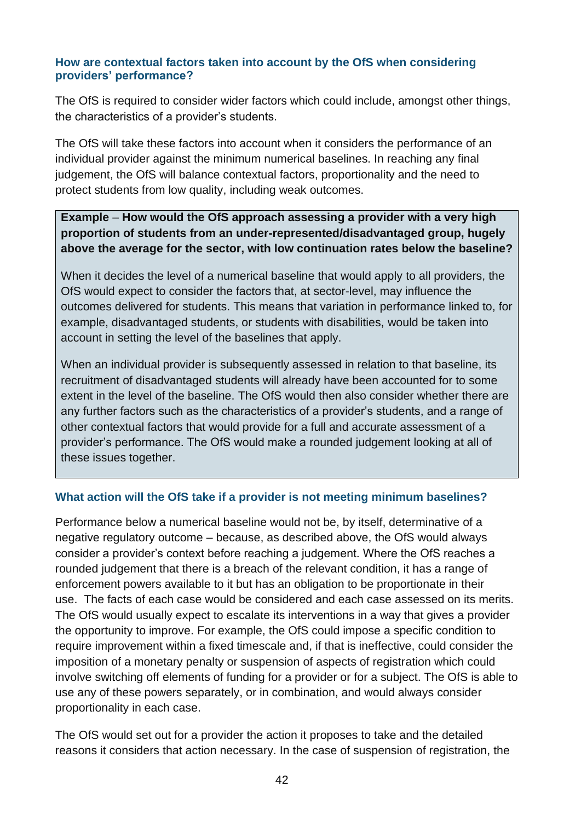#### **How are contextual factors taken into account by the OfS when considering providers' performance?**

The OfS is required to consider wider factors which could include, amongst other things, the characteristics of a provider's students.

The OfS will take these factors into account when it considers the performance of an individual provider against the minimum numerical baselines. In reaching any final judgement, the OfS will balance contextual factors, proportionality and the need to protect students from low quality, including weak outcomes.

## **Example** – **How would the OfS approach assessing a provider with a very high proportion of students from an under-represented/disadvantaged group, hugely above the average for the sector, with low continuation rates below the baseline?**

When it decides the level of a numerical baseline that would apply to all providers, the OfS would expect to consider the factors that, at sector-level, may influence the outcomes delivered for students. This means that variation in performance linked to, for example, disadvantaged students, or students with disabilities, would be taken into account in setting the level of the baselines that apply.

When an individual provider is subsequently assessed in relation to that baseline, its recruitment of disadvantaged students will already have been accounted for to some extent in the level of the baseline. The OfS would then also consider whether there are any further factors such as the characteristics of a provider's students, and a range of other contextual factors that would provide for a full and accurate assessment of a provider's performance. The OfS would make a rounded judgement looking at all of these issues together.

## **What action will the OfS take if a provider is not meeting minimum baselines?**

Performance below a numerical baseline would not be, by itself, determinative of a negative regulatory outcome – because, as described above, the OfS would always consider a provider's context before reaching a judgement. Where the OfS reaches a rounded judgement that there is a breach of the relevant condition, it has a range of enforcement powers available to it but has an obligation to be proportionate in their use. The facts of each case would be considered and each case assessed on its merits. The OfS would usually expect to escalate its interventions in a way that gives a provider the opportunity to improve. For example, the OfS could impose a specific condition to require improvement within a fixed timescale and, if that is ineffective, could consider the imposition of a monetary penalty or suspension of aspects of registration which could involve switching off elements of funding for a provider or for a subject. The OfS is able to use any of these powers separately, or in combination, and would always consider proportionality in each case.

The OfS would set out for a provider the action it proposes to take and the detailed reasons it considers that action necessary. In the case of suspension of registration, the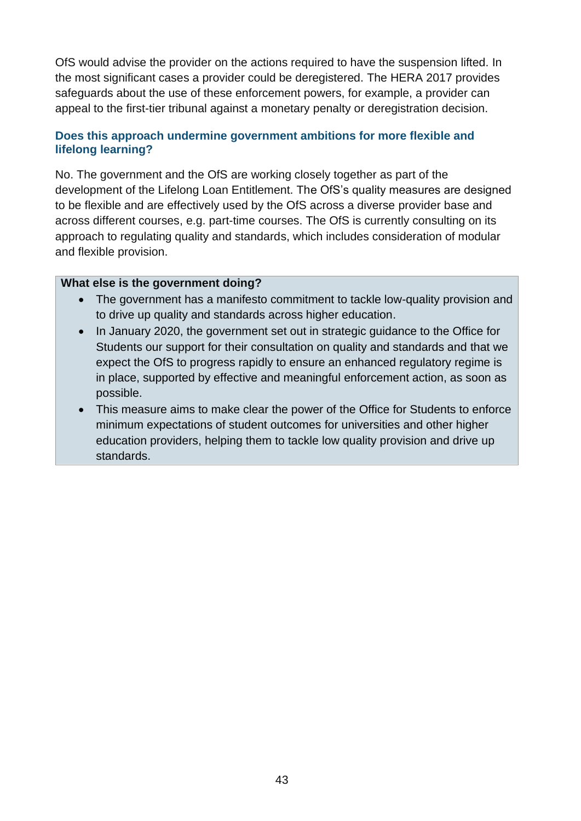OfS would advise the provider on the actions required to have the suspension lifted. In the most significant cases a provider could be deregistered. The HERA 2017 provides safeguards about the use of these enforcement powers, for example, a provider can appeal to the first-tier tribunal against a monetary penalty or deregistration decision.

## **Does this approach undermine government ambitions for more flexible and lifelong learning?**

No. The government and the OfS are working closely together as part of the development of the Lifelong Loan Entitlement. The OfS's quality measures are designed to be flexible and are effectively used by the OfS across a diverse provider base and across different courses, e.g. part-time courses. The OfS is currently consulting on its approach to regulating quality and standards, which includes consideration of modular and flexible provision.

#### **What else is the government doing?**

- The government has a manifesto commitment to tackle low-quality provision and to drive up quality and standards across higher education.
- In January 2020, the government set out in strategic guidance to the Office for Students our support for their consultation on quality and standards and that we expect the OfS to progress rapidly to ensure an enhanced regulatory regime is in place, supported by effective and meaningful enforcement action, as soon as possible.
- This measure aims to make clear the power of the Office for Students to enforce minimum expectations of student outcomes for universities and other higher education providers, helping them to tackle low quality provision and drive up standards.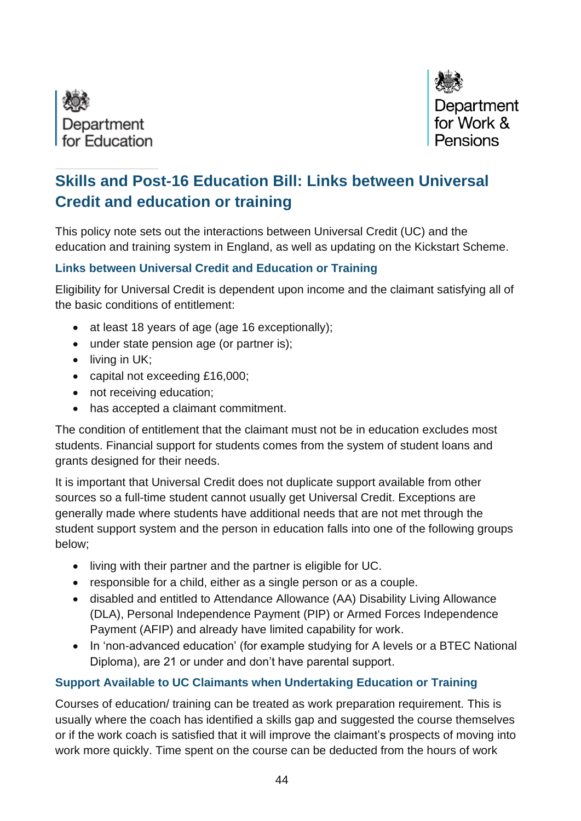



# **Skills and Post-16 Education Bill: Links between Universal Credit and education or training**

This policy note sets out the interactions between Universal Credit (UC) and the education and training system in England, as well as updating on the Kickstart Scheme.

## **Links between Universal Credit and Education or Training**

Eligibility for Universal Credit is dependent upon income and the claimant satisfying all of the basic conditions of entitlement:

- at least 18 years of age (age 16 exceptionally);
- under state pension age (or partner is);
- living in UK;
- capital not exceeding £16,000;
- not receiving education;
- has accepted a claimant commitment.

The condition of entitlement that the claimant must not be in education excludes most students. Financial support for students comes from the system of student loans and grants designed for their needs.

It is important that Universal Credit does not duplicate support available from other sources so a full-time student cannot usually get Universal Credit. Exceptions are generally made where students have additional needs that are not met through the student support system and the person in education falls into one of the following groups below;

- living with their partner and the partner is eligible for UC.
- responsible for a child, either as a single person or as a couple.
- disabled and entitled to Attendance Allowance (AA) Disability Living Allowance (DLA), Personal Independence Payment (PIP) or Armed Forces Independence Payment (AFIP) and already have limited capability for work.
- In 'non-advanced education' (for example studying for A levels or a BTEC National Diploma), are 21 or under and don't have parental support.

# **Support Available to UC Claimants when Undertaking Education or Training**

Courses of education/ training can be treated as work preparation requirement. This is usually where the coach has identified a skills gap and suggested the course themselves or if the work coach is satisfied that it will improve the claimant's prospects of moving into work more quickly. Time spent on the course can be deducted from the hours of work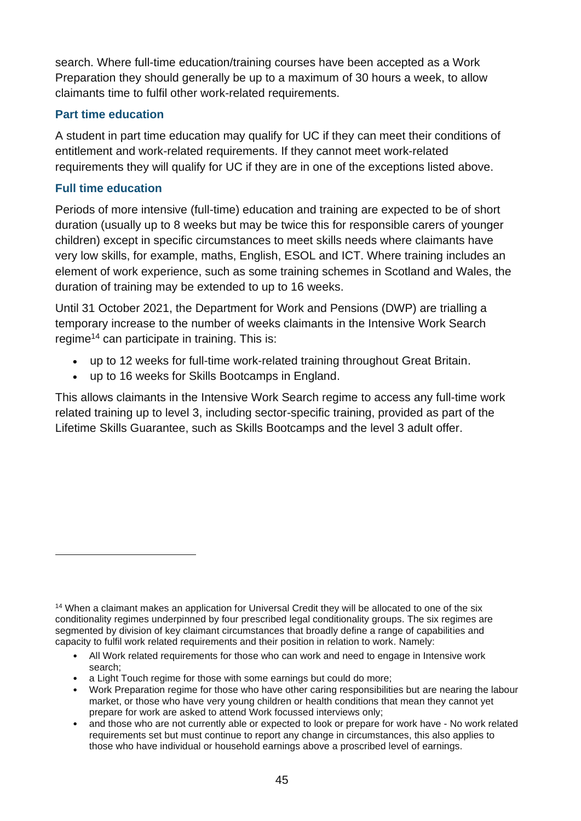search. Where full-time education/training courses have been accepted as a Work Preparation they should generally be up to a maximum of 30 hours a week, to allow claimants time to fulfil other work-related requirements.

## **Part time education**

A student in part time education may qualify for UC if they can meet their conditions of entitlement and work-related requirements. If they cannot meet work-related requirements they will qualify for UC if they are in one of the exceptions listed above.

## **Full time education**

Periods of more intensive (full-time) education and training are expected to be of short duration (usually up to 8 weeks but may be twice this for responsible carers of younger children) except in specific circumstances to meet skills needs where claimants have very low skills, for example, maths, English, ESOL and ICT. Where training includes an element of work experience, such as some training schemes in Scotland and Wales, the duration of training may be extended to up to 16 weeks.

Until 31 October 2021, the Department for Work and Pensions (DWP) are trialling a temporary increase to the number of weeks claimants in the Intensive Work Search regime<sup>14</sup> can participate in training. This is:

- up to 12 weeks for full-time work-related training throughout Great Britain.
- up to 16 weeks for Skills Bootcamps in England.

This allows claimants in the Intensive Work Search regime to access any full-time work related training up to level 3, including sector-specific training, provided as part of the Lifetime Skills Guarantee, such as Skills Bootcamps and the level 3 adult offer.

- All Work related requirements for those who can work and need to engage in Intensive work search;
- a Light Touch regime for those with some earnings but could do more;
- Work Preparation regime for those who have other caring responsibilities but are nearing the labour market, or those who have very young children or health conditions that mean they cannot yet prepare for work are asked to attend Work focussed interviews only;
- and those who are not currently able or expected to look or prepare for work have No work related requirements set but must continue to report any change in circumstances, this also applies to those who have individual or household earnings above a proscribed level of earnings.

<sup>&</sup>lt;sup>14</sup> When a claimant makes an application for Universal Credit they will be allocated to one of the six conditionality regimes underpinned by four prescribed legal conditionality groups. The six regimes are segmented by division of key claimant circumstances that broadly define a range of capabilities and capacity to fulfil work related requirements and their position in relation to work. Namely: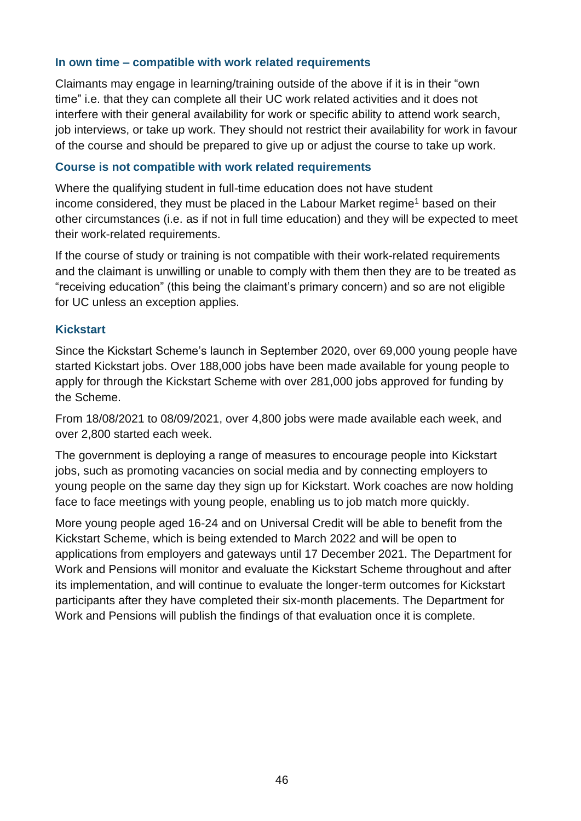#### **In own time – compatible with work related requirements**

Claimants may engage in learning/training outside of the above if it is in their "own time" i.e. that they can complete all their UC work related activities and it does not interfere with their general availability for work or specific ability to attend work search, job interviews, or take up work. They should not restrict their availability for work in favour of the course and should be prepared to give up or adjust the course to take up work.

#### **Course is not compatible with work related requirements**

Where the qualifying student in full-time education does not have student income considered, they must be placed in the Labour Market regime<sup>1</sup> based on their other circumstances (i.e. as if not in full time education) and they will be expected to meet their work-related requirements.

If the course of study or training is not compatible with their work-related requirements and the claimant is unwilling or unable to comply with them then they are to be treated as "receiving education" (this being the claimant's primary concern) and so are not eligible for UC unless an exception applies.

## **Kickstart**

Since the Kickstart Scheme's launch in September 2020, over 69,000 young people have started Kickstart jobs. Over 188,000 jobs have been made available for young people to apply for through the Kickstart Scheme with over 281,000 jobs approved for funding by the Scheme.

From 18/08/2021 to 08/09/2021, over 4,800 jobs were made available each week, and over 2,800 started each week.

The government is deploying a range of measures to encourage people into Kickstart jobs, such as promoting vacancies on social media and by connecting employers to young people on the same day they sign up for Kickstart. Work coaches are now holding face to face meetings with young people, enabling us to job match more quickly.

More young people aged 16-24 and on Universal Credit will be able to benefit from the Kickstart Scheme, which is being extended to March 2022 and will be open to applications from employers and gateways until 17 December 2021. The Department for Work and Pensions will monitor and evaluate the Kickstart Scheme throughout and after its implementation, and will continue to evaluate the longer-term outcomes for Kickstart participants after they have completed their six-month placements. The Department for Work and Pensions will publish the findings of that evaluation once it is complete.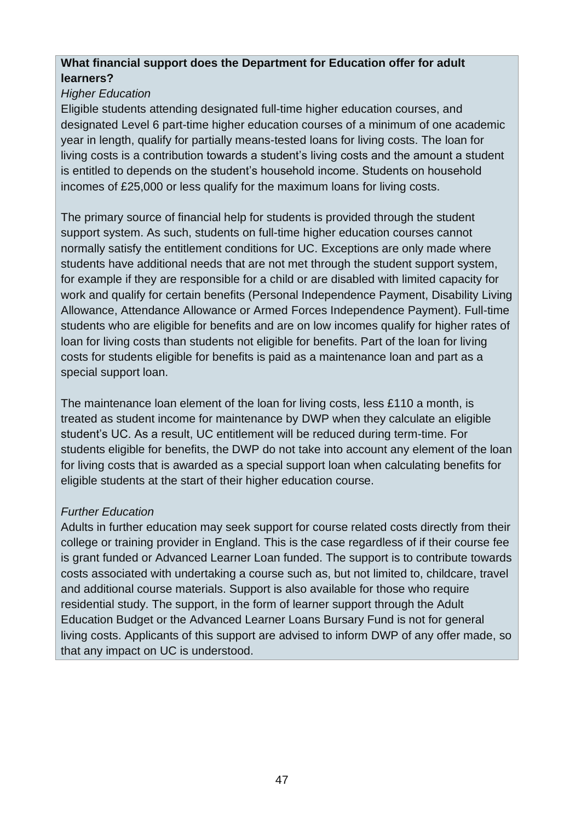## **What financial support does the Department for Education offer for adult learners?**

# *Higher Education*

Eligible students attending designated full-time higher education courses, and designated Level 6 part-time higher education courses of a minimum of one academic year in length, qualify for partially means-tested loans for living costs. The loan for living costs is a contribution towards a student's living costs and the amount a student is entitled to depends on the student's household income. Students on household incomes of £25,000 or less qualify for the maximum loans for living costs.

The primary source of financial help for students is provided through the student support system. As such, students on full-time higher education courses cannot normally satisfy the entitlement conditions for UC. Exceptions are only made where students have additional needs that are not met through the student support system, for example if they are responsible for a child or are disabled with limited capacity for work and qualify for certain benefits (Personal Independence Payment, Disability Living Allowance, Attendance Allowance or Armed Forces Independence Payment). Full-time students who are eligible for benefits and are on low incomes qualify for higher rates of loan for living costs than students not eligible for benefits. Part of the loan for living costs for students eligible for benefits is paid as a maintenance loan and part as a special support loan.

The maintenance loan element of the loan for living costs, less £110 a month, is treated as student income for maintenance by DWP when they calculate an eligible student's UC. As a result, UC entitlement will be reduced during term-time. For students eligible for benefits, the DWP do not take into account any element of the loan for living costs that is awarded as a special support loan when calculating benefits for eligible students at the start of their higher education course.

# *Further Education*

Adults in further education may seek support for course related costs directly from their college or training provider in England. This is the case regardless of if their course fee is grant funded or Advanced Learner Loan funded. The support is to contribute towards costs associated with undertaking a course such as, but not limited to, childcare, travel and additional course materials. Support is also available for those who require residential study. The support, in the form of learner support through the Adult Education Budget or the Advanced Learner Loans Bursary Fund is not for general living costs. Applicants of this support are advised to inform DWP of any offer made, so that any impact on UC is understood.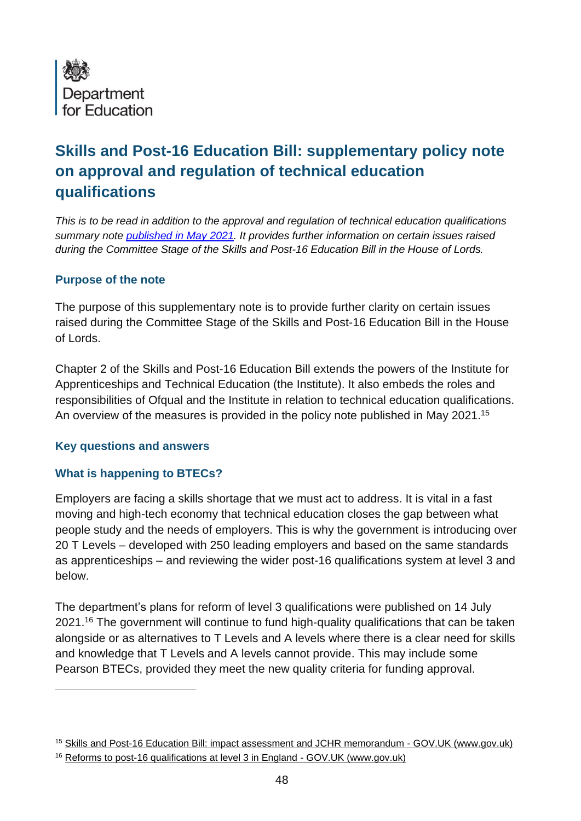

# **Skills and Post-16 Education Bill: supplementary policy note on approval and regulation of technical education qualifications**

*This is to be read in addition to the approval and regulation of technical education qualifications summary note [published in May 2021.](https://assets.publishing.service.gov.uk/government/uploads/system/uploads/attachment_data/file/988605/Skills_and_Post-16_Education_Bill_-_Summary_Policy_Notes.pdf) It provides further information on certain issues raised during the Committee Stage of the Skills and Post-16 Education Bill in the House of Lords.* 

#### **Purpose of the note**

The purpose of this supplementary note is to provide further clarity on certain issues raised during the Committee Stage of the Skills and Post-16 Education Bill in the House of Lords.

Chapter 2 of the Skills and Post-16 Education Bill extends the powers of the Institute for Apprenticeships and Technical Education (the Institute). It also embeds the roles and responsibilities of Ofqual and the Institute in relation to technical education qualifications. An overview of the measures is provided in the policy note published in May 2021.<sup>15</sup>

#### **Key questions and answers**

## **What is happening to BTECs?**

Employers are facing a skills shortage that we must act to address. It is vital in a fast moving and high-tech economy that technical education closes the gap between what people study and the needs of employers. This is why the government is introducing over 20 T Levels – developed with 250 leading employers and based on the same standards as apprenticeships – and reviewing the wider post-16 qualifications system at level 3 and below.

The department's plans for reform of level 3 qualifications were published on 14 July 2021.<sup>16</sup> The government will continue to fund high-quality qualifications that can be taken alongside or as alternatives to T Levels and A levels where there is a clear need for skills and knowledge that T Levels and A levels cannot provide. This may include some Pearson BTECs, provided they meet the new quality criteria for funding approval.

<sup>15</sup> [Skills and Post-16 Education Bill: impact assessment and JCHR memorandum -](https://www.gov.uk/government/publications/skills-and-post-16-education-bill-impact-assessment-and-jchr-memorandum) GOV.UK (www.gov.uk)

<sup>16</sup> [Reforms to post-16 qualifications at level 3 in England -](https://www.gov.uk/government/publications/reforms-to-post-16-qualifications-at-level-3-in-england) GOV.UK (www.gov.uk)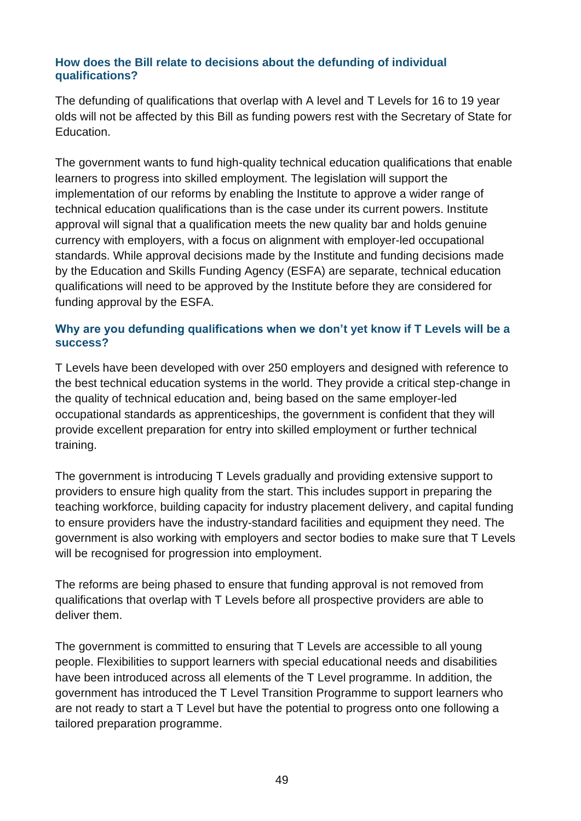#### **How does the Bill relate to decisions about the defunding of individual qualifications?**

The defunding of qualifications that overlap with A level and T Levels for 16 to 19 year olds will not be affected by this Bill as funding powers rest with the Secretary of State for Education.

The government wants to fund high-quality technical education qualifications that enable learners to progress into skilled employment. The legislation will support the implementation of our reforms by enabling the Institute to approve a wider range of technical education qualifications than is the case under its current powers. Institute approval will signal that a qualification meets the new quality bar and holds genuine currency with employers, with a focus on alignment with employer-led occupational standards. While approval decisions made by the Institute and funding decisions made by the Education and Skills Funding Agency (ESFA) are separate, technical education qualifications will need to be approved by the Institute before they are considered for funding approval by the ESFA.

#### **Why are you defunding qualifications when we don't yet know if T Levels will be a success?**

T Levels have been developed with over 250 employers and designed with reference to the best technical education systems in the world. They provide a critical step-change in the quality of technical education and, being based on the same employer-led occupational standards as apprenticeships, the government is confident that they will provide excellent preparation for entry into skilled employment or further technical training.

The government is introducing T Levels gradually and providing extensive support to providers to ensure high quality from the start. This includes support in preparing the teaching workforce, building capacity for industry placement delivery, and capital funding to ensure providers have the industry-standard facilities and equipment they need. The government is also working with employers and sector bodies to make sure that T Levels will be recognised for progression into employment.

The reforms are being phased to ensure that funding approval is not removed from qualifications that overlap with T Levels before all prospective providers are able to deliver them.

The government is committed to ensuring that T Levels are accessible to all young people. Flexibilities to support learners with special educational needs and disabilities have been introduced across all elements of the T Level programme. In addition, the government has introduced the T Level Transition Programme to support learners who are not ready to start a T Level but have the potential to progress onto one following a tailored preparation programme.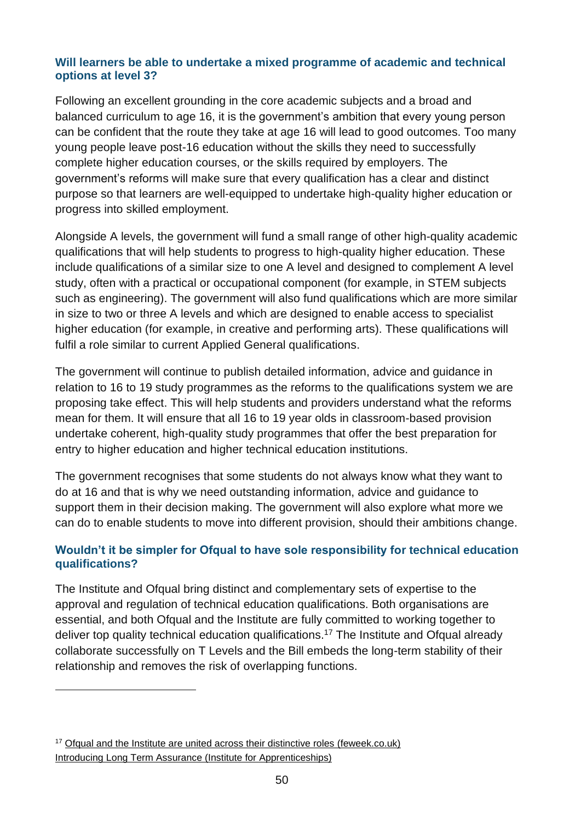#### **Will learners be able to undertake a mixed programme of academic and technical options at level 3?**

Following an excellent grounding in the core academic subjects and a broad and balanced curriculum to age 16, it is the government's ambition that every young person can be confident that the route they take at age 16 will lead to good outcomes. Too many young people leave post-16 education without the skills they need to successfully complete higher education courses, or the skills required by employers. The government's reforms will make sure that every qualification has a clear and distinct purpose so that learners are well-equipped to undertake high-quality higher education or progress into skilled employment.

Alongside A levels, the government will fund a small range of other high-quality academic qualifications that will help students to progress to high-quality higher education. These include qualifications of a similar size to one A level and designed to complement A level study, often with a practical or occupational component (for example, in STEM subjects such as engineering). The government will also fund qualifications which are more similar in size to two or three A levels and which are designed to enable access to specialist higher education (for example, in creative and performing arts). These qualifications will fulfil a role similar to current Applied General qualifications.

The government will continue to publish detailed information, advice and guidance in relation to 16 to 19 study programmes as the reforms to the qualifications system we are proposing take effect. This will help students and providers understand what the reforms mean for them. It will ensure that all 16 to 19 year olds in classroom-based provision undertake coherent, high-quality study programmes that offer the best preparation for entry to higher education and higher technical education institutions.

The government recognises that some students do not always know what they want to do at 16 and that is why we need outstanding information, advice and guidance to support them in their decision making. The government will also explore what more we can do to enable students to move into different provision, should their ambitions change.

## **Wouldn't it be simpler for Ofqual to have sole responsibility for technical education qualifications?**

The Institute and Ofqual bring distinct and complementary sets of expertise to the approval and regulation of technical education qualifications. Both organisations are essential, and both Ofqual and the Institute are fully committed to working together to deliver top quality technical education qualifications.<sup>17</sup> The Institute and Ofqual already collaborate successfully on T Levels and the Bill embeds the long-term stability of their relationship and removes the risk of overlapping functions.

<sup>17</sup> [Ofqual and the Institute are united across their distinctive roles \(feweek.co.uk\)](https://feweek.co.uk/the-skills-bill-reaffirms-the-distinctive-roles-of-ofqual-and-the-institute/) Introducing [Long Term Assurance](https://api.instituteforapprenticeships.org/quality/long-term-assurance-of-technical-qualifications/) (Institute for Apprenticeships)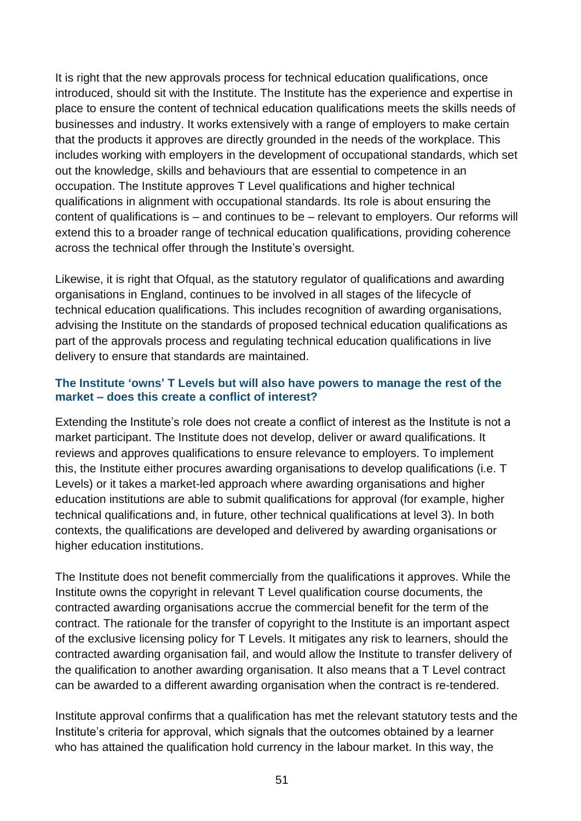It is right that the new approvals process for technical education qualifications, once introduced, should sit with the Institute. The Institute has the experience and expertise in place to ensure the content of technical education qualifications meets the skills needs of businesses and industry. It works extensively with a range of employers to make certain that the products it approves are directly grounded in the needs of the workplace. This includes working with employers in the development of occupational standards, which set out the knowledge, skills and behaviours that are essential to competence in an occupation. The Institute approves T Level qualifications and higher technical qualifications in alignment with occupational standards. Its role is about ensuring the content of qualifications is – and continues to be – relevant to employers. Our reforms will extend this to a broader range of technical education qualifications, providing coherence across the technical offer through the Institute's oversight.

Likewise, it is right that Ofqual, as the statutory regulator of qualifications and awarding organisations in England, continues to be involved in all stages of the lifecycle of technical education qualifications. This includes recognition of awarding organisations, advising the Institute on the standards of proposed technical education qualifications as part of the approvals process and regulating technical education qualifications in live delivery to ensure that standards are maintained.

#### **The Institute 'owns' T Levels but will also have powers to manage the rest of the market – does this create a conflict of interest?**

Extending the Institute's role does not create a conflict of interest as the Institute is not a market participant. The Institute does not develop, deliver or award qualifications. It reviews and approves qualifications to ensure relevance to employers. To implement this, the Institute either procures awarding organisations to develop qualifications (i.e. T Levels) or it takes a market-led approach where awarding organisations and higher education institutions are able to submit qualifications for approval (for example, higher technical qualifications and, in future, other technical qualifications at level 3). In both contexts, the qualifications are developed and delivered by awarding organisations or higher education institutions.

The Institute does not benefit commercially from the qualifications it approves. While the Institute owns the copyright in relevant T Level qualification course documents, the contracted awarding organisations accrue the commercial benefit for the term of the contract. The rationale for the transfer of copyright to the Institute is an important aspect of the exclusive licensing policy for T Levels. It mitigates any risk to learners, should the contracted awarding organisation fail, and would allow the Institute to transfer delivery of the qualification to another awarding organisation. It also means that a T Level contract can be awarded to a different awarding organisation when the contract is re-tendered.

Institute approval confirms that a qualification has met the relevant statutory tests and the Institute's criteria for approval, which signals that the outcomes obtained by a learner who has attained the qualification hold currency in the labour market. In this way, the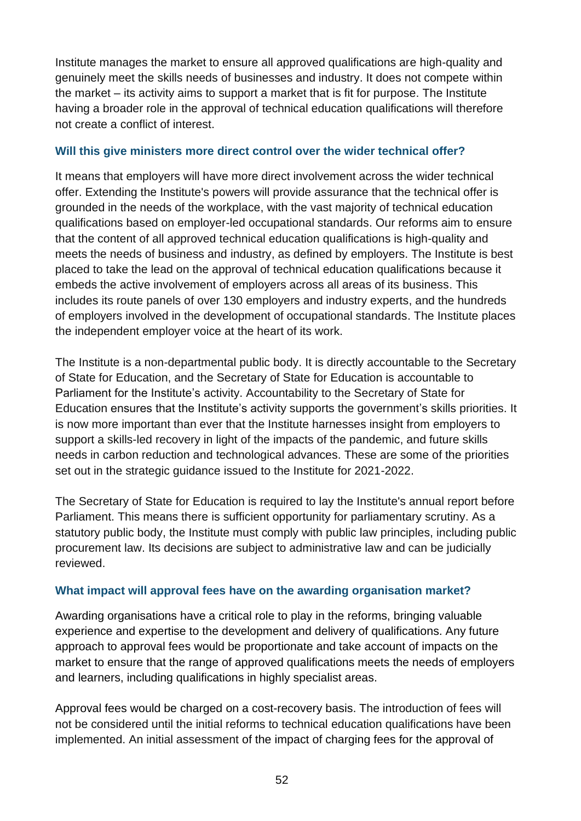Institute manages the market to ensure all approved qualifications are high-quality and genuinely meet the skills needs of businesses and industry. It does not compete within the market – its activity aims to support a market that is fit for purpose. The Institute having a broader role in the approval of technical education qualifications will therefore not create a conflict of interest.

## **Will this give ministers more direct control over the wider technical offer?**

It means that employers will have more direct involvement across the wider technical offer. Extending the Institute's powers will provide assurance that the technical offer is grounded in the needs of the workplace, with the vast majority of technical education qualifications based on employer-led occupational standards. Our reforms aim to ensure that the content of all approved technical education qualifications is high-quality and meets the needs of business and industry, as defined by employers. The Institute is best placed to take the lead on the approval of technical education qualifications because it embeds the active involvement of employers across all areas of its business. This includes its route panels of over 130 employers and industry experts, and the hundreds of employers involved in the development of occupational standards. The Institute places the independent employer voice at the heart of its work.

The Institute is a non-departmental public body. It is directly accountable to the Secretary of State for Education, and the Secretary of State for Education is accountable to Parliament for the Institute's activity. Accountability to the Secretary of State for Education ensures that the Institute's activity supports the government's skills priorities. It is now more important than ever that the Institute harnesses insight from employers to support a skills-led recovery in light of the impacts of the pandemic, and future skills needs in carbon reduction and technological advances. These are some of the priorities set out in the strategic guidance issued to the Institute for 2021-2022.

The Secretary of State for Education is required to lay the Institute's annual report before Parliament. This means there is sufficient opportunity for parliamentary scrutiny. As a statutory public body, the Institute must comply with public law principles, including public procurement law. Its decisions are subject to administrative law and can be judicially reviewed.

# **What impact will approval fees have on the awarding organisation market?**

Awarding organisations have a critical role to play in the reforms, bringing valuable experience and expertise to the development and delivery of qualifications. Any future approach to approval fees would be proportionate and take account of impacts on the market to ensure that the range of approved qualifications meets the needs of employers and learners, including qualifications in highly specialist areas.

Approval fees would be charged on a cost-recovery basis. The introduction of fees will not be considered until the initial reforms to technical education qualifications have been implemented. An initial assessment of the impact of charging fees for the approval of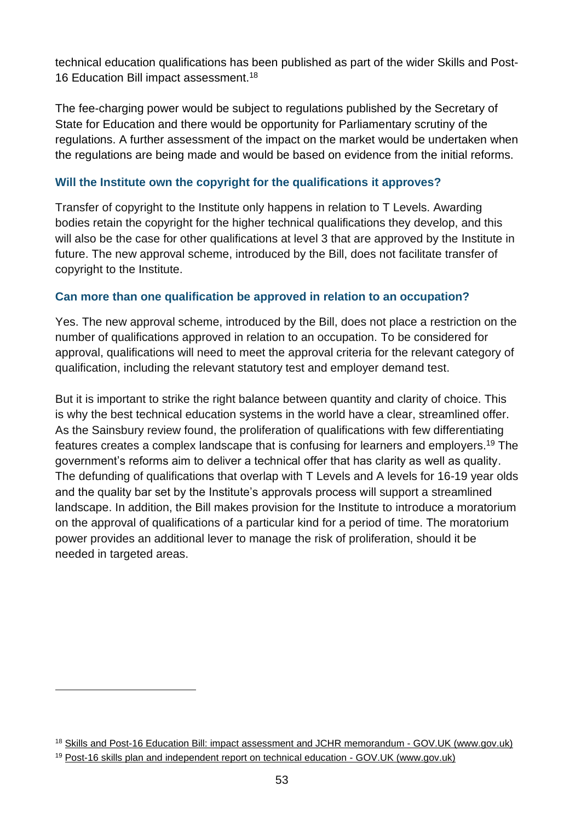technical education qualifications has been published as part of the wider Skills and Post-16 Education Bill impact assessment.<sup>18</sup>

The fee-charging power would be subject to regulations published by the Secretary of State for Education and there would be opportunity for Parliamentary scrutiny of the regulations. A further assessment of the impact on the market would be undertaken when the regulations are being made and would be based on evidence from the initial reforms.

## **Will the Institute own the copyright for the qualifications it approves?**

Transfer of copyright to the Institute only happens in relation to T Levels. Awarding bodies retain the copyright for the higher technical qualifications they develop, and this will also be the case for other qualifications at level 3 that are approved by the Institute in future. The new approval scheme, introduced by the Bill, does not facilitate transfer of copyright to the Institute.

## **Can more than one qualification be approved in relation to an occupation?**

Yes. The new approval scheme, introduced by the Bill, does not place a restriction on the number of qualifications approved in relation to an occupation. To be considered for approval, qualifications will need to meet the approval criteria for the relevant category of qualification, including the relevant statutory test and employer demand test.

But it is important to strike the right balance between quantity and clarity of choice. This is why the best technical education systems in the world have a clear, streamlined offer. As the Sainsbury review found, the proliferation of qualifications with few differentiating features creates a complex landscape that is confusing for learners and employers.<sup>19</sup> The government's reforms aim to deliver a technical offer that has clarity as well as quality. The defunding of qualifications that overlap with T Levels and A levels for 16-19 year olds and the quality bar set by the Institute's approvals process will support a streamlined landscape. In addition, the Bill makes provision for the Institute to introduce a moratorium on the approval of qualifications of a particular kind for a period of time. The moratorium power provides an additional lever to manage the risk of proliferation, should it be needed in targeted areas.

<sup>&</sup>lt;sup>18</sup> [Skills and Post-16 Education Bill: impact assessment and JCHR memorandum](https://www.gov.uk/government/publications/skills-and-post-16-education-bill-impact-assessment-and-jchr-memorandum) - GOV.UK (www.gov.uk)

<sup>19</sup> [Post-16 skills plan and independent report on technical education -](https://www.gov.uk/government/publications/post-16-skills-plan-and-independent-report-on-technical-education) GOV.UK (www.gov.uk)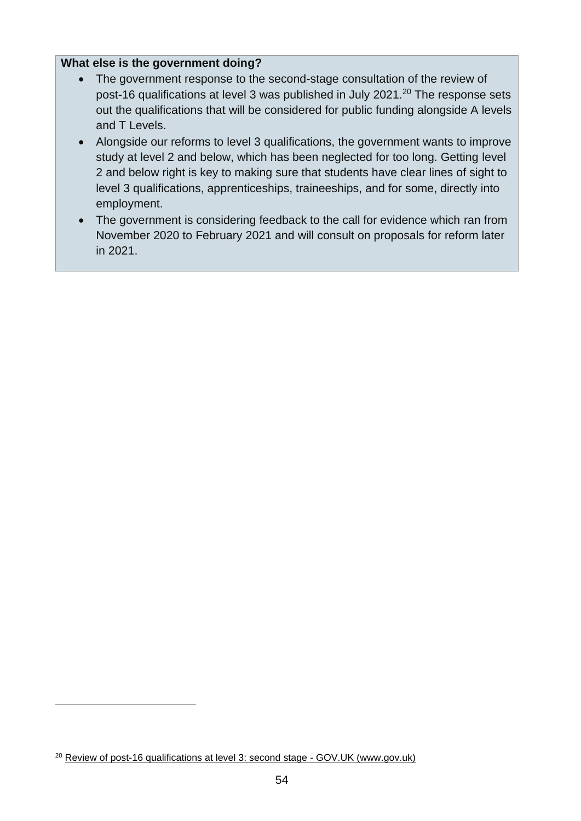#### **What else is the government doing?**

- The government response to the second-stage consultation of the review of post-16 qualifications at level 3 was published in July 2021.<sup>20</sup> The response sets out the qualifications that will be considered for public funding alongside A levels and T Levels.
- Alongside our reforms to level 3 qualifications, the government wants to improve study at level 2 and below, which has been neglected for too long. Getting level 2 and below right is key to making sure that students have clear lines of sight to level 3 qualifications, apprenticeships, traineeships, and for some, directly into employment.
- The government is considering feedback to the call for evidence which ran from November 2020 to February 2021 and will consult on proposals for reform later in 2021.

<sup>&</sup>lt;sup>20</sup> [Review of post-16 qualifications at level 3: second stage -](https://www.gov.uk/government/consultations/review-of-post-16-qualifications-at-level-3-second-stage) GOV.UK (www.gov.uk)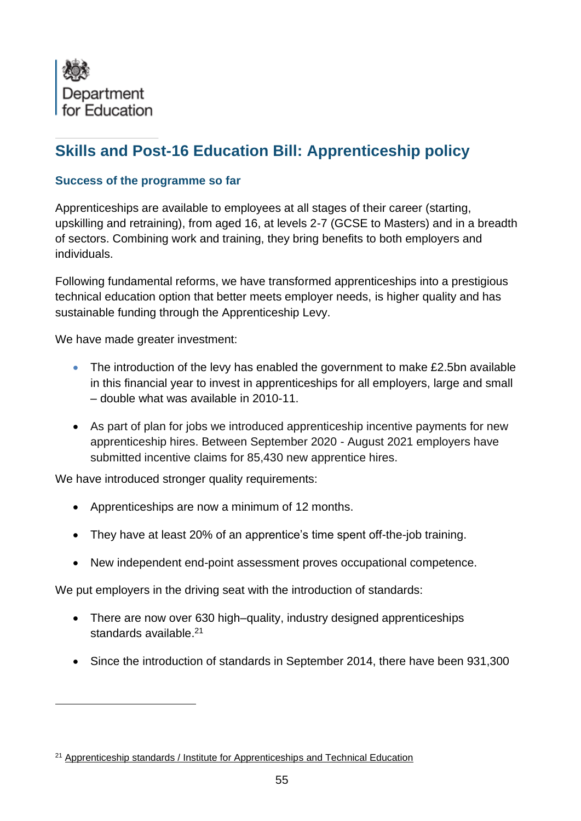

# **Skills and Post-16 Education Bill: Apprenticeship policy**

## **Success of the programme so far**

Apprenticeships are available to employees at all stages of their career (starting, upskilling and retraining), from aged 16, at levels 2-7 (GCSE to Masters) and in a breadth of sectors. Combining work and training, they bring benefits to both employers and individuals.

Following fundamental reforms, we have transformed apprenticeships into a prestigious technical education option that better meets employer needs, is higher quality and has sustainable funding through the Apprenticeship Levy.

We have made greater investment:

- The introduction of the levy has enabled the government to make £2.5bn available in this financial year to invest in apprenticeships for all employers, large and small – double what was available in 2010-11.
- As part of plan for jobs we introduced apprenticeship incentive payments for new apprenticeship hires. Between September 2020 - August 2021 employers have submitted incentive claims for 85,430 new apprentice hires.

We have introduced stronger quality requirements:

- Apprenticeships are now a minimum of 12 months.
- They have at least 20% of an apprentice's time spent off-the-job training.
- New independent end-point assessment proves occupational competence.

We put employers in the driving seat with the introduction of standards:

- There are now over 630 high–quality, industry designed apprenticeships standards available.<sup>21</sup>
- Since the introduction of standards in September 2014, there have been 931,300

<sup>21</sup> [Apprenticeship standards / Institute for Apprenticeships and Technical Education](https://www.instituteforapprenticeships.org/apprenticeship-standards/?)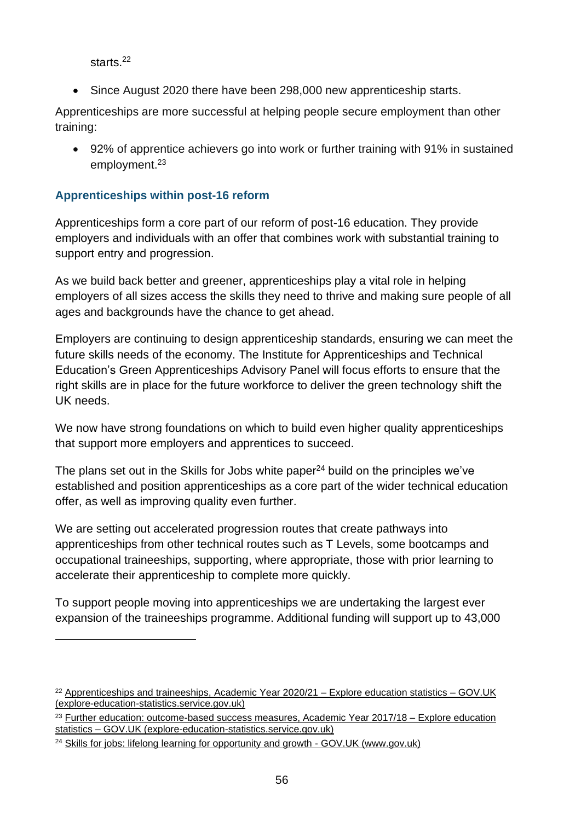starts. 22

• Since August 2020 there have been 298,000 new apprenticeship starts.

Apprenticeships are more successful at helping people secure employment than other training:

• 92% of apprentice achievers go into work or further training with 91% in sustained employment. 23

# **Apprenticeships within post-16 reform**

Apprenticeships form a core part of our reform of post-16 education. They provide employers and individuals with an offer that combines work with substantial training to support entry and progression.

As we build back better and greener, apprenticeships play a vital role in helping employers of all sizes access the skills they need to thrive and making sure people of all ages and backgrounds have the chance to get ahead.

Employers are continuing to design apprenticeship standards, ensuring we can meet the future skills needs of the economy. The Institute for Apprenticeships and Technical Education's Green Apprenticeships Advisory Panel will focus efforts to ensure that the right skills are in place for the future workforce to deliver the green technology shift the UK needs.

We now have strong foundations on which to build even higher quality apprenticeships that support more employers and apprentices to succeed.

The plans set out in the Skills for Jobs white paper<sup>24</sup> build on the principles we've established and position apprenticeships as a core part of the wider technical education offer, as well as improving quality even further.

We are setting out accelerated progression routes that create pathways into apprenticeships from other technical routes such as T Levels, some bootcamps and occupational traineeships, supporting, where appropriate, those with prior learning to accelerate their apprenticeship to complete more quickly.

To support people moving into apprenticeships we are undertaking the largest ever expansion of the traineeships programme. Additional funding will support up to 43,000

 $22$  [Apprenticeships and traineeships, Academic Year 2020/21 –](https://explore-education-statistics.service.gov.uk/find-statistics/apprenticeships-and-traineeships/2020-21) Explore education statistics – GOV.UK [\(explore-education-statistics.service.gov.uk\)](https://explore-education-statistics.service.gov.uk/find-statistics/apprenticeships-and-traineeships/2020-21)

<sup>&</sup>lt;sup>23</sup> [Further education: outcome-based success measures, Academic Year 2017/18 –](https://explore-education-statistics.service.gov.uk/find-statistics/further-education-outcome-based-success-measures/2017-18#dataBlock-691c4e0e-1f45-4638-ac0c-fc4bcf750c53-tables) Explore education statistics – [GOV.UK \(explore-education-statistics.service.gov.uk\)](https://explore-education-statistics.service.gov.uk/find-statistics/further-education-outcome-based-success-measures/2017-18#dataBlock-691c4e0e-1f45-4638-ac0c-fc4bcf750c53-tables)

<sup>&</sup>lt;sup>24</sup> Skills for jobs: lifelong learning for opportunity and growth - GOV.UK (www.gov.uk)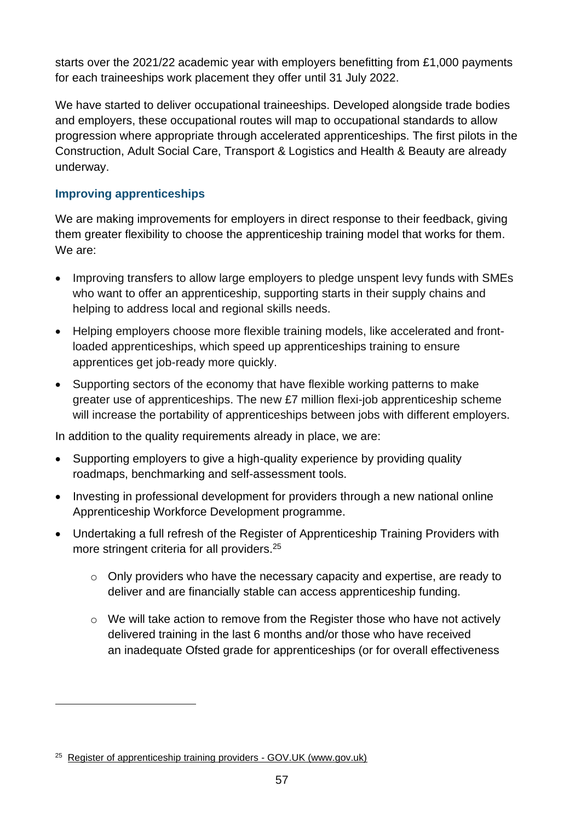starts over the 2021/22 academic year with employers benefitting from £1,000 payments for each traineeships work placement they offer until 31 July 2022.

We have started to deliver occupational traineeships. Developed alongside trade bodies and employers, these occupational routes will map to occupational standards to allow progression where appropriate through accelerated apprenticeships. The first pilots in the Construction, Adult Social Care, Transport & Logistics and Health & Beauty are already underway.

## **Improving apprenticeships**

We are making improvements for employers in direct response to their feedback, giving them greater flexibility to choose the apprenticeship training model that works for them. We are:

- Improving transfers to allow large employers to pledge unspent levy funds with SMEs who want to offer an apprenticeship, supporting starts in their supply chains and helping to address local and regional skills needs.
- Helping employers choose more flexible training models, like accelerated and frontloaded apprenticeships, which speed up apprenticeships training to ensure apprentices get job-ready more quickly.
- Supporting sectors of the economy that have flexible working patterns to make greater use of apprenticeships. The new £7 million flexi-job apprenticeship scheme will increase the portability of apprenticeships between jobs with different employers.

In addition to the quality requirements already in place, we are:

- Supporting employers to give a high-quality experience by providing quality roadmaps, benchmarking and self-assessment tools.
- Investing in professional development for providers through a new national online Apprenticeship Workforce Development programme.
- Undertaking a full refresh of the Register of Apprenticeship Training Providers with more stringent criteria for all providers. 25
	- $\circ$  Only providers who have the necessary capacity and expertise, are ready to deliver and are financially stable can access apprenticeship funding.
	- o We will take action to remove from the Register those who have not actively delivered training in the last 6 months and/or those who have received an [inadequate Ofsted grade](https://gov.uk/government/publications/removal-from-register-of-apprenticeship-training-providers) for apprenticeships (or for overall effectiveness

<sup>25</sup> [Register of apprenticeship training providers -](https://www.gov.uk/guidance/register-of-apprenticeship-training-providers) GOV.UK (www.gov.uk)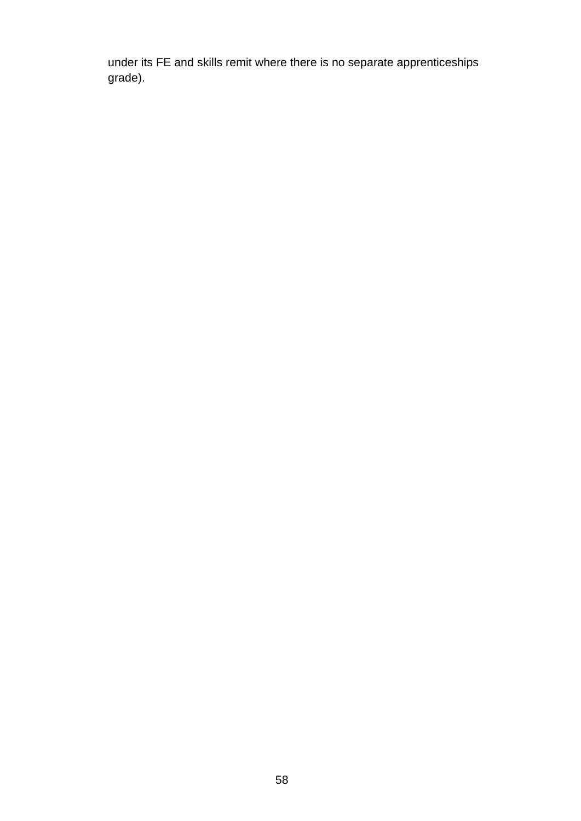under its FE and skills remit where there is no separate apprenticeships grade).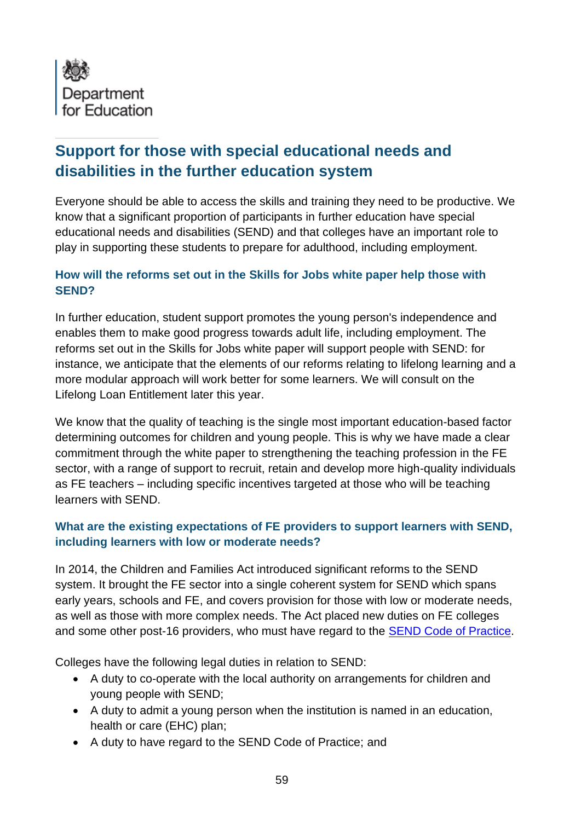

# **Support for those with special educational needs and disabilities in the further education system**

Everyone should be able to access the skills and training they need to be productive. We know that a significant proportion of participants in further education have special educational needs and disabilities (SEND) and that colleges have an important role to play in supporting these students to prepare for adulthood, including employment.

## **How will the reforms set out in the Skills for Jobs white paper help those with SEND?**

In further education, student support promotes the young person's independence and enables them to make good progress towards adult life, including employment. The reforms set out in the Skills for Jobs white paper will support people with SEND: for instance, we anticipate that the elements of our reforms relating to lifelong learning and a more modular approach will work better for some learners. We will consult on the Lifelong Loan Entitlement later this year.

We know that the quality of teaching is the single most important education-based factor determining outcomes for children and young people. This is why we have made a clear commitment through the white paper to strengthening the teaching profession in the FE sector, with a range of support to recruit, retain and develop more high-quality individuals as FE teachers – including specific incentives targeted at those who will be teaching learners with SEND.

## **What are the existing expectations of FE providers to support learners with SEND, including learners with low or moderate needs?**

In 2014, the Children and Families Act introduced significant reforms to the SEND system. It brought the FE sector into a single coherent system for SEND which spans early years, schools and FE, and covers provision for those with low or moderate needs, as well as those with more complex needs. The Act placed new duties on FE colleges and some other post-16 providers, who must have regard to the [SEND Code of Practice.](https://www.gov.uk/government/publications/send-code-of-practice-0-to-25)

Colleges have the following legal duties in relation to SEND:

- A duty to co-operate with the local authority on arrangements for children and young people with SEND;
- A duty to admit a young person when the institution is named in an education, health or care (EHC) plan;
- A duty to have regard to the SEND Code of Practice; and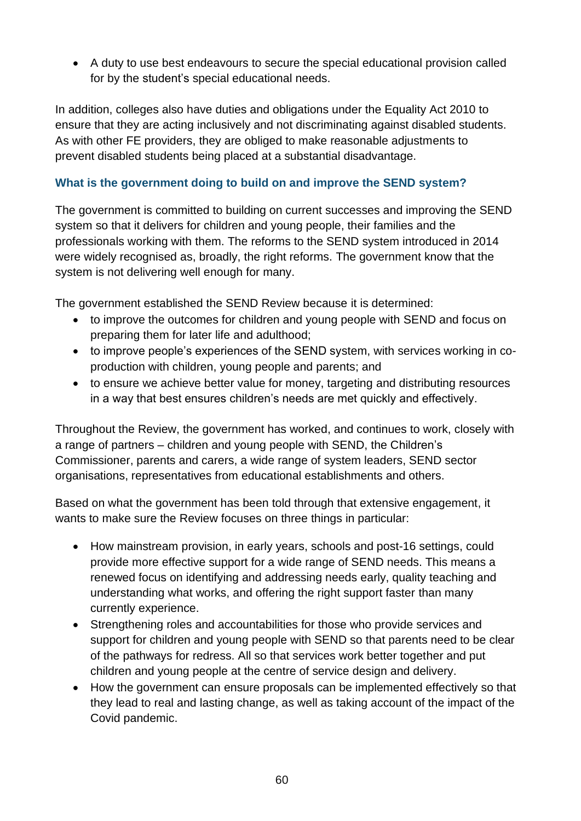• A duty to use best endeavours to secure the special educational provision called for by the student's special educational needs.

In addition, colleges also have duties and obligations under the Equality Act 2010 to ensure that they are acting inclusively and not discriminating against disabled students. As with other FE providers, they are obliged to make reasonable adjustments to prevent disabled students being placed at a substantial disadvantage.

# **What is the government doing to build on and improve the SEND system?**

The government is committed to building on current successes and improving the SEND system so that it delivers for children and young people, their families and the professionals working with them. The reforms to the SEND system introduced in 2014 were widely recognised as, broadly, the right reforms. The government know that the system is not delivering well enough for many.

The government established the SEND Review because it is determined:

- to improve the outcomes for children and young people with SEND and focus on preparing them for later life and adulthood;
- to improve people's experiences of the SEND system, with services working in coproduction with children, young people and parents; and
- to ensure we achieve better value for money, targeting and distributing resources in a way that best ensures children's needs are met quickly and effectively.

Throughout the Review, the government has worked, and continues to work, closely with a range of partners – children and young people with SEND, the Children's Commissioner, parents and carers, a wide range of system leaders, SEND sector organisations, representatives from educational establishments and others.

Based on what the government has been told through that extensive engagement, it wants to make sure the Review focuses on three things in particular:

- How mainstream provision, in early years, schools and post-16 settings, could provide more effective support for a wide range of SEND needs. This means a renewed focus on identifying and addressing needs early, quality teaching and understanding what works, and offering the right support faster than many currently experience.
- Strengthening roles and accountabilities for those who provide services and support for children and young people with SEND so that parents need to be clear of the pathways for redress. All so that services work better together and put children and young people at the centre of service design and delivery.
- How the government can ensure proposals can be implemented effectively so that they lead to real and lasting change, as well as taking account of the impact of the Covid pandemic.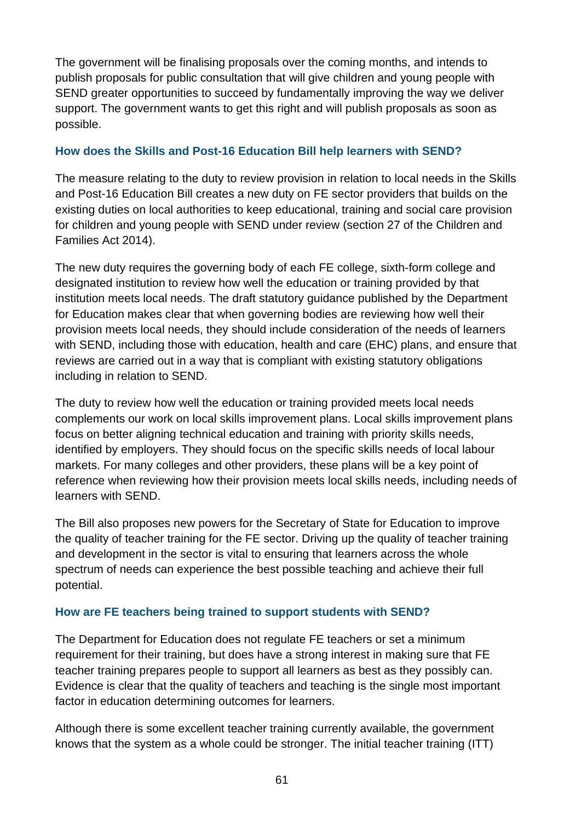The government will be finalising proposals over the coming months, and intends to publish proposals for public consultation that will give children and young people with SEND greater opportunities to succeed by fundamentally improving the way we deliver support. The government wants to get this right and will publish proposals as soon as possible.

## **How does the Skills and Post-16 Education Bill help learners with SEND?**

The measure relating to the duty to review provision in relation to local needs in the Skills and Post-16 Education Bill creates a new duty on FE sector providers that builds on the existing duties on local authorities to keep educational, training and social care provision for children and young people with SEND under review (section 27 of the Children and Families Act 2014).

The new duty requires the governing body of each FE college, sixth-form college and designated institution to review how well the education or training provided by that institution meets local needs. The draft statutory guidance published by the Department for Education makes clear that when governing bodies are reviewing how well their provision meets local needs, they should include consideration of the needs of learners with SEND, including those with education, health and care (EHC) plans, and ensure that reviews are carried out in a way that is compliant with existing statutory obligations including in relation to SEND.

The duty to review how well the education or training provided meets local needs complements our work on local skills improvement plans. Local skills improvement plans focus on better aligning technical education and training with priority skills needs, identified by employers. They should focus on the specific skills needs of local labour markets. For many colleges and other providers, these plans will be a key point of reference when reviewing how their provision meets local skills needs, including needs of learners with SEND.

The Bill also proposes new powers for the Secretary of State for Education to improve the quality of teacher training for the FE sector. Driving up the quality of teacher training and development in the sector is vital to ensuring that learners across the whole spectrum of needs can experience the best possible teaching and achieve their full potential.

## **How are FE teachers being trained to support students with SEND?**

The Department for Education does not regulate FE teachers or set a minimum requirement for their training, but does have a strong interest in making sure that FE teacher training prepares people to support all learners as best as they possibly can. Evidence is clear that the quality of teachers and teaching is the single most important factor in education determining outcomes for learners.

Although there is some excellent teacher training currently available, the government knows that the system as a whole could be stronger. The initial teacher training (ITT)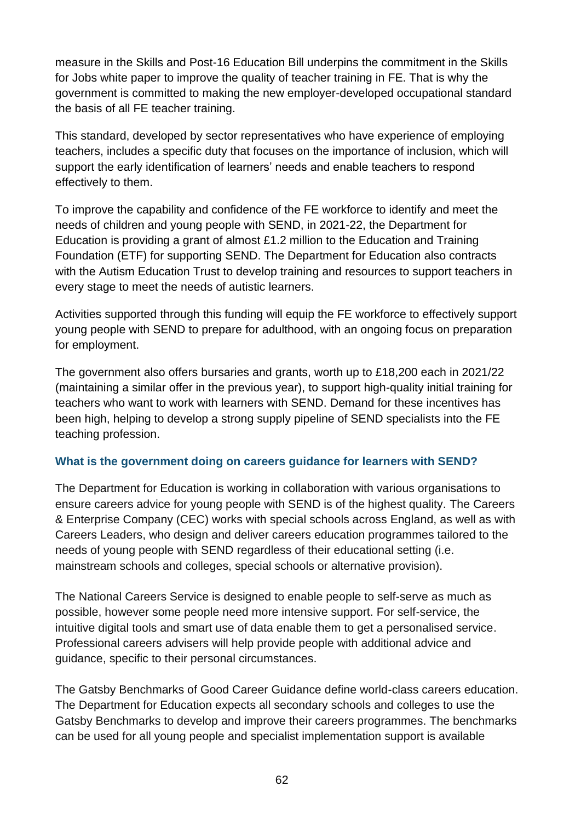measure in the Skills and Post-16 Education Bill underpins the commitment in the Skills for Jobs white paper to improve the quality of teacher training in FE. That is why the government is committed to making the new employer-developed occupational standard the basis of all FE teacher training.

This standard, developed by sector representatives who have experience of employing teachers, includes a specific duty that focuses on the importance of inclusion, which will support the early identification of learners' needs and enable teachers to respond effectively to them.

To improve the capability and confidence of the FE workforce to identify and meet the needs of children and young people with SEND, in 2021-22, the Department for Education is providing a grant of almost £1.2 million to the Education and Training Foundation (ETF) for supporting SEND. The Department for Education also contracts with the Autism Education Trust to develop training and resources to support teachers in every stage to meet the needs of autistic learners.

Activities supported through this funding will equip the FE workforce to effectively support young people with SEND to prepare for adulthood, with an ongoing focus on preparation for employment.

The government also offers bursaries and grants, worth up to £18,200 each in 2021/22 (maintaining a similar offer in the previous year), to support high-quality initial training for teachers who want to work with learners with SEND. Demand for these incentives has been high, helping to develop a strong supply pipeline of SEND specialists into the FE teaching profession.

## **What is the government doing on careers guidance for learners with SEND?**

The Department for Education is working in collaboration with various organisations to ensure careers advice for young people with SEND is of the highest quality. The Careers & Enterprise Company (CEC) works with special schools across England, as well as with Careers Leaders, who design and deliver careers education programmes tailored to the needs of young people with SEND regardless of their educational setting (i.e. mainstream schools and colleges, special schools or alternative provision).

The National Careers Service is designed to enable people to self-serve as much as possible, however some people need more intensive support. For self-service, the intuitive digital tools and smart use of data enable them to get a personalised service. Professional careers advisers will help provide people with additional advice and guidance, specific to their personal circumstances.

The Gatsby Benchmarks of Good Career Guidance define world-class careers education. The Department for Education expects all secondary schools and colleges to use the Gatsby Benchmarks to develop and improve their careers programmes. The benchmarks can be used for all young people and specialist implementation support is available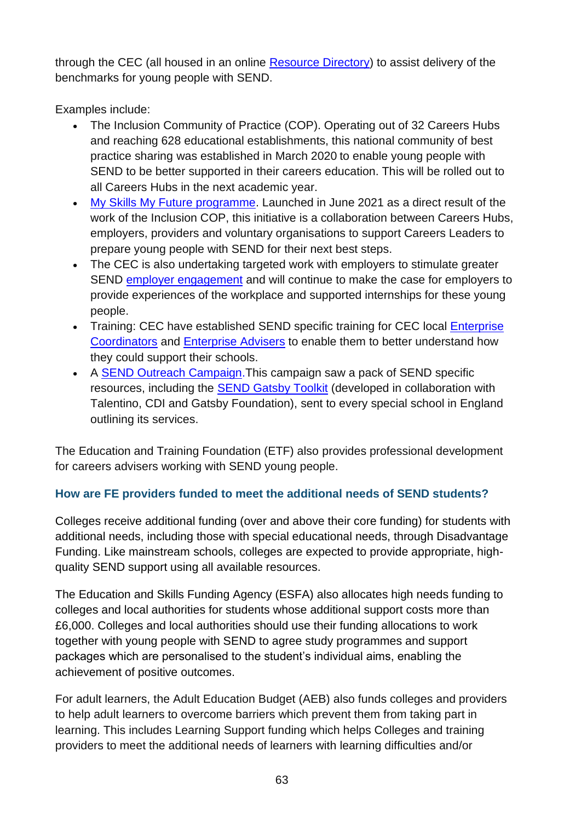through the CEC (all housed in an online [Resource Directory\)](https://resources.careersandenterprise.co.uk/) to assist delivery of the benchmarks for young people with SEND.

Examples include:

- The Inclusion Community of Practice (COP). Operating out of 32 Careers Hubs and reaching 628 educational establishments, this national community of best practice sharing was established in March 2020 to enable young people with SEND to be better supported in their careers education. This will be rolled out to all Careers Hubs in the next academic year.
- [My Skills My Future programme.](https://resources.careersandenterprise.co.uk/my-skills-my-future) Launched in June 2021 as a direct result of the work of the Inclusion COP, this initiative is a collaboration between Careers Hubs, employers, providers and voluntary organisations to support Careers Leaders to prepare young people with SEND for their next best steps.
- The CEC is also undertaking targeted work with employers to stimulate greater SEND [employer engagement](https://resources.careersandenterprise.co.uk/supporting-employers-working-young-people-special-educational-needs-and-disabilities-send) and will continue to make the case for employers to provide experiences of the workplace and supported internships for these young people.
- Training: CEC have established SEND specific training for CEC local Enterprise [Coordinators](https://www.careersandenterprise.co.uk/our-network-careers-hubs/our-network/) and [Enterprise Advisers](https://www.careersandenterprise.co.uk/employers/volunteer-with-a-school-or-college/) to enable them to better understand how they could support their schools.
- A [SEND Outreach Campaign.](https://resources.careersandenterprise.co.uk/resources/send-outreach-campaign-e-pack) This campaign saw a pack of SEND specific resources, including the [SEND Gatsby Toolkit](https://resources.careersandenterprise.co.uk/resources/gatsby-benchmark-toolkit-send) (developed in collaboration with Talentino, CDI and Gatsby Foundation), sent to every special school in England outlining its services.

The Education and Training Foundation (ETF) also provides professional development for careers advisers working with SEND young people.

# **How are FE providers funded to meet the additional needs of SEND students?**

Colleges receive additional funding (over and above their core funding) for students with additional needs, including those with special educational needs, through Disadvantage Funding. Like mainstream schools, colleges are expected to provide appropriate, highquality SEND support using all available resources.

The Education and Skills Funding Agency (ESFA) also allocates high needs funding to colleges and local authorities for students whose additional support costs more than £6,000. Colleges and local authorities should use their funding allocations to work together with young people with SEND to agree study programmes and support packages which are personalised to the student's individual aims, enabling the achievement of positive outcomes.

For adult learners, the Adult Education Budget (AEB) also funds colleges and providers to help adult learners to overcome barriers which prevent them from taking part in learning. This includes Learning Support funding which helps Colleges and training providers to meet the additional needs of learners with learning difficulties and/or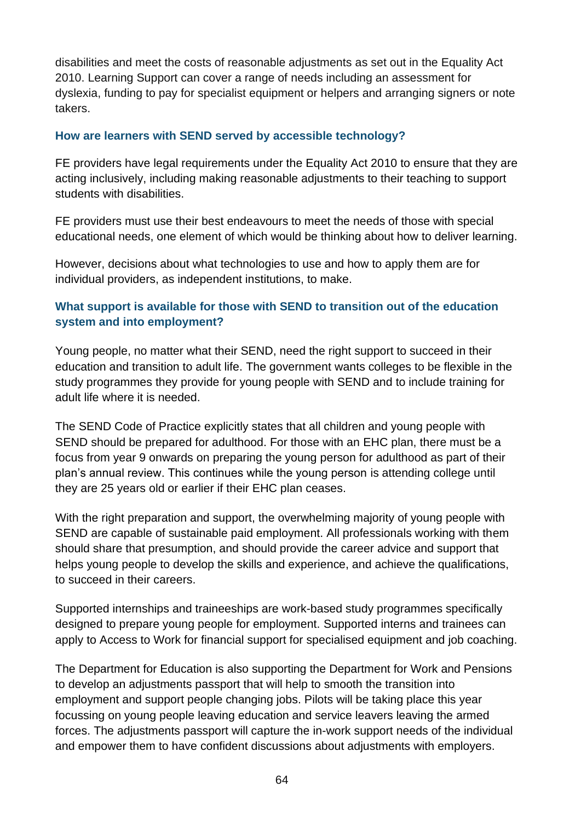disabilities and meet the costs of reasonable adjustments as set out in the Equality Act 2010. Learning Support can cover a range of needs including an assessment for dyslexia, funding to pay for specialist equipment or helpers and arranging signers or note takers.

#### **How are learners with SEND served by accessible technology?**

FE providers have legal requirements under the Equality Act 2010 to ensure that they are acting inclusively, including making reasonable adjustments to their teaching to support students with disabilities.

FE providers must use their best endeavours to meet the needs of those with special educational needs, one element of which would be thinking about how to deliver learning.

However, decisions about what technologies to use and how to apply them are for individual providers, as independent institutions, to make.

## **What support is available for those with SEND to transition out of the education system and into employment?**

Young people, no matter what their SEND, need the right support to succeed in their education and transition to adult life. The government wants colleges to be flexible in the study programmes they provide for young people with SEND and to include training for adult life where it is needed.

The SEND Code of Practice explicitly states that all children and young people with SEND should be prepared for adulthood. For those with an EHC plan, there must be a focus from year 9 onwards on preparing the young person for adulthood as part of their plan's annual review. This continues while the young person is attending college until they are 25 years old or earlier if their EHC plan ceases.

With the right preparation and support, the overwhelming majority of young people with SEND are capable of sustainable paid employment. All professionals working with them should share that presumption, and should provide the career advice and support that helps young people to develop the skills and experience, and achieve the qualifications, to succeed in their careers.

Supported internships and traineeships are work-based study programmes specifically designed to prepare young people for employment. Supported interns and trainees can apply to Access to Work for financial support for specialised equipment and job coaching.

The Department for Education is also supporting the Department for Work and Pensions to develop an adjustments passport that will help to smooth the transition into employment and support people changing jobs. Pilots will be taking place this year focussing on young people leaving education and service leavers leaving the armed forces. The adjustments passport will capture the in-work support needs of the individual and empower them to have confident discussions about adjustments with employers.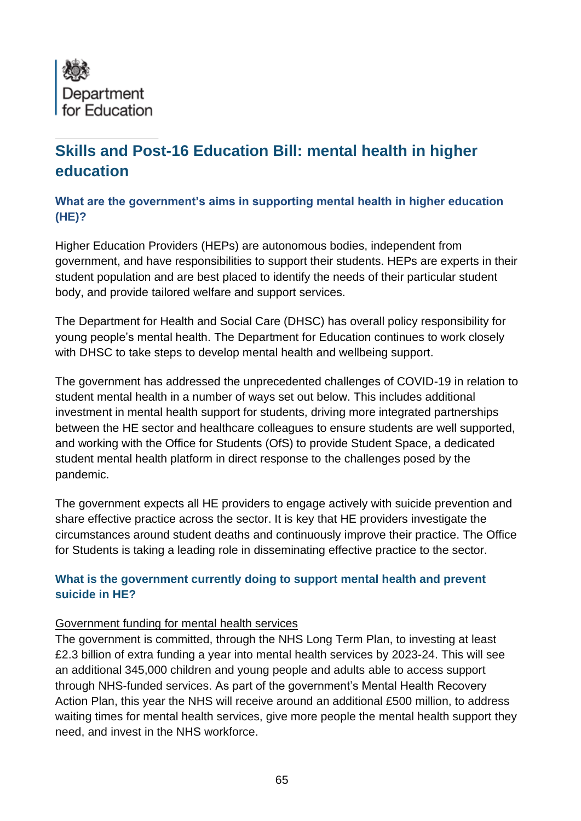

# **Skills and Post-16 Education Bill: mental health in higher education**

## **What are the government's aims in supporting mental health in higher education (HE)?**

Higher Education Providers (HEPs) are autonomous bodies, independent from government, and have responsibilities to support their students. HEPs are experts in their student population and are best placed to identify the needs of their particular student body, and provide tailored welfare and support services.

The Department for Health and Social Care (DHSC) has overall policy responsibility for young people's mental health. The Department for Education continues to work closely with DHSC to take steps to develop mental health and wellbeing support.

The government has addressed the unprecedented challenges of COVID-19 in relation to student mental health in a number of ways set out below. This includes additional investment in mental health support for students, driving more integrated partnerships between the HE sector and healthcare colleagues to ensure students are well supported, and working with the Office for Students (OfS) to provide Student Space, a dedicated student mental health platform in direct response to the challenges posed by the pandemic.

The government expects all HE providers to engage actively with suicide prevention and share effective practice across the sector. It is key that HE providers investigate the circumstances around student deaths and continuously improve their practice. The Office for Students is taking a leading role in disseminating effective practice to the sector.

## **What is the government currently doing to support mental health and prevent suicide in HE?**

### Government funding for mental health services

The government is committed, through the NHS Long Term Plan, to investing at least £2.3 billion of extra funding a year into mental health services by 2023-24. This will see an additional 345,000 children and young people and adults able to access support through NHS-funded services. As part of the government's Mental Health Recovery Action Plan, this year the NHS will receive around an additional £500 million, to address waiting times for mental health services, give more people the mental health support they need, and invest in the NHS workforce.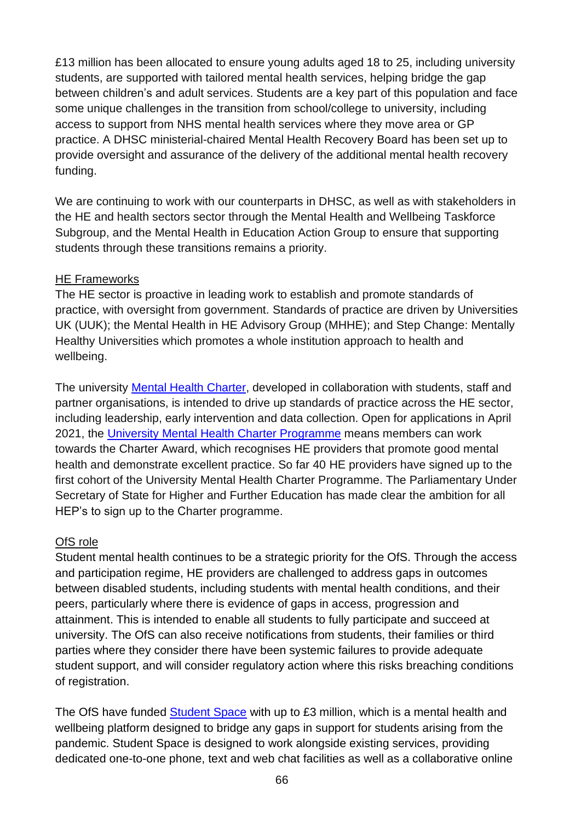£13 million has been allocated to ensure young adults aged 18 to 25, including university students, are supported with tailored mental health services, helping bridge the gap between children's and adult services. Students are a key part of this population and face some unique challenges in the transition from school/college to university, including access to support from NHS mental health services where they move area or GP practice. A DHSC ministerial-chaired Mental Health Recovery Board has been set up to provide oversight and assurance of the delivery of the additional mental health recovery funding.

We are continuing to work with our counterparts in DHSC, as well as with stakeholders in the HE and health sectors sector through the Mental Health and Wellbeing Taskforce Subgroup, and the Mental Health in Education Action Group to ensure that supporting students through these transitions remains a priority.

## HE Frameworks

The HE sector is proactive in leading work to establish and promote standards of practice, with oversight from government. Standards of practice are driven by Universities UK (UUK); the Mental Health in HE Advisory Group (MHHE); and Step Change: Mentally Healthy Universities which promotes a whole institution approach to health and wellbeing.

The university [Mental Health Charter,](https://www.studentminds.org.uk/charter.html) developed in collaboration with students, staff and partner organisations, is intended to drive up standards of practice across the HE sector, including leadership, early intervention and data collection. Open for applications in April 2021, the [University Mental Health Charter Programme](https://universitymentalhealthcharter.org.uk/) means members can work towards the Charter Award, which recognises HE providers that promote good mental health and demonstrate excellent practice. So far 40 HE providers have signed up to the first cohort of the University Mental Health Charter Programme. The Parliamentary Under Secretary of State for Higher and Further Education has made clear the ambition for all HEP's to sign up to the Charter programme.

## OfS role

Student mental health continues to be a strategic priority for the OfS. Through the access and participation regime, HE providers are challenged to address gaps in outcomes between disabled students, including students with mental health conditions, and their peers, particularly where there is evidence of gaps in access, progression and attainment. This is intended to enable all students to fully participate and succeed at university. The OfS can also receive notifications from students, their families or third parties where they consider there have been systemic failures to provide adequate student support, and will consider regulatory action where this risks breaching conditions of registration.

The OfS have funded [Student Space](https://studentspace.org.uk/) with up to £3 million, which is a mental health and wellbeing platform designed to bridge any gaps in support for students arising from the pandemic. Student Space is designed to work alongside existing services, providing dedicated one-to-one phone, text and web chat facilities as well as a collaborative online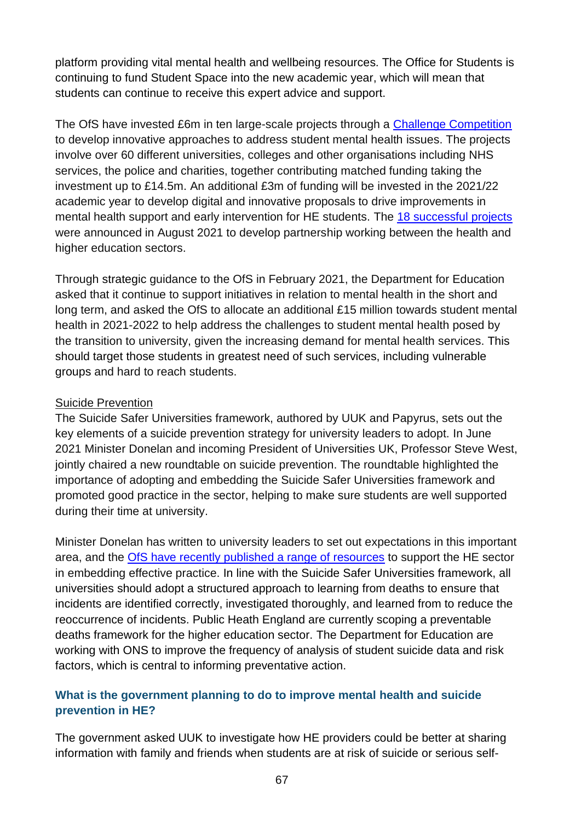platform providing vital mental health and wellbeing resources. The Office for Students is continuing to fund Student Space into the new academic year, which will mean that students can continue to receive this expert advice and support.

The OfS have invested £6m in ten large-scale projects through a [Challenge Competition](https://www.officeforstudents.org.uk/news-blog-and-events/press-and-media/innovation-partnership-and-data-can-help-improve-student-mental-health-in-new-14m-drive/) to develop innovative approaches to address student mental health issues. The projects involve over 60 different universities, colleges and other organisations including NHS services, the police and charities, together contributing matched funding taking the investment up to £14.5m. An additional £3m of funding will be invested in the 2021/22 academic year to develop digital and innovative proposals to drive improvements in mental health support and early intervention for HE students. The [18 successful projects](https://www.officeforstudents.org.uk/advice-and-guidance/funding-for-providers/mental-health-funding-competition-using-innovation-and-intersectional-approaches/) were announced in August 2021 to develop partnership working between the health and higher education sectors.

Through [strategic](https://www.officeforstudents.org.uk/media/48277145-4cf3-497f-b9b7-b13fdf16f46b/ofs-strategic-guidance-20210208.pdf) guidance to the OfS in February 2021, the Department for Education asked that it continue to support initiatives in relation to mental health in the short and long term, and asked the OfS to allocate an additional £15 million towards student mental health in 2021-2022 to help address the challenges to student mental health posed by the transition to university, given the increasing demand for mental health services. This should target those students in greatest need of such services, including vulnerable groups and hard to reach students.

### Suicide Prevention

The Suicide Safer Universities framework, authored by UUK and Papyrus, sets out the key elements of a suicide prevention strategy for university leaders to adopt. In June 2021 Minister Donelan and incoming President of Universities UK, Professor Steve West, jointly chaired a new roundtable on suicide prevention. The roundtable highlighted the importance of adopting and embedding the Suicide Safer Universities framework and promoted good practice in the sector, helping to make sure students are well supported during their time at university.

Minister Donelan has written to university leaders to set out expectations in this important area, and the [OfS have recently published a range of resources](https://www.officeforstudents.org.uk/advice-and-guidance/promoting-equal-opportunities/effective-practice/suicide-prevention/resources/) to support the HE sector in embedding effective practice. In line with the Suicide Safer Universities framework, all universities should adopt a structured approach to learning from deaths to ensure that incidents are identified correctly, investigated thoroughly, and learned from to reduce the reoccurrence of incidents. Public Heath England are currently scoping a preventable deaths framework for the higher education sector. The Department for Education are working with ONS to improve the frequency of analysis of student suicide data and risk factors, which is central to informing preventative action.

## **What is the government planning to do to improve mental health and suicide prevention in HE?**

The government asked UUK to investigate how HE providers could be better at sharing information with family and friends when students are at risk of suicide or serious self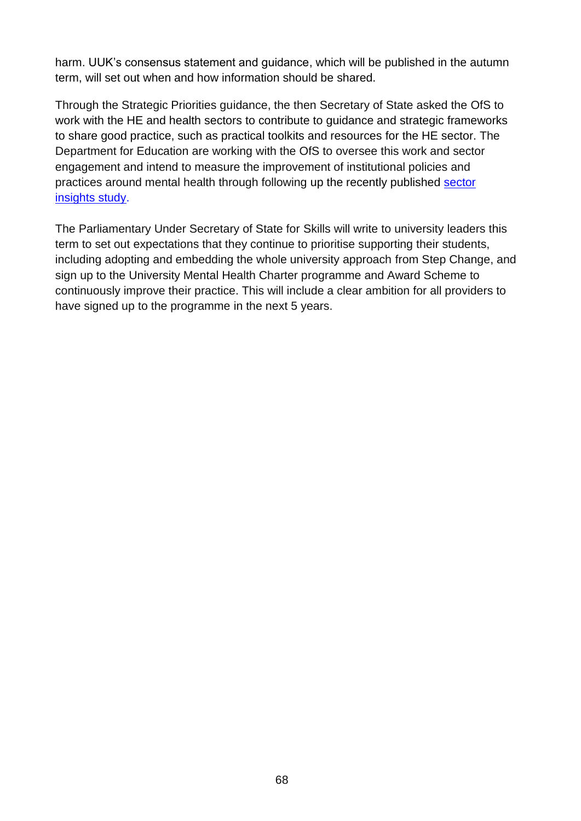harm. UUK's consensus statement and guidance, which will be published in the autumn term, will set out when and how information should be shared.

Through the Strategic Priorities guidance, the then Secretary of State asked the OfS to work with the HE and health sectors to contribute to guidance and strategic frameworks to share good practice, such as practical toolkits and resources for the HE sector. The Department for Education are working with the OfS to oversee this work and sector engagement and intend to measure the improvement of institutional policies and practices around mental health through following up the recently published [sector](https://www.gov.uk/government/publications/he-student-mental-health-and-wellbeing-sector-insights)  [insights study.](https://www.gov.uk/government/publications/he-student-mental-health-and-wellbeing-sector-insights)

The Parliamentary Under Secretary of State for Skills will write to university leaders this term to set out expectations that they continue to prioritise supporting their students, including adopting and embedding the whole university approach from Step Change, and sign up to the University Mental Health Charter programme and Award Scheme to continuously improve their practice. This will include a clear ambition for all providers to have signed up to the programme in the next 5 years.